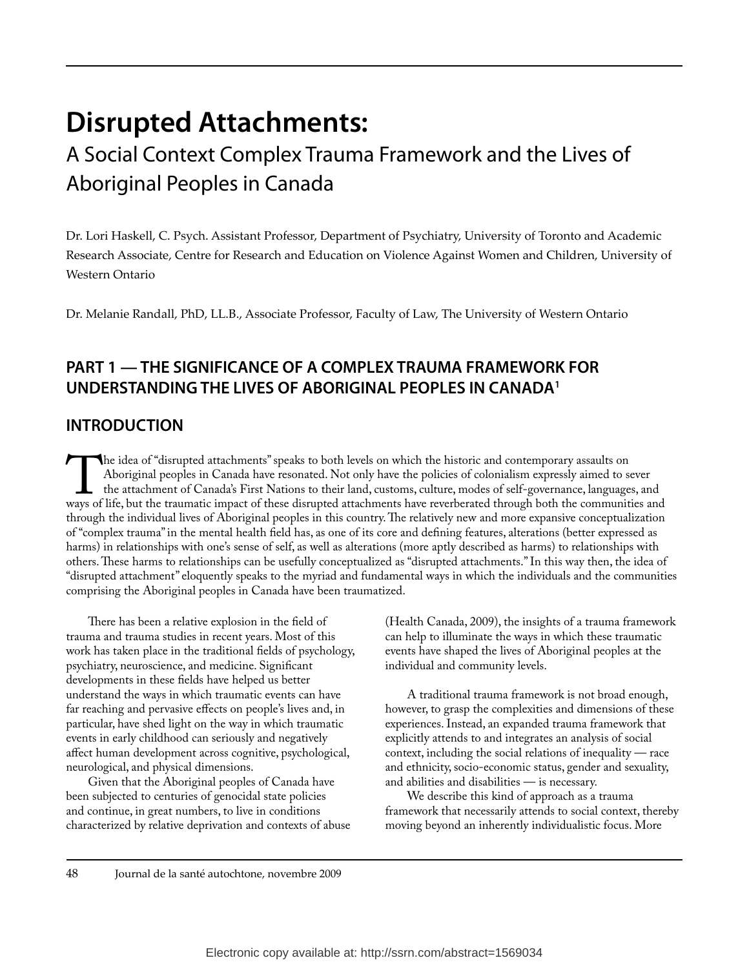# **Disrupted Attachments:**

# A Social Context Complex Trauma Framework and the Lives of Aboriginal Peoples in Canada

Dr. Lori Haskell, C. Psych. Assistant Professor, Department of Psychiatry, University of Toronto and Academic Research Associate, Centre for Research and Education on Violence Against Women and Children, University of Western Ontario

Dr. Melanie Randall, PhD, LL.B., Associate Professor, Faculty of Law, The University of Western Ontario

# **PART 1 — THE SIGNIFICANCE OF A COMPLEX TRAUMA FRAMEWORK FOR UNDERSTANDING THE LIVES OF ABORIGINAL PEOPLES IN CANADA1**

# **INTRODUCTION**

The idea of "disrupted attachments" speaks to both levels on which the historic and contemporary assaults on Aboriginal peoples in Canada have resonated. Not only have the policies of colonialism expressly aimed to see the Aboriginal peoples in Canada have resonated. Not only have the policies of colonialism expressly aimed to sever the attachment of Canada's First Nations to their land, customs, culture, modes of self-governance, languages, and ways of life, but the traumatic impact of these disrupted attachments have reverberated through both the communities and through the individual lives of Aboriginal peoples in this country. The relatively new and more expansive conceptualization of "complex trauma" in the mental health field has, as one of its core and defining features, alterations (better expressed as harms) in relationships with one's sense of self, as well as alterations (more aptly described as harms) to relationships with others. These harms to relationships can be usefully conceptualized as "disrupted attachments." In this way then, the idea of "disrupted attachment" eloquently speaks to the myriad and fundamental ways in which the individuals and the communities comprising the Aboriginal peoples in Canada have been traumatized.

There has been a relative explosion in the field of trauma and trauma studies in recent years. Most of this work has taken place in the traditional fields of psychology, psychiatry, neuroscience, and medicine. Significant developments in these fields have helped us better understand the ways in which traumatic events can have far reaching and pervasive effects on people's lives and, in particular, have shed light on the way in which traumatic events in early childhood can seriously and negatively affect human development across cognitive, psychological, neurological, and physical dimensions.

Given that the Aboriginal peoples of Canada have been subjected to centuries of genocidal state policies and continue, in great numbers, to live in conditions characterized by relative deprivation and contexts of abuse (Health Canada, 2009), the insights of a trauma framework can help to illuminate the ways in which these traumatic events have shaped the lives of Aboriginal peoples at the individual and community levels.

A traditional trauma framework is not broad enough, however, to grasp the complexities and dimensions of these experiences. Instead, an expanded trauma framework that explicitly attends to and integrates an analysis of social context, including the social relations of inequality — race and ethnicity, socio-economic status, gender and sexuality, and abilities and disabilities — is necessary.

We describe this kind of approach as a trauma framework that necessarily attends to social context, thereby moving beyond an inherently individualistic focus. More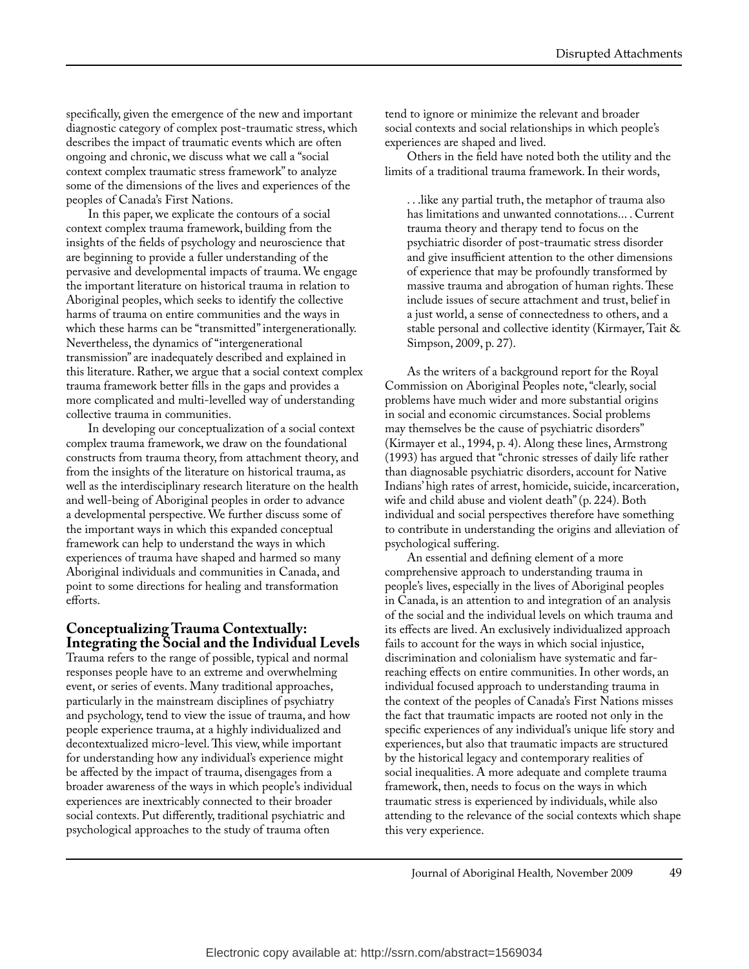specifically, given the emergence of the new and important diagnostic category of complex post-traumatic stress, which describes the impact of traumatic events which are often ongoing and chronic, we discuss what we call a "social context complex traumatic stress framework" to analyze some of the dimensions of the lives and experiences of the peoples of Canada's First Nations.

In this paper, we explicate the contours of a social context complex trauma framework, building from the insights of the fields of psychology and neuroscience that are beginning to provide a fuller understanding of the pervasive and developmental impacts of trauma. We engage the important literature on historical trauma in relation to Aboriginal peoples, which seeks to identify the collective harms of trauma on entire communities and the ways in which these harms can be "transmitted" intergenerationally. Nevertheless, the dynamics of "intergenerational transmission" are inadequately described and explained in this literature. Rather, we argue that a social context complex trauma framework better fills in the gaps and provides a more complicated and multi-levelled way of understanding collective trauma in communities.

In developing our conceptualization of a social context complex trauma framework, we draw on the foundational constructs from trauma theory, from attachment theory, and from the insights of the literature on historical trauma, as well as the interdisciplinary research literature on the health and well-being of Aboriginal peoples in order to advance a developmental perspective. We further discuss some of the important ways in which this expanded conceptual framework can help to understand the ways in which experiences of trauma have shaped and harmed so many Aboriginal individuals and communities in Canada, and point to some directions for healing and transformation efforts.

#### **Conceptualizing Trauma Contextually: Integrating the Social and the Individual Levels**

Trauma refers to the range of possible, typical and normal responses people have to an extreme and overwhelming event, or series of events. Many traditional approaches, particularly in the mainstream disciplines of psychiatry and psychology, tend to view the issue of trauma, and how people experience trauma, at a highly individualized and decontextualized micro-level. This view, while important for understanding how any individual's experience might be affected by the impact of trauma, disengages from a broader awareness of the ways in which people's individual experiences are inextricably connected to their broader social contexts. Put differently, traditional psychiatric and psychological approaches to the study of trauma often

tend to ignore or minimize the relevant and broader social contexts and social relationships in which people's experiences are shaped and lived.

Others in the field have noted both the utility and the limits of a traditional trauma framework. In their words,

. . .like any partial truth, the metaphor of trauma also has limitations and unwanted connotations... . Current trauma theory and therapy tend to focus on the psychiatric disorder of post-traumatic stress disorder and give insufficient attention to the other dimensions of experience that may be profoundly transformed by massive trauma and abrogation of human rights. These include issues of secure attachment and trust, belief in a just world, a sense of connectedness to others, and a stable personal and collective identity (Kirmayer, Tait & Simpson, 2009, p. 27).

As the writers of a background report for the Royal Commission on Aboriginal Peoples note, "clearly, social problems have much wider and more substantial origins in social and economic circumstances. Social problems may themselves be the cause of psychiatric disorders" (Kirmayer et al., 1994, p. 4). Along these lines, Armstrong (1993) has argued that "chronic stresses of daily life rather than diagnosable psychiatric disorders, account for Native Indians' high rates of arrest, homicide, suicide, incarceration, wife and child abuse and violent death" (p. 224). Both individual and social perspectives therefore have something to contribute in understanding the origins and alleviation of psychological suffering.

An essential and defining element of a more comprehensive approach to understanding trauma in people's lives, especially in the lives of Aboriginal peoples in Canada, is an attention to and integration of an analysis of the social and the individual levels on which trauma and its effects are lived. An exclusively individualized approach fails to account for the ways in which social injustice, discrimination and colonialism have systematic and farreaching effects on entire communities. In other words, an individual focused approach to understanding trauma in the context of the peoples of Canada's First Nations misses the fact that traumatic impacts are rooted not only in the specific experiences of any individual's unique life story and experiences, but also that traumatic impacts are structured by the historical legacy and contemporary realities of social inequalities. A more adequate and complete trauma framework, then, needs to focus on the ways in which traumatic stress is experienced by individuals, while also attending to the relevance of the social contexts which shape this very experience.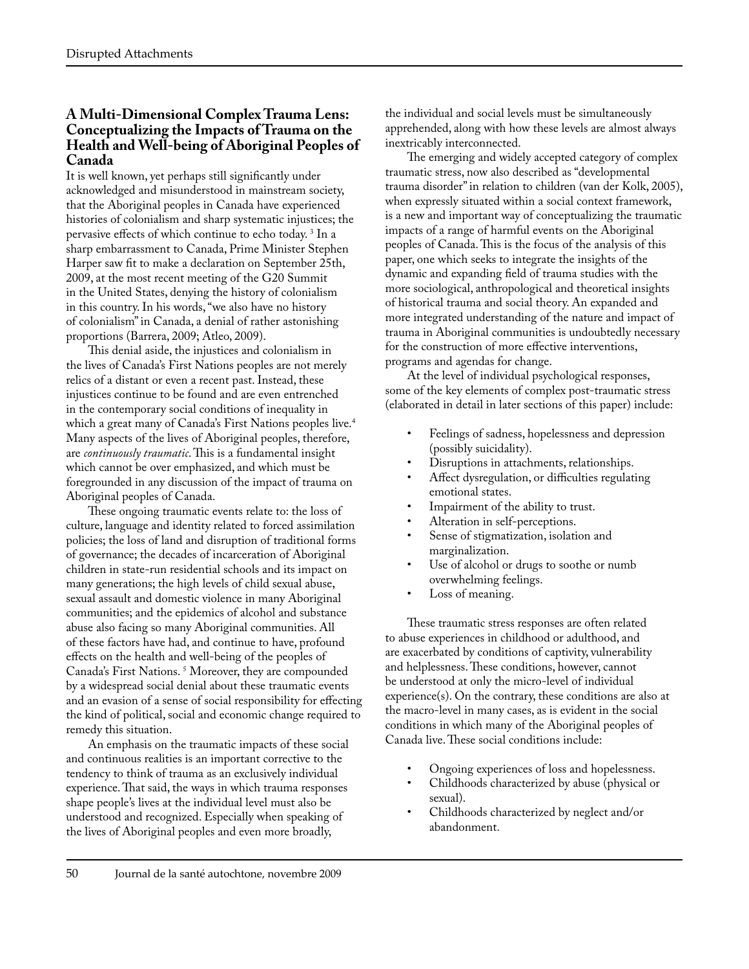#### **A Multi-Dimensional Complex Trauma Lens: Conceptualizing the Impacts of Trauma on the Health and Well-being of Aboriginal Peoples of Canada**

It is well known, yet perhaps still significantly under acknowledged and misunderstood in mainstream society, that the Aboriginal peoples in Canada have experienced histories of colonialism and sharp systematic injustices; the pervasive effects of which continue to echo today. 3 In a sharp embarrassment to Canada, Prime Minister Stephen Harper saw fit to make a declaration on September 25th, 2009, at the most recent meeting of the G20 Summit in the United States, denying the history of colonialism in this country. In his words, "we also have no history of colonialism" in Canada, a denial of rather astonishing proportions (Barrera, 2009; Atleo, 2009).

This denial aside, the injustices and colonialism in the lives of Canada's First Nations peoples are not merely relics of a distant or even a recent past. Instead, these injustices continue to be found and are even entrenched in the contemporary social conditions of inequality in which a great many of Canada's First Nations peoples live.4 Many aspects of the lives of Aboriginal peoples, therefore, are *continuously traumatic*. This is a fundamental insight which cannot be over emphasized, and which must be foregrounded in any discussion of the impact of trauma on Aboriginal peoples of Canada.

These ongoing traumatic events relate to: the loss of culture, language and identity related to forced assimilation policies; the loss of land and disruption of traditional forms of governance; the decades of incarceration of Aboriginal children in state-run residential schools and its impact on many generations; the high levels of child sexual abuse, sexual assault and domestic violence in many Aboriginal communities; and the epidemics of alcohol and substance abuse also facing so many Aboriginal communities. All of these factors have had, and continue to have, profound effects on the health and well-being of the peoples of Canada's First Nations. 5 Moreover, they are compounded by a widespread social denial about these traumatic events and an evasion of a sense of social responsibility for effecting the kind of political, social and economic change required to remedy this situation.

An emphasis on the traumatic impacts of these social and continuous realities is an important corrective to the tendency to think of trauma as an exclusively individual experience. That said, the ways in which trauma responses shape people's lives at the individual level must also be understood and recognized. Especially when speaking of the lives of Aboriginal peoples and even more broadly,

the individual and social levels must be simultaneously apprehended, along with how these levels are almost always inextricably interconnected.

The emerging and widely accepted category of complex traumatic stress, now also described as "developmental trauma disorder" in relation to children (van der Kolk, 2005), when expressly situated within a social context framework, is a new and important way of conceptualizing the traumatic impacts of a range of harmful events on the Aboriginal peoples of Canada. This is the focus of the analysis of this paper, one which seeks to integrate the insights of the dynamic and expanding field of trauma studies with the more sociological, anthropological and theoretical insights of historical trauma and social theory. An expanded and more integrated understanding of the nature and impact of trauma in Aboriginal communities is undoubtedly necessary for the construction of more effective interventions, programs and agendas for change.

At the level of individual psychological responses, some of the key elements of complex post-traumatic stress (elaborated in detail in later sections of this paper) include:

- Feelings of sadness, hopelessness and depression (possibly suicidality).
- Disruptions in attachments, relationships.
- Affect dysregulation, or difficulties regulating emotional states.
- Impairment of the ability to trust.
- Alteration in self-perceptions.
- Sense of stigmatization, isolation and marginalization.
- Use of alcohol or drugs to soothe or numb overwhelming feelings.
- Loss of meaning.

These traumatic stress responses are often related to abuse experiences in childhood or adulthood, and are exacerbated by conditions of captivity, vulnerability and helplessness. These conditions, however, cannot be understood at only the micro-level of individual experience(s). On the contrary, these conditions are also at the macro-level in many cases, as is evident in the social conditions in which many of the Aboriginal peoples of Canada live. These social conditions include:

- Ongoing experiences of loss and hopelessness.
- Childhoods characterized by abuse (physical or sexual).
- Childhoods characterized by neglect and/or abandonment.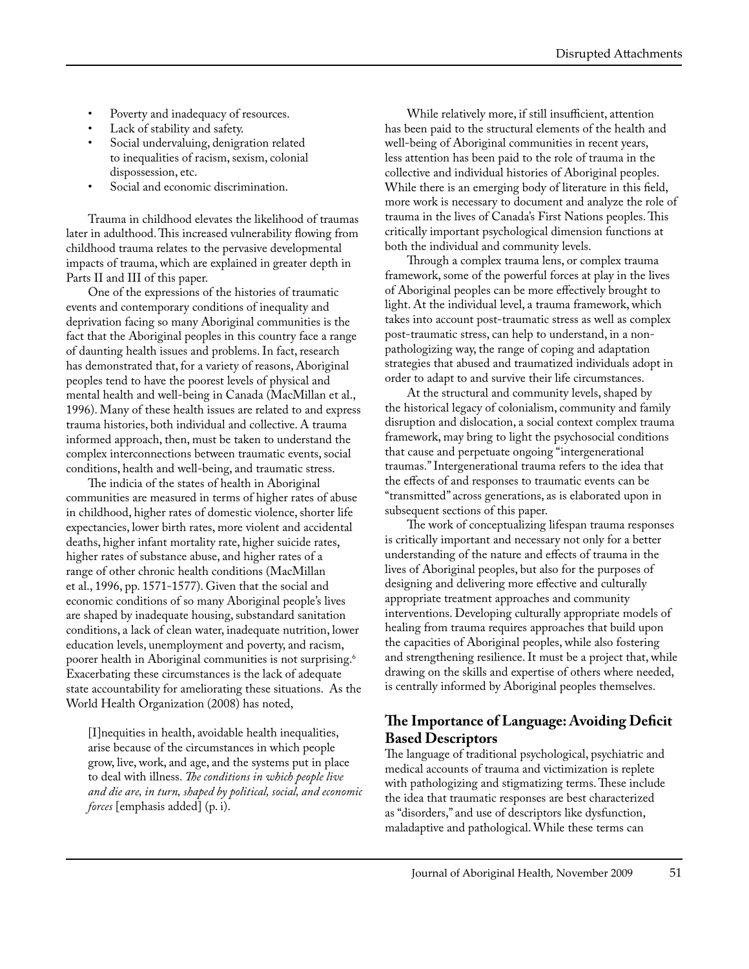- Poverty and inadequacy of resources.
- Lack of stability and safety.
- Social undervaluing, denigration related to inequalities of racism, sexism, colonial dispossession, etc.
- Social and economic discrimination.

Trauma in childhood elevates the likelihood of traumas later in adulthood. This increased vulnerability flowing from childhood trauma relates to the pervasive developmental impacts of trauma, which are explained in greater depth in Parts II and III of this paper.

One of the expressions of the histories of traumatic events and contemporary conditions of inequality and deprivation facing so many Aboriginal communities is the fact that the Aboriginal peoples in this country face a range of daunting health issues and problems. In fact, research has demonstrated that, for a variety of reasons, Aboriginal peoples tend to have the poorest levels of physical and mental health and well-being in Canada (MacMillan et al., 1996). Many of these health issues are related to and express trauma histories, both individual and collective. A trauma informed approach, then, must be taken to understand the complex interconnections between traumatic events, social conditions, health and well-being, and traumatic stress.

The indicia of the states of health in Aboriginal communities are measured in terms of higher rates of abuse in childhood, higher rates of domestic violence, shorter life expectancies, lower birth rates, more violent and accidental deaths, higher infant mortality rate, higher suicide rates, higher rates of substance abuse, and higher rates of a range of other chronic health conditions (MacMillan et al., 1996, pp. 1571-1577). Given that the social and economic conditions of so many Aboriginal people's lives are shaped by inadequate housing, substandard sanitation conditions, a lack of clean water, inadequate nutrition, lower education levels, unemployment and poverty, and racism, poorer health in Aboriginal communities is not surprising.<sup>6</sup> Exacerbating these circumstances is the lack of adequate state accountability for ameliorating these situations. As the World Health Organization (2008) has noted,

[I]nequities in health, avoidable health inequalities, arise because of the circumstances in which people grow, live, work, and age, and the systems put in place to deal with illness. *The conditions in which people live and die are, in turn, shaped by political, social, and economic forces* [emphasis added] (p. i).

While relatively more, if still insufficient, attention has been paid to the structural elements of the health and well-being of Aboriginal communities in recent years, less attention has been paid to the role of trauma in the collective and individual histories of Aboriginal peoples. While there is an emerging body of literature in this field, more work is necessary to document and analyze the role of trauma in the lives of Canada's First Nations peoples. This critically important psychological dimension functions at both the individual and community levels.

Through a complex trauma lens, or complex trauma framework, some of the powerful forces at play in the lives of Aboriginal peoples can be more effectively brought to light. At the individual level, a trauma framework, which takes into account post-traumatic stress as well as complex post-traumatic stress, can help to understand, in a nonpathologizing way, the range of coping and adaptation strategies that abused and traumatized individuals adopt in order to adapt to and survive their life circumstances.

At the structural and community levels, shaped by the historical legacy of colonialism, community and family disruption and dislocation, a social context complex trauma framework, may bring to light the psychosocial conditions that cause and perpetuate ongoing "intergenerational traumas." Intergenerational trauma refers to the idea that the effects of and responses to traumatic events can be "transmitted" across generations, as is elaborated upon in subsequent sections of this paper.

The work of conceptualizing lifespan trauma responses is critically important and necessary not only for a better understanding of the nature and effects of trauma in the lives of Aboriginal peoples, but also for the purposes of designing and delivering more effective and culturally appropriate treatment approaches and community interventions. Developing culturally appropriate models of healing from trauma requires approaches that build upon the capacities of Aboriginal peoples, while also fostering and strengthening resilience. It must be a project that, while drawing on the skills and expertise of others where needed, is centrally informed by Aboriginal peoples themselves.

# **The Importance of Language: Avoiding Deficit Based Descriptors**

The language of traditional psychological, psychiatric and medical accounts of trauma and victimization is replete with pathologizing and stigmatizing terms. These include the idea that traumatic responses are best characterized as "disorders," and use of descriptors like dysfunction, maladaptive and pathological. While these terms can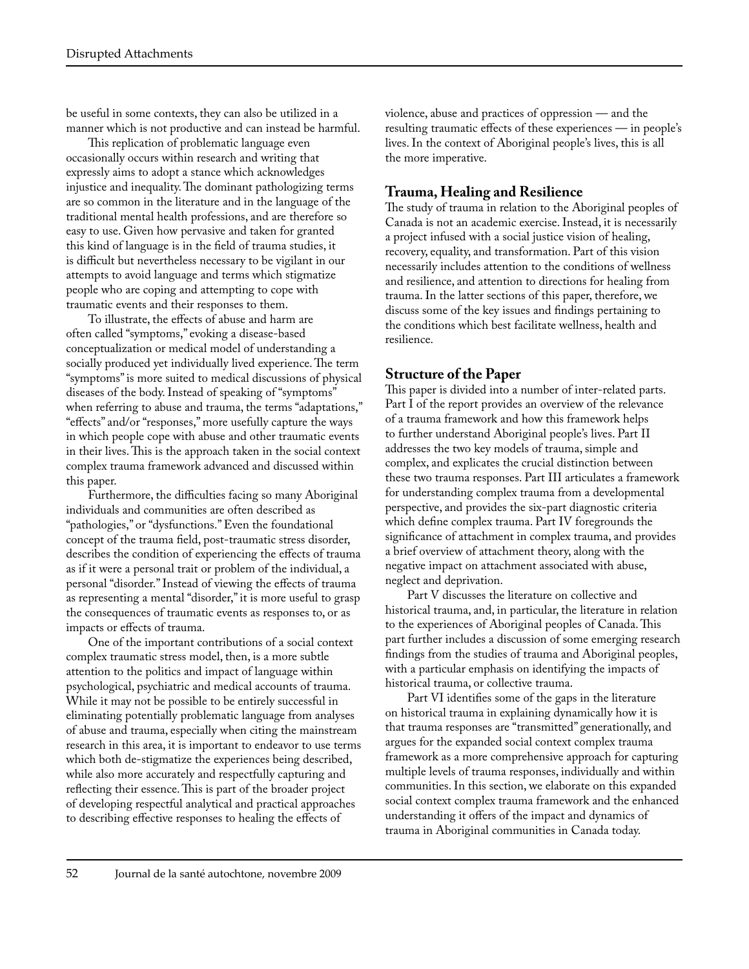be useful in some contexts, they can also be utilized in a manner which is not productive and can instead be harmful.

This replication of problematic language even occasionally occurs within research and writing that expressly aims to adopt a stance which acknowledges injustice and inequality. The dominant pathologizing terms are so common in the literature and in the language of the traditional mental health professions, and are therefore so easy to use. Given how pervasive and taken for granted this kind of language is in the field of trauma studies, it is difficult but nevertheless necessary to be vigilant in our attempts to avoid language and terms which stigmatize people who are coping and attempting to cope with traumatic events and their responses to them.

To illustrate, the effects of abuse and harm are often called "symptoms," evoking a disease-based conceptualization or medical model of understanding a socially produced yet individually lived experience. The term "symptoms" is more suited to medical discussions of physical diseases of the body. Instead of speaking of "symptoms" when referring to abuse and trauma, the terms "adaptations," "effects" and/or "responses," more usefully capture the ways in which people cope with abuse and other traumatic events in their lives. This is the approach taken in the social context complex trauma framework advanced and discussed within this paper.

Furthermore, the difficulties facing so many Aboriginal individuals and communities are often described as "pathologies," or "dysfunctions." Even the foundational concept of the trauma field, post-traumatic stress disorder, describes the condition of experiencing the effects of trauma as if it were a personal trait or problem of the individual, a personal "disorder." Instead of viewing the effects of trauma as representing a mental "disorder," it is more useful to grasp the consequences of traumatic events as responses to, or as impacts or effects of trauma.

One of the important contributions of a social context complex traumatic stress model, then, is a more subtle attention to the politics and impact of language within psychological, psychiatric and medical accounts of trauma. While it may not be possible to be entirely successful in eliminating potentially problematic language from analyses of abuse and trauma, especially when citing the mainstream research in this area, it is important to endeavor to use terms which both de-stigmatize the experiences being described, while also more accurately and respectfully capturing and reflecting their essence. This is part of the broader project of developing respectful analytical and practical approaches to describing effective responses to healing the effects of

violence, abuse and practices of oppression — and the resulting traumatic effects of these experiences — in people's lives. In the context of Aboriginal people's lives, this is all the more imperative.

### **Trauma, Healing and Resilience**

The study of trauma in relation to the Aboriginal peoples of Canada is not an academic exercise. Instead, it is necessarily a project infused with a social justice vision of healing, recovery, equality, and transformation. Part of this vision necessarily includes attention to the conditions of wellness and resilience, and attention to directions for healing from trauma. In the latter sections of this paper, therefore, we discuss some of the key issues and findings pertaining to the conditions which best facilitate wellness, health and resilience.

#### **Structure of the Paper**

This paper is divided into a number of inter-related parts. Part I of the report provides an overview of the relevance of a trauma framework and how this framework helps to further understand Aboriginal people's lives. Part II addresses the two key models of trauma, simple and complex, and explicates the crucial distinction between these two trauma responses. Part III articulates a framework for understanding complex trauma from a developmental perspective, and provides the six-part diagnostic criteria which define complex trauma. Part IV foregrounds the significance of attachment in complex trauma, and provides a brief overview of attachment theory, along with the negative impact on attachment associated with abuse, neglect and deprivation.

Part V discusses the literature on collective and historical trauma, and, in particular, the literature in relation to the experiences of Aboriginal peoples of Canada. This part further includes a discussion of some emerging research findings from the studies of trauma and Aboriginal peoples, with a particular emphasis on identifying the impacts of historical trauma, or collective trauma.

Part VI identifies some of the gaps in the literature on historical trauma in explaining dynamically how it is that trauma responses are "transmitted" generationally, and argues for the expanded social context complex trauma framework as a more comprehensive approach for capturing multiple levels of trauma responses, individually and within communities. In this section, we elaborate on this expanded social context complex trauma framework and the enhanced understanding it offers of the impact and dynamics of trauma in Aboriginal communities in Canada today.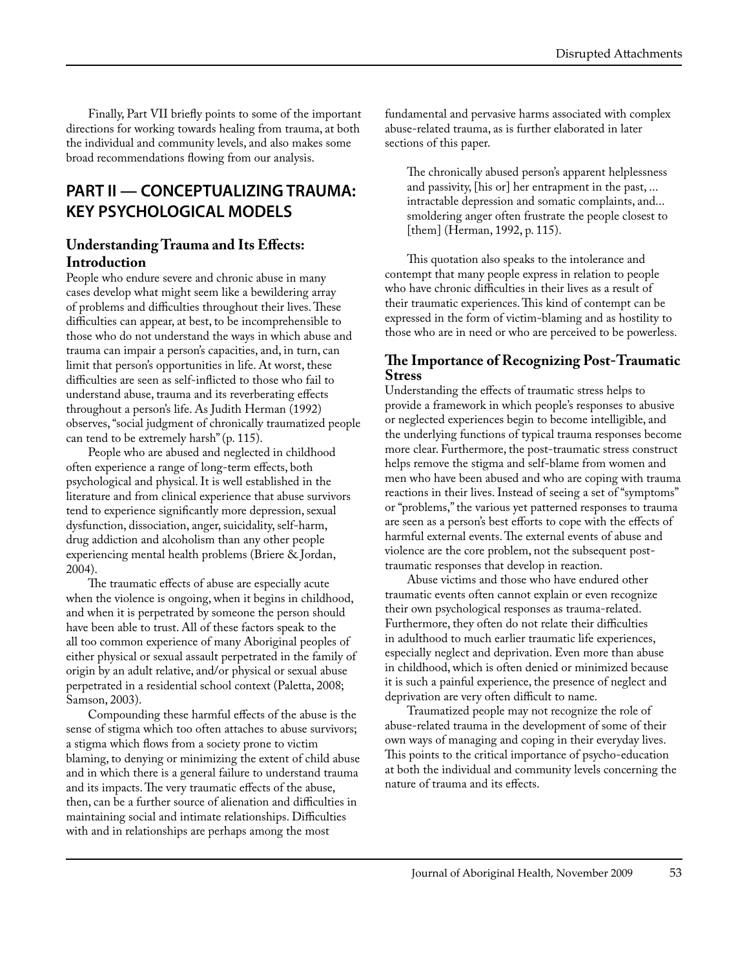Finally, Part VII briefly points to some of the important directions for working towards healing from trauma, at both the individual and community levels, and also makes some broad recommendations flowing from our analysis.

# **PART II — CONCEPTUALIZING TRAUMA: KEY PSYCHOLOGICAL MODELS**

#### **Understanding Trauma and Its Effects: Introduction**

People who endure severe and chronic abuse in many cases develop what might seem like a bewildering array of problems and difficulties throughout their lives. These difficulties can appear, at best, to be incomprehensible to those who do not understand the ways in which abuse and trauma can impair a person's capacities, and, in turn, can limit that person's opportunities in life. At worst, these difficulties are seen as self-inflicted to those who fail to understand abuse, trauma and its reverberating effects throughout a person's life. As Judith Herman (1992) observes, "social judgment of chronically traumatized people can tend to be extremely harsh" (p. 115).

People who are abused and neglected in childhood often experience a range of long-term effects, both psychological and physical. It is well established in the literature and from clinical experience that abuse survivors tend to experience significantly more depression, sexual dysfunction, dissociation, anger, suicidality, self-harm, drug addiction and alcoholism than any other people experiencing mental health problems (Briere & Jordan, 2004).

The traumatic effects of abuse are especially acute when the violence is ongoing, when it begins in childhood, and when it is perpetrated by someone the person should have been able to trust. All of these factors speak to the all too common experience of many Aboriginal peoples of either physical or sexual assault perpetrated in the family of origin by an adult relative, and/or physical or sexual abuse perpetrated in a residential school context (Paletta, 2008; Samson, 2003).

Compounding these harmful effects of the abuse is the sense of stigma which too often attaches to abuse survivors; a stigma which flows from a society prone to victim blaming, to denying or minimizing the extent of child abuse and in which there is a general failure to understand trauma and its impacts. The very traumatic effects of the abuse, then, can be a further source of alienation and difficulties in maintaining social and intimate relationships. Difficulties with and in relationships are perhaps among the most

fundamental and pervasive harms associated with complex abuse-related trauma, as is further elaborated in later sections of this paper.

The chronically abused person's apparent helplessness and passivity, [his or] her entrapment in the past, ... intractable depression and somatic complaints, and... smoldering anger often frustrate the people closest to [them] (Herman, 1992, p. 115).

This quotation also speaks to the intolerance and contempt that many people express in relation to people who have chronic difficulties in their lives as a result of their traumatic experiences. This kind of contempt can be expressed in the form of victim-blaming and as hostility to those who are in need or who are perceived to be powerless.

#### **The Importance of Recognizing Post-Traumatic Stress**

Understanding the effects of traumatic stress helps to provide a framework in which people's responses to abusive or neglected experiences begin to become intelligible, and the underlying functions of typical trauma responses become more clear. Furthermore, the post-traumatic stress construct helps remove the stigma and self-blame from women and men who have been abused and who are coping with trauma reactions in their lives. Instead of seeing a set of "symptoms" or "problems," the various yet patterned responses to trauma are seen as a person's best efforts to cope with the effects of harmful external events. The external events of abuse and violence are the core problem, not the subsequent posttraumatic responses that develop in reaction.

Abuse victims and those who have endured other traumatic events often cannot explain or even recognize their own psychological responses as trauma-related. Furthermore, they often do not relate their difficulties in adulthood to much earlier traumatic life experiences, especially neglect and deprivation. Even more than abuse in childhood, which is often denied or minimized because it is such a painful experience, the presence of neglect and deprivation are very often difficult to name.

Traumatized people may not recognize the role of abuse-related trauma in the development of some of their own ways of managing and coping in their everyday lives. This points to the critical importance of psycho-education at both the individual and community levels concerning the nature of trauma and its effects.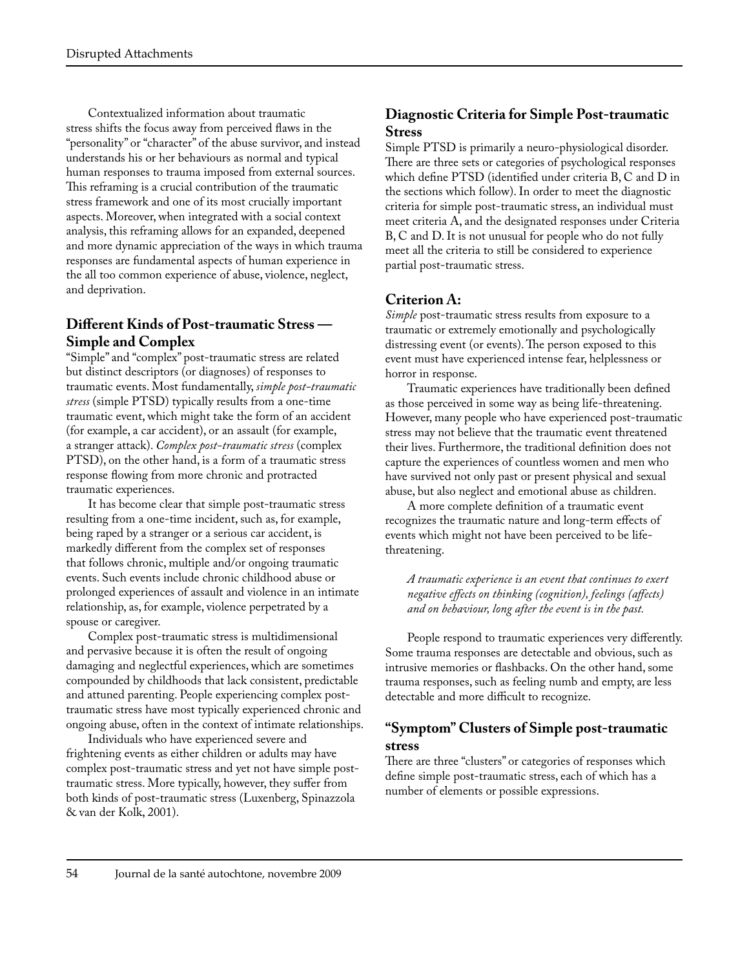Contextualized information about traumatic stress shifts the focus away from perceived flaws in the "personality" or "character" of the abuse survivor, and instead understands his or her behaviours as normal and typical human responses to trauma imposed from external sources. This reframing is a crucial contribution of the traumatic stress framework and one of its most crucially important aspects. Moreover, when integrated with a social context analysis, this reframing allows for an expanded, deepened and more dynamic appreciation of the ways in which trauma responses are fundamental aspects of human experience in the all too common experience of abuse, violence, neglect, and deprivation.

# **Different Kinds of Post-traumatic Stress — Simple and Complex**

"Simple" and "complex" post-traumatic stress are related but distinct descriptors (or diagnoses) of responses to traumatic events. Most fundamentally, *simple post-traumatic stress* (simple PTSD) typically results from a one-time traumatic event, which might take the form of an accident (for example, a car accident), or an assault (for example, a stranger attack). *Complex post-traumatic stress* (complex PTSD), on the other hand, is a form of a traumatic stress response flowing from more chronic and protracted traumatic experiences.

It has become clear that simple post-traumatic stress resulting from a one-time incident, such as, for example, being raped by a stranger or a serious car accident, is markedly different from the complex set of responses that follows chronic, multiple and/or ongoing traumatic events. Such events include chronic childhood abuse or prolonged experiences of assault and violence in an intimate relationship, as, for example, violence perpetrated by a spouse or caregiver.

Complex post-traumatic stress is multidimensional and pervasive because it is often the result of ongoing damaging and neglectful experiences, which are sometimes compounded by childhoods that lack consistent, predictable and attuned parenting. People experiencing complex posttraumatic stress have most typically experienced chronic and ongoing abuse, often in the context of intimate relationships.

Individuals who have experienced severe and frightening events as either children or adults may have complex post-traumatic stress and yet not have simple posttraumatic stress. More typically, however, they suffer from both kinds of post-traumatic stress (Luxenberg, Spinazzola & van der Kolk, 2001).

### **Diagnostic Criteria for Simple Post-traumatic Stress**

Simple PTSD is primarily a neuro-physiological disorder. There are three sets or categories of psychological responses which define PTSD (identified under criteria B, C and D in the sections which follow). In order to meet the diagnostic criteria for simple post-traumatic stress, an individual must meet criteria A, and the designated responses under Criteria B, C and D. It is not unusual for people who do not fully meet all the criteria to still be considered to experience partial post-traumatic stress.

# **Criterion A:**

*Simple* post-traumatic stress results from exposure to a traumatic or extremely emotionally and psychologically distressing event (or events). The person exposed to this event must have experienced intense fear, helplessness or horror in response.

Traumatic experiences have traditionally been defined as those perceived in some way as being life-threatening. However, many people who have experienced post-traumatic stress may not believe that the traumatic event threatened their lives. Furthermore, the traditional definition does not capture the experiences of countless women and men who have survived not only past or present physical and sexual abuse, but also neglect and emotional abuse as children.

A more complete definition of a traumatic event recognizes the traumatic nature and long-term effects of events which might not have been perceived to be lifethreatening.

*A traumatic experience is an event that continues to exert negative effects on thinking (cognition), feelings (affects) and on behaviour, long after the event is in the past.* 

People respond to traumatic experiences very differently. Some trauma responses are detectable and obvious, such as intrusive memories or flashbacks. On the other hand, some trauma responses, such as feeling numb and empty, are less detectable and more difficult to recognize.

### **"Symptom" Clusters of Simple post-traumatic stress**

There are three "clusters" or categories of responses which define simple post-traumatic stress, each of which has a number of elements or possible expressions.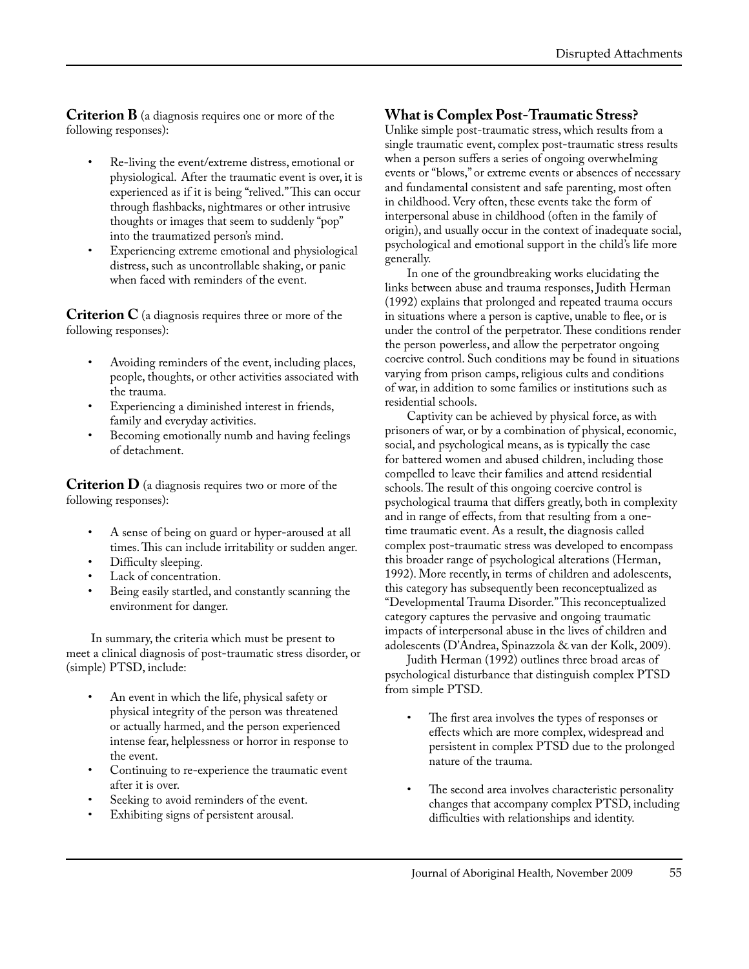**Criterion B** (a diagnosis requires one or more of the following responses):

- Re-living the event/extreme distress, emotional or physiological. After the traumatic event is over, it is experienced as if it is being "relived." This can occur through flashbacks, nightmares or other intrusive thoughts or images that seem to suddenly "pop" into the traumatized person's mind.
- Experiencing extreme emotional and physiological distress, such as uncontrollable shaking, or panic when faced with reminders of the event.

**Criterion C** (a diagnosis requires three or more of the following responses):

- Avoiding reminders of the event, including places, people, thoughts, or other activities associated with the trauma.
- Experiencing a diminished interest in friends, family and everyday activities.
- Becoming emotionally numb and having feelings of detachment.

**Criterion D** (a diagnosis requires two or more of the following responses):

- A sense of being on guard or hyper-aroused at all times. This can include irritability or sudden anger.
- Difficulty sleeping.
- Lack of concentration.
- Being easily startled, and constantly scanning the environment for danger.

 In summary, the criteria which must be present to meet a clinical diagnosis of post-traumatic stress disorder, or (simple) PTSD, include:

- An event in which the life, physical safety or physical integrity of the person was threatened or actually harmed, and the person experienced intense fear, helplessness or horror in response to the event.
- Continuing to re-experience the traumatic event after it is over.
- Seeking to avoid reminders of the event.
- Exhibiting signs of persistent arousal.

#### **What is Complex Post-Traumatic Stress?**

Unlike simple post-traumatic stress, which results from a single traumatic event, complex post-traumatic stress results when a person suffers a series of ongoing overwhelming events or "blows," or extreme events or absences of necessary and fundamental consistent and safe parenting, most often in childhood. Very often, these events take the form of interpersonal abuse in childhood (often in the family of origin), and usually occur in the context of inadequate social, psychological and emotional support in the child's life more generally.

In one of the groundbreaking works elucidating the links between abuse and trauma responses, Judith Herman (1992) explains that prolonged and repeated trauma occurs in situations where a person is captive, unable to flee, or is under the control of the perpetrator. These conditions render the person powerless, and allow the perpetrator ongoing coercive control. Such conditions may be found in situations varying from prison camps, religious cults and conditions of war, in addition to some families or institutions such as residential schools.

Captivity can be achieved by physical force, as with prisoners of war, or by a combination of physical, economic, social, and psychological means, as is typically the case for battered women and abused children, including those compelled to leave their families and attend residential schools. The result of this ongoing coercive control is psychological trauma that differs greatly, both in complexity and in range of effects, from that resulting from a onetime traumatic event. As a result, the diagnosis called complex post-traumatic stress was developed to encompass this broader range of psychological alterations (Herman, 1992). More recently, in terms of children and adolescents, this category has subsequently been reconceptualized as "Developmental Trauma Disorder." This reconceptualized category captures the pervasive and ongoing traumatic impacts of interpersonal abuse in the lives of children and adolescents (D'Andrea, Spinazzola & van der Kolk, 2009).

Judith Herman (1992) outlines three broad areas of psychological disturbance that distinguish complex PTSD from simple PTSD.

- The first area involves the types of responses or effects which are more complex, widespread and persistent in complex PTSD due to the prolonged nature of the trauma.
- The second area involves characteristic personality changes that accompany complex PTSD, including difficulties with relationships and identity.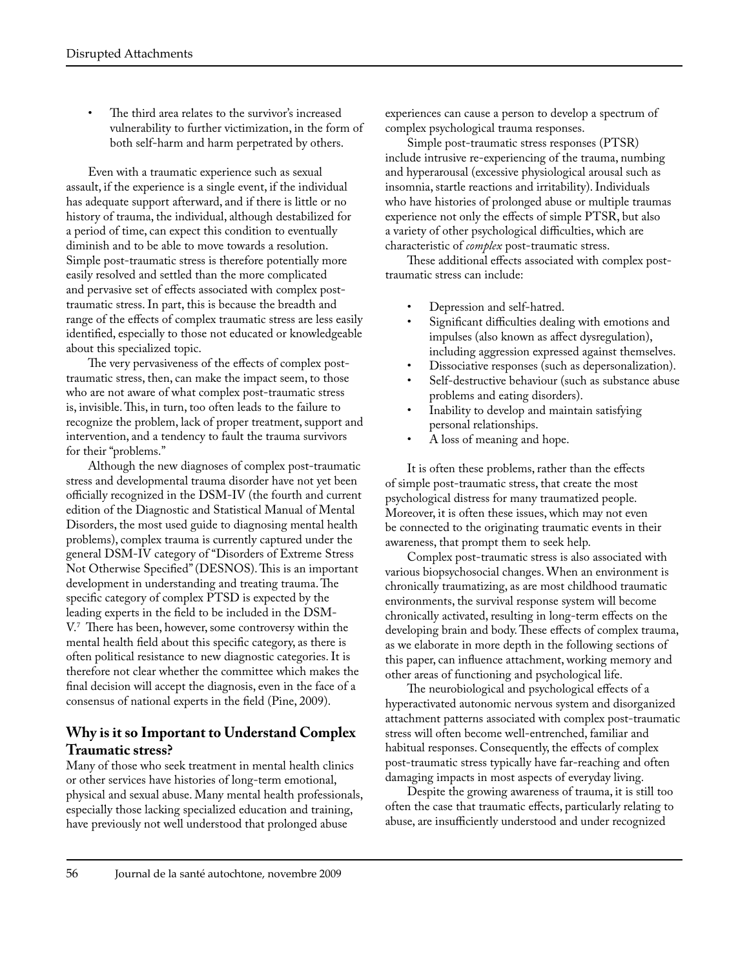The third area relates to the survivor's increased vulnerability to further victimization, in the form of both self-harm and harm perpetrated by others.

Even with a traumatic experience such as sexual assault, if the experience is a single event, if the individual has adequate support afterward, and if there is little or no history of trauma, the individual, although destabilized for a period of time, can expect this condition to eventually diminish and to be able to move towards a resolution. Simple post-traumatic stress is therefore potentially more easily resolved and settled than the more complicated and pervasive set of effects associated with complex posttraumatic stress. In part, this is because the breadth and range of the effects of complex traumatic stress are less easily identified, especially to those not educated or knowledgeable about this specialized topic.

The very pervasiveness of the effects of complex posttraumatic stress, then, can make the impact seem, to those who are not aware of what complex post-traumatic stress is, invisible. This, in turn, too often leads to the failure to recognize the problem, lack of proper treatment, support and intervention, and a tendency to fault the trauma survivors for their "problems."

Although the new diagnoses of complex post-traumatic stress and developmental trauma disorder have not yet been officially recognized in the DSM-IV (the fourth and current edition of the Diagnostic and Statistical Manual of Mental Disorders, the most used guide to diagnosing mental health problems), complex trauma is currently captured under the general DSM-IV category of "Disorders of Extreme Stress Not Otherwise Specified" (DESNOS). This is an important development in understanding and treating trauma. The specific category of complex PTSD is expected by the leading experts in the field to be included in the DSM-V.7 There has been, however, some controversy within the mental health field about this specific category, as there is often political resistance to new diagnostic categories. It is therefore not clear whether the committee which makes the final decision will accept the diagnosis, even in the face of a consensus of national experts in the field (Pine, 2009).

# **Why is it so Important to Understand Complex Traumatic stress?**

Many of those who seek treatment in mental health clinics or other services have histories of long-term emotional, physical and sexual abuse. Many mental health professionals, especially those lacking specialized education and training, have previously not well understood that prolonged abuse

experiences can cause a person to develop a spectrum of complex psychological trauma responses.

Simple post-traumatic stress responses (PTSR) include intrusive re-experiencing of the trauma, numbing and hyperarousal (excessive physiological arousal such as insomnia, startle reactions and irritability). Individuals who have histories of prolonged abuse or multiple traumas experience not only the effects of simple PTSR, but also a variety of other psychological difficulties, which are characteristic of *complex* post-traumatic stress.

These additional effects associated with complex posttraumatic stress can include:

- Depression and self-hatred.
- Significant difficulties dealing with emotions and impulses (also known as affect dysregulation), including aggression expressed against themselves.
- Dissociative responses (such as depersonalization).
- Self-destructive behaviour (such as substance abuse problems and eating disorders).
- Inability to develop and maintain satisfying personal relationships.
- A loss of meaning and hope.

It is often these problems, rather than the effects of simple post-traumatic stress, that create the most psychological distress for many traumatized people. Moreover, it is often these issues, which may not even be connected to the originating traumatic events in their awareness, that prompt them to seek help.

Complex post-traumatic stress is also associated with various biopsychosocial changes. When an environment is chronically traumatizing, as are most childhood traumatic environments, the survival response system will become chronically activated, resulting in long-term effects on the developing brain and body. These effects of complex trauma, as we elaborate in more depth in the following sections of this paper, can influence attachment, working memory and other areas of functioning and psychological life.

The neurobiological and psychological effects of a hyperactivated autonomic nervous system and disorganized attachment patterns associated with complex post-traumatic stress will often become well-entrenched, familiar and habitual responses. Consequently, the effects of complex post-traumatic stress typically have far-reaching and often damaging impacts in most aspects of everyday living.

Despite the growing awareness of trauma, it is still too often the case that traumatic effects, particularly relating to abuse, are insufficiently understood and under recognized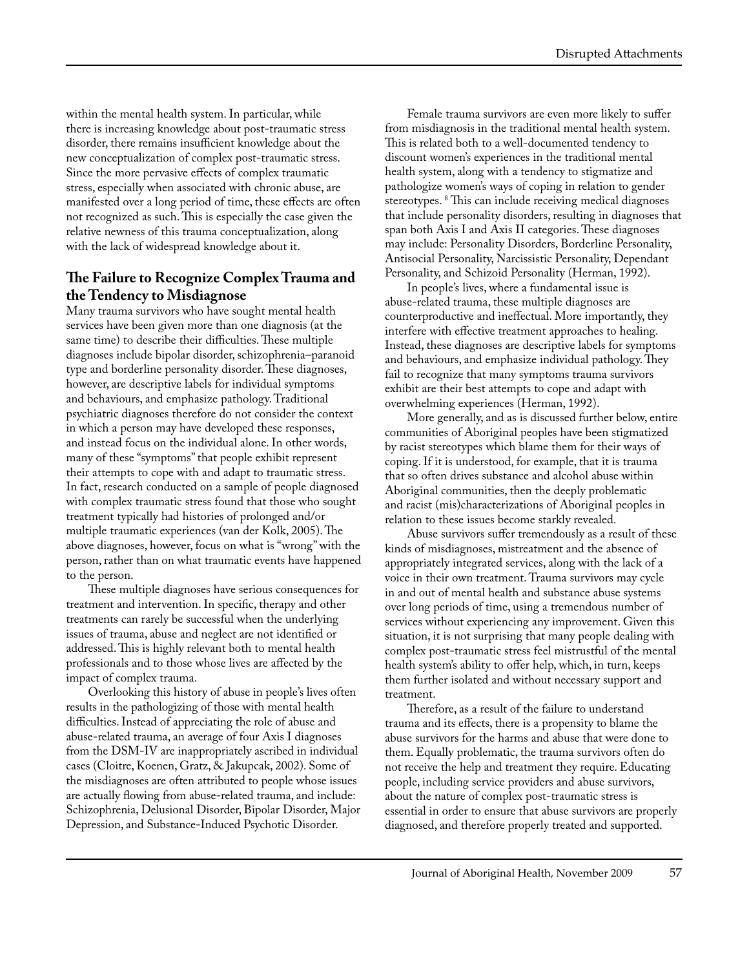within the mental health system. In particular, while there is increasing knowledge about post-traumatic stress disorder, there remains insufficient knowledge about the new conceptualization of complex post-traumatic stress. Since the more pervasive effects of complex traumatic stress, especially when associated with chronic abuse, are manifested over a long period of time, these effects are often not recognized as such. This is especially the case given the relative newness of this trauma conceptualization, along with the lack of widespread knowledge about it.

#### **The Failure to Recognize Complex Trauma and the Tendency to Misdiagnose**

Many trauma survivors who have sought mental health services have been given more than one diagnosis (at the same time) to describe their difficulties. These multiple diagnoses include bipolar disorder, schizophrenia–paranoid type and borderline personality disorder. These diagnoses, however, are descriptive labels for individual symptoms and behaviours, and emphasize pathology. Traditional psychiatric diagnoses therefore do not consider the context in which a person may have developed these responses, and instead focus on the individual alone. In other words, many of these "symptoms" that people exhibit represent their attempts to cope with and adapt to traumatic stress. In fact, research conducted on a sample of people diagnosed with complex traumatic stress found that those who sought treatment typically had histories of prolonged and/or multiple traumatic experiences (van der Kolk, 2005). The above diagnoses, however, focus on what is "wrong" with the person, rather than on what traumatic events have happened to the person.

These multiple diagnoses have serious consequences for treatment and intervention. In specific, therapy and other treatments can rarely be successful when the underlying issues of trauma, abuse and neglect are not identified or addressed. This is highly relevant both to mental health professionals and to those whose lives are affected by the impact of complex trauma.

Overlooking this history of abuse in people's lives often results in the pathologizing of those with mental health difficulties. Instead of appreciating the role of abuse and abuse-related trauma, an average of four Axis I diagnoses from the DSM-IV are inappropriately ascribed in individual cases (Cloitre, Koenen, Gratz, & Jakupcak, 2002). Some of the misdiagnoses are often attributed to people whose issues are actually flowing from abuse-related trauma, and include: Schizophrenia, Delusional Disorder, Bipolar Disorder, Major Depression, and Substance-Induced Psychotic Disorder.

Female trauma survivors are even more likely to suffer from misdiagnosis in the traditional mental health system. This is related both to a well-documented tendency to discount women's experiences in the traditional mental health system, along with a tendency to stigmatize and pathologize women's ways of coping in relation to gender stereotypes. 8 This can include receiving medical diagnoses that include personality disorders, resulting in diagnoses that span both Axis I and Axis II categories. These diagnoses may include: Personality Disorders, Borderline Personality, Antisocial Personality, Narcissistic Personality, Dependant Personality, and Schizoid Personality (Herman, 1992).

In people's lives, where a fundamental issue is abuse-related trauma, these multiple diagnoses are counterproductive and ineffectual. More importantly, they interfere with effective treatment approaches to healing. Instead, these diagnoses are descriptive labels for symptoms and behaviours, and emphasize individual pathology. They fail to recognize that many symptoms trauma survivors exhibit are their best attempts to cope and adapt with overwhelming experiences (Herman, 1992).

More generally, and as is discussed further below, entire communities of Aboriginal peoples have been stigmatized by racist stereotypes which blame them for their ways of coping. If it is understood, for example, that it is trauma that so often drives substance and alcohol abuse within Aboriginal communities, then the deeply problematic and racist (mis)characterizations of Aboriginal peoples in relation to these issues become starkly revealed.

Abuse survivors suffer tremendously as a result of these kinds of misdiagnoses, mistreatment and the absence of appropriately integrated services, along with the lack of a voice in their own treatment. Trauma survivors may cycle in and out of mental health and substance abuse systems over long periods of time, using a tremendous number of services without experiencing any improvement. Given this situation, it is not surprising that many people dealing with complex post-traumatic stress feel mistrustful of the mental health system's ability to offer help, which, in turn, keeps them further isolated and without necessary support and treatment.

Therefore, as a result of the failure to understand trauma and its effects, there is a propensity to blame the abuse survivors for the harms and abuse that were done to them. Equally problematic, the trauma survivors often do not receive the help and treatment they require. Educating people, including service providers and abuse survivors, about the nature of complex post-traumatic stress is essential in order to ensure that abuse survivors are properly diagnosed, and therefore properly treated and supported.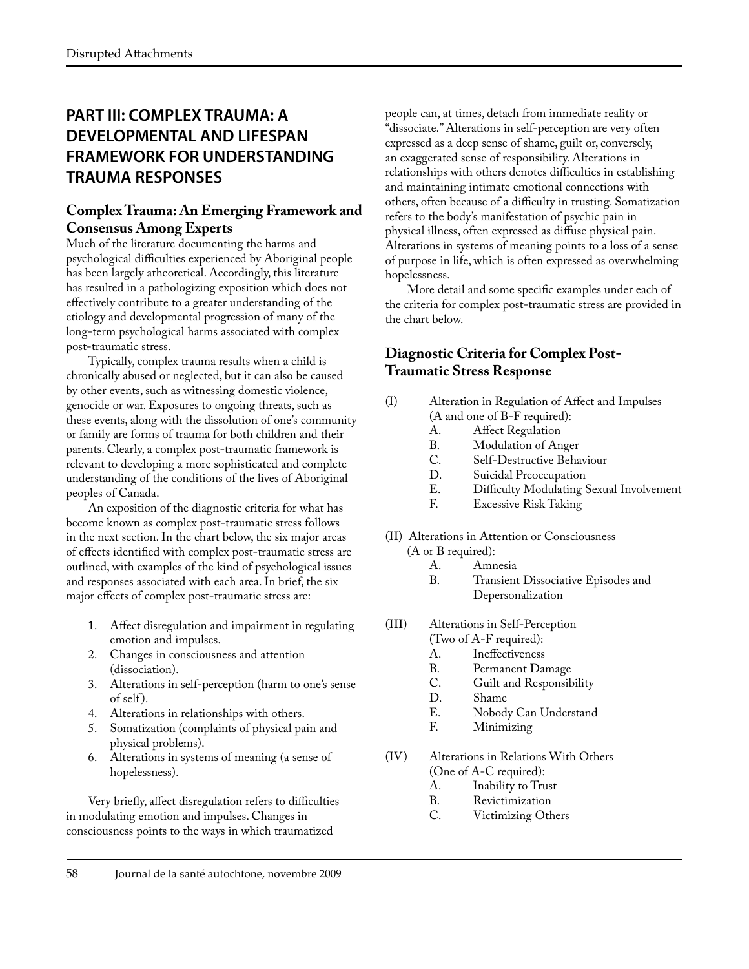# **PART III: COMPLEX TRAUMA: A DEVELOPMENTAL AND LIFESPAN FRAMEWORK FOR UNDERSTANDING TRAUMA RESPONSES**

# **Complex Trauma: An Emerging Framework and Consensus Among Experts**

Much of the literature documenting the harms and psychological difficulties experienced by Aboriginal people has been largely atheoretical. Accordingly, this literature has resulted in a pathologizing exposition which does not effectively contribute to a greater understanding of the etiology and developmental progression of many of the long-term psychological harms associated with complex post-traumatic stress.

Typically, complex trauma results when a child is chronically abused or neglected, but it can also be caused by other events, such as witnessing domestic violence, genocide or war. Exposures to ongoing threats, such as these events, along with the dissolution of one's community or family are forms of trauma for both children and their parents. Clearly, a complex post-traumatic framework is relevant to developing a more sophisticated and complete understanding of the conditions of the lives of Aboriginal peoples of Canada.

An exposition of the diagnostic criteria for what has become known as complex post-traumatic stress follows in the next section. In the chart below, the six major areas of effects identified with complex post-traumatic stress are outlined, with examples of the kind of psychological issues and responses associated with each area. In brief, the six major effects of complex post-traumatic stress are:

- 1. Affect disregulation and impairment in regulating emotion and impulses.
- 2. Changes in consciousness and attention (dissociation).
- 3. Alterations in self-perception (harm to one's sense of self ).
- 4. Alterations in relationships with others.
- 5. Somatization (complaints of physical pain and physical problems).
- 6. Alterations in systems of meaning (a sense of hopelessness).

Very briefly, affect disregulation refers to difficulties in modulating emotion and impulses. Changes in consciousness points to the ways in which traumatized

people can, at times, detach from immediate reality or "dissociate." Alterations in self-perception are very often expressed as a deep sense of shame, guilt or, conversely, an exaggerated sense of responsibility. Alterations in relationships with others denotes difficulties in establishing and maintaining intimate emotional connections with others, often because of a difficulty in trusting. Somatization refers to the body's manifestation of psychic pain in physical illness, often expressed as diffuse physical pain. Alterations in systems of meaning points to a loss of a sense of purpose in life, which is often expressed as overwhelming hopelessness.

More detail and some specific examples under each of the criteria for complex post-traumatic stress are provided in the chart below.

# **Diagnostic Criteria for Complex Post-Traumatic Stress Response**

- (I) Alteration in Regulation of Affect and Impulses (A and one of B-F required):
	-
	- A. Affect Regulation<br>B. Modulation of Ar
	- B. Modulation of Anger<br>C. Self-Destructive Beha C. Self-Destructive Behaviour<br>D. Suicidal Preoccupation
	-
	- D. Suicidal Preoccupation<br>E. Difficulty Modulating E. Difficulty Modulating Sexual Involvement<br>F. Excessive Risk Taking
	- Excessive Risk Taking
- (II) Alterations in Attention or Consciousness
	- (A or B required):<br>A. Amr
		- A. Amnesia<br>B. Transient Transient Dissociative Episodes and Depersonalization
- (III) Alterations in Self-Perception
	- (Two of A-F required):
	- A. Ineffectiveness<br>B. Permanent Da
	- B. Permanent Damage<br>C. Guilt and Responsib C. Guilt and Responsibility
	-
	- D. Shame<br>E. Nobod E. Nobody Can Understand<br>F. Minimizing
	- Minimizing
- (IV) Alterations in Relations With Others (One of A-C required):<br>A. Inability to Tru
	- A. Inability to Trust<br>B. Revictimization
	- B. Revictimization<br>C. Victimizing Otl
	- Victimizing Others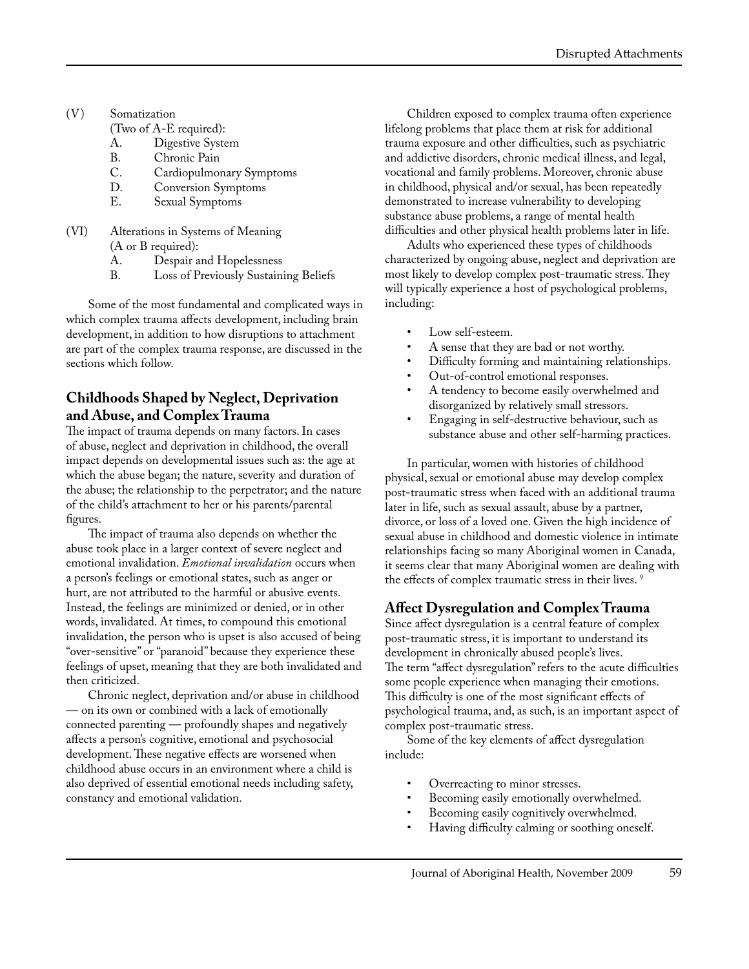- (V) Somatization
	- (Two of A-E required):
	- A. Digestive System<br>B. Chronic Pain
	- B. Chronic Pain<br>C. Cardionulmou
	- C. Cardiopulmonary Symptoms<br>D. Conversion Symptoms
	- D. Conversion Symptoms<br>E. Sexual Symptoms
	- Sexual Symptoms
- (VI) Alterations in Systems of Meaning (A or B required):<br>A. Despair a
	- A. Despair and Hopelessness<br>B. Loss of Previously Sustain
	- Loss of Previously Sustaining Beliefs

Some of the most fundamental and complicated ways in which complex trauma affects development, including brain development, in addition to how disruptions to attachment are part of the complex trauma response, are discussed in the sections which follow.

## **Childhoods Shaped by Neglect, Deprivation and Abuse, and Complex Trauma**

The impact of trauma depends on many factors. In cases of abuse, neglect and deprivation in childhood, the overall impact depends on developmental issues such as: the age at which the abuse began; the nature, severity and duration of the abuse; the relationship to the perpetrator; and the nature of the child's attachment to her or his parents/parental figures.

The impact of trauma also depends on whether the abuse took place in a larger context of severe neglect and emotional invalidation. *Emotional invalidation* occurs when a person's feelings or emotional states, such as anger or hurt, are not attributed to the harmful or abusive events. Instead, the feelings are minimized or denied, or in other words, invalidated. At times, to compound this emotional invalidation, the person who is upset is also accused of being "over-sensitive" or "paranoid" because they experience these feelings of upset, meaning that they are both invalidated and then criticized.

Chronic neglect, deprivation and/or abuse in childhood — on its own or combined with a lack of emotionally connected parenting — profoundly shapes and negatively affects a person's cognitive, emotional and psychosocial development. These negative effects are worsened when childhood abuse occurs in an environment where a child is also deprived of essential emotional needs including safety, constancy and emotional validation.

Children exposed to complex trauma often experience lifelong problems that place them at risk for additional trauma exposure and other difficulties, such as psychiatric and addictive disorders, chronic medical illness, and legal, vocational and family problems. Moreover, chronic abuse in childhood, physical and/or sexual, has been repeatedly demonstrated to increase vulnerability to developing substance abuse problems, a range of mental health difficulties and other physical health problems later in life.

Adults who experienced these types of childhoods characterized by ongoing abuse, neglect and deprivation are most likely to develop complex post-traumatic stress. They will typically experience a host of psychological problems, including:

- Low self-esteem.
- A sense that they are bad or not worthy.
- Difficulty forming and maintaining relationships.
- Out-of-control emotional responses.
- A tendency to become easily overwhelmed and disorganized by relatively small stressors.
- Engaging in self-destructive behaviour, such as substance abuse and other self-harming practices.

In particular, women with histories of childhood physical, sexual or emotional abuse may develop complex post-traumatic stress when faced with an additional trauma later in life, such as sexual assault, abuse by a partner, divorce, or loss of a loved one. Given the high incidence of sexual abuse in childhood and domestic violence in intimate relationships facing so many Aboriginal women in Canada, it seems clear that many Aboriginal women are dealing with the effects of complex traumatic stress in their lives.<sup>9</sup>

#### **Affect Dysregulation and Complex Trauma**

Since affect dysregulation is a central feature of complex post-traumatic stress, it is important to understand its development in chronically abused people's lives. The term "affect dysregulation" refers to the acute difficulties some people experience when managing their emotions. This difficulty is one of the most significant effects of psychological trauma, and, as such, is an important aspect of complex post-traumatic stress.

Some of the key elements of affect dysregulation include:

- Overreacting to minor stresses.
- Becoming easily emotionally overwhelmed.
- Becoming easily cognitively overwhelmed.
- Having difficulty calming or soothing oneself.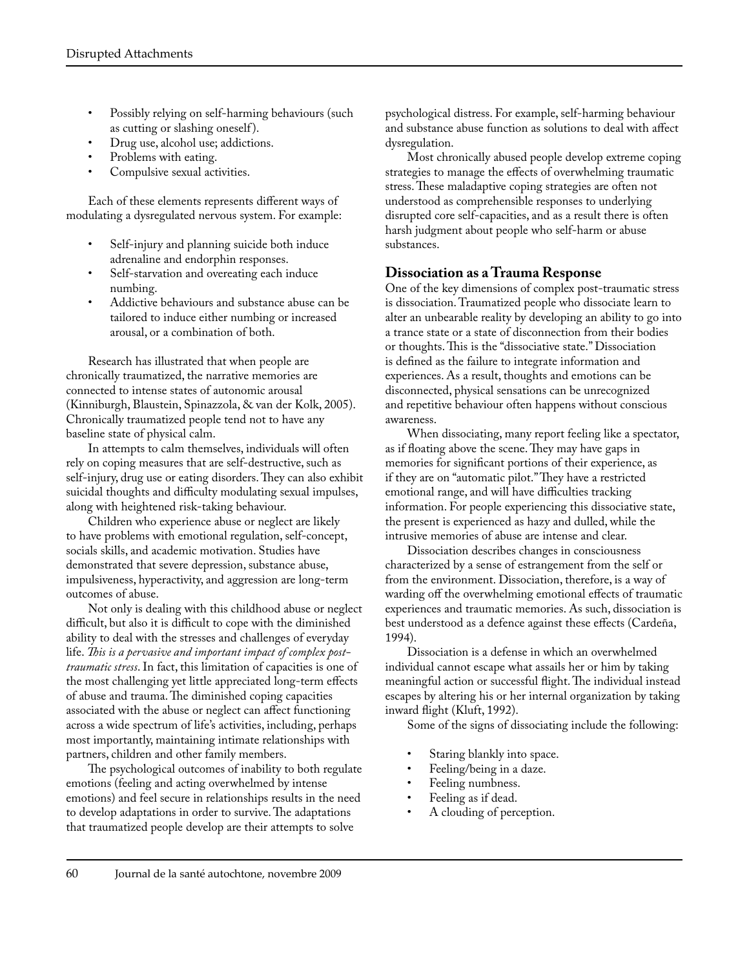- Possibly relying on self-harming behaviours (such as cutting or slashing oneself ).
- Drug use, alcohol use; addictions.
- Problems with eating.
- Compulsive sexual activities.

Each of these elements represents different ways of modulating a dysregulated nervous system. For example:

- Self-injury and planning suicide both induce adrenaline and endorphin responses.
- Self-starvation and overeating each induce numbing.
- Addictive behaviours and substance abuse can be tailored to induce either numbing or increased arousal, or a combination of both.

Research has illustrated that when people are chronically traumatized, the narrative memories are connected to intense states of autonomic arousal (Kinniburgh, Blaustein, Spinazzola, & van der Kolk, 2005). Chronically traumatized people tend not to have any baseline state of physical calm.

In attempts to calm themselves, individuals will often rely on coping measures that are self-destructive, such as self-injury, drug use or eating disorders. They can also exhibit suicidal thoughts and difficulty modulating sexual impulses, along with heightened risk-taking behaviour.

Children who experience abuse or neglect are likely to have problems with emotional regulation, self-concept, socials skills, and academic motivation. Studies have demonstrated that severe depression, substance abuse, impulsiveness, hyperactivity, and aggression are long-term outcomes of abuse.

Not only is dealing with this childhood abuse or neglect difficult, but also it is difficult to cope with the diminished ability to deal with the stresses and challenges of everyday life. *This is a pervasive and important impact of complex posttraumatic stress*. In fact, this limitation of capacities is one of the most challenging yet little appreciated long-term effects of abuse and trauma. The diminished coping capacities associated with the abuse or neglect can affect functioning across a wide spectrum of life's activities, including, perhaps most importantly, maintaining intimate relationships with partners, children and other family members.

The psychological outcomes of inability to both regulate emotions (feeling and acting overwhelmed by intense emotions) and feel secure in relationships results in the need to develop adaptations in order to survive. The adaptations that traumatized people develop are their attempts to solve

psychological distress. For example, self-harming behaviour and substance abuse function as solutions to deal with affect dysregulation.

Most chronically abused people develop extreme coping strategies to manage the effects of overwhelming traumatic stress. These maladaptive coping strategies are often not understood as comprehensible responses to underlying disrupted core self-capacities, and as a result there is often harsh judgment about people who self-harm or abuse substances.

#### **Dissociation as a Trauma Response**

One of the key dimensions of complex post-traumatic stress is dissociation. Traumatized people who dissociate learn to alter an unbearable reality by developing an ability to go into a trance state or a state of disconnection from their bodies or thoughts. This is the "dissociative state." Dissociation is defined as the failure to integrate information and experiences. As a result, thoughts and emotions can be disconnected, physical sensations can be unrecognized and repetitive behaviour often happens without conscious awareness.

When dissociating, many report feeling like a spectator, as if floating above the scene. They may have gaps in memories for significant portions of their experience, as if they are on "automatic pilot." They have a restricted emotional range, and will have difficulties tracking information. For people experiencing this dissociative state, the present is experienced as hazy and dulled, while the intrusive memories of abuse are intense and clear.

Dissociation describes changes in consciousness characterized by a sense of estrangement from the self or from the environment. Dissociation, therefore, is a way of warding off the overwhelming emotional effects of traumatic experiences and traumatic memories. As such, dissociation is best understood as a defence against these effects (Cardeña, 1994).

Dissociation is a defense in which an overwhelmed individual cannot escape what assails her or him by taking meaningful action or successful flight. The individual instead escapes by altering his or her internal organization by taking inward flight (Kluft, 1992).

Some of the signs of dissociating include the following:

- Staring blankly into space.
- Feeling/being in a daze.
- Feeling numbness.
- Feeling as if dead.
- A clouding of perception.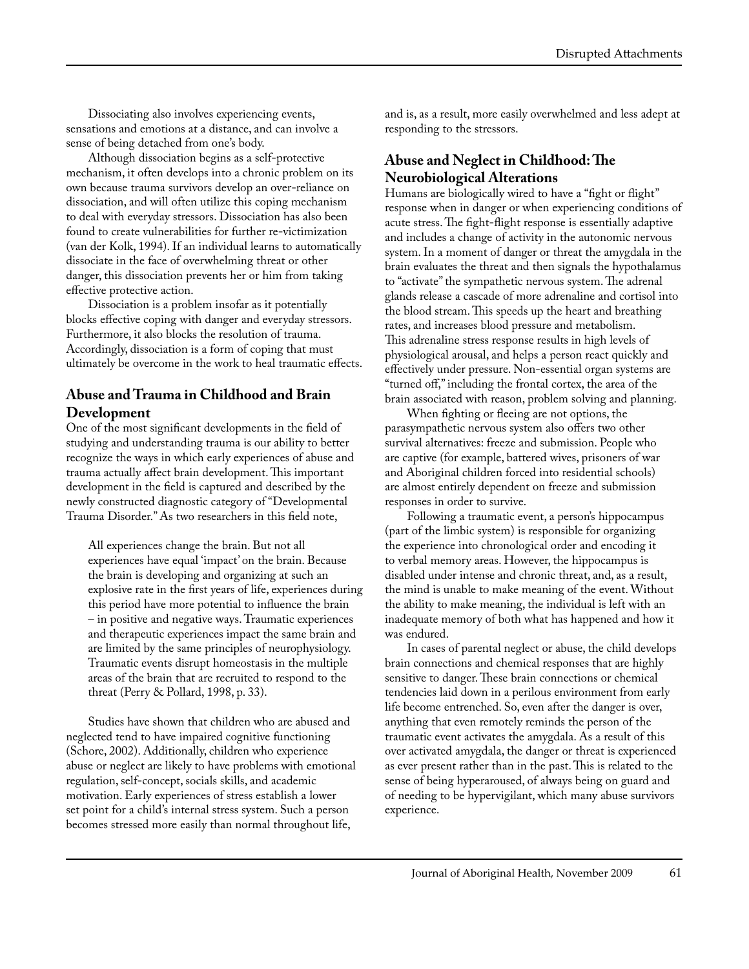Dissociating also involves experiencing events, sensations and emotions at a distance, and can involve a sense of being detached from one's body.

Although dissociation begins as a self-protective mechanism, it often develops into a chronic problem on its own because trauma survivors develop an over-reliance on dissociation, and will often utilize this coping mechanism to deal with everyday stressors. Dissociation has also been found to create vulnerabilities for further re-victimization (van der Kolk, 1994). If an individual learns to automatically dissociate in the face of overwhelming threat or other danger, this dissociation prevents her or him from taking effective protective action.

Dissociation is a problem insofar as it potentially blocks effective coping with danger and everyday stressors. Furthermore, it also blocks the resolution of trauma. Accordingly, dissociation is a form of coping that must ultimately be overcome in the work to heal traumatic effects.

#### **Abuse and Trauma in Childhood and Brain Development**

One of the most significant developments in the field of studying and understanding trauma is our ability to better recognize the ways in which early experiences of abuse and trauma actually affect brain development. This important development in the field is captured and described by the newly constructed diagnostic category of "Developmental Trauma Disorder." As two researchers in this field note,

All experiences change the brain. But not all experiences have equal 'impact' on the brain. Because the brain is developing and organizing at such an explosive rate in the first years of life, experiences during this period have more potential to influence the brain – in positive and negative ways. Traumatic experiences and therapeutic experiences impact the same brain and are limited by the same principles of neurophysiology. Traumatic events disrupt homeostasis in the multiple areas of the brain that are recruited to respond to the threat (Perry & Pollard, 1998, p. 33).

Studies have shown that children who are abused and neglected tend to have impaired cognitive functioning (Schore, 2002). Additionally, children who experience abuse or neglect are likely to have problems with emotional regulation, self-concept, socials skills, and academic motivation. Early experiences of stress establish a lower set point for a child's internal stress system. Such a person becomes stressed more easily than normal throughout life,

and is, as a result, more easily overwhelmed and less adept at responding to the stressors.

#### **Abuse and Neglect in Childhood: The Neurobiological Alterations**

Humans are biologically wired to have a "fight or flight" response when in danger or when experiencing conditions of acute stress. The fight-flight response is essentially adaptive and includes a change of activity in the autonomic nervous system. In a moment of danger or threat the amygdala in the brain evaluates the threat and then signals the hypothalamus to "activate" the sympathetic nervous system. The adrenal glands release a cascade of more adrenaline and cortisol into the blood stream. This speeds up the heart and breathing rates, and increases blood pressure and metabolism. This adrenaline stress response results in high levels of physiological arousal, and helps a person react quickly and effectively under pressure. Non-essential organ systems are "turned off," including the frontal cortex, the area of the brain associated with reason, problem solving and planning.

When fighting or fleeing are not options, the parasympathetic nervous system also offers two other survival alternatives: freeze and submission. People who are captive (for example, battered wives, prisoners of war and Aboriginal children forced into residential schools) are almost entirely dependent on freeze and submission responses in order to survive.

Following a traumatic event, a person's hippocampus (part of the limbic system) is responsible for organizing the experience into chronological order and encoding it to verbal memory areas. However, the hippocampus is disabled under intense and chronic threat, and, as a result, the mind is unable to make meaning of the event. Without the ability to make meaning, the individual is left with an inadequate memory of both what has happened and how it was endured.

In cases of parental neglect or abuse, the child develops brain connections and chemical responses that are highly sensitive to danger. These brain connections or chemical tendencies laid down in a perilous environment from early life become entrenched. So, even after the danger is over, anything that even remotely reminds the person of the traumatic event activates the amygdala. As a result of this over activated amygdala, the danger or threat is experienced as ever present rather than in the past. This is related to the sense of being hyperaroused, of always being on guard and of needing to be hypervigilant, which many abuse survivors experience.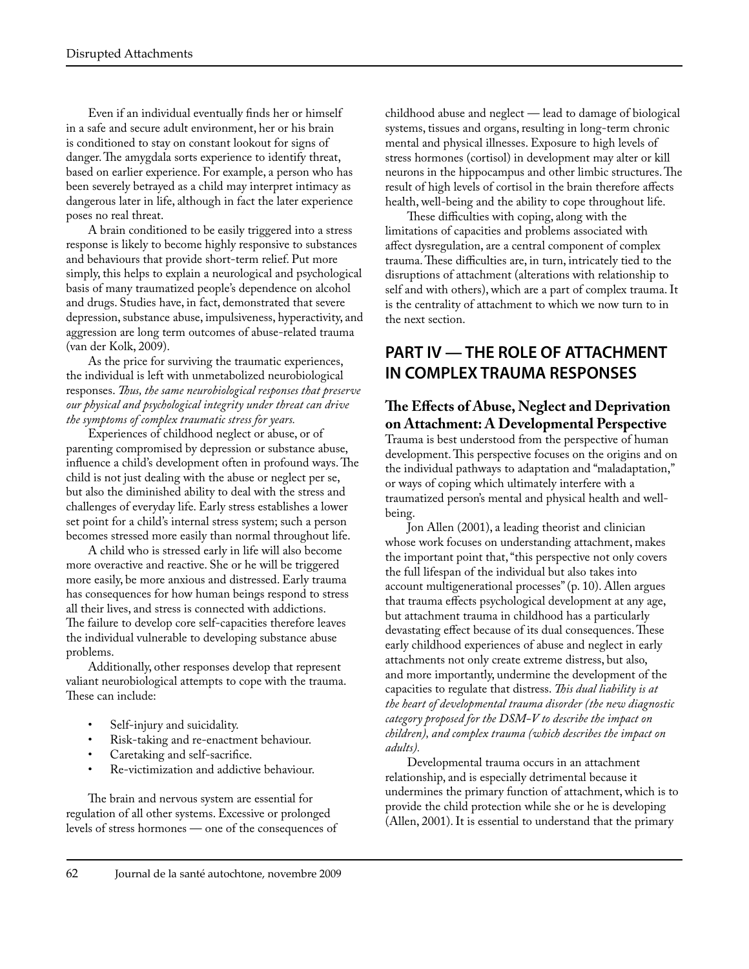Even if an individual eventually finds her or himself in a safe and secure adult environment, her or his brain is conditioned to stay on constant lookout for signs of danger. The amygdala sorts experience to identify threat, based on earlier experience. For example, a person who has been severely betrayed as a child may interpret intimacy as dangerous later in life, although in fact the later experience poses no real threat.

A brain conditioned to be easily triggered into a stress response is likely to become highly responsive to substances and behaviours that provide short-term relief. Put more simply, this helps to explain a neurological and psychological basis of many traumatized people's dependence on alcohol and drugs. Studies have, in fact, demonstrated that severe depression, substance abuse, impulsiveness, hyperactivity, and aggression are long term outcomes of abuse-related trauma (van der Kolk, 2009).

As the price for surviving the traumatic experiences, the individual is left with unmetabolized neurobiological responses. *Thus, the same neurobiological responses that preserve our physical and psychological integrity under threat can drive the symptoms of complex traumatic stress for years.*

Experiences of childhood neglect or abuse, or of parenting compromised by depression or substance abuse, influence a child's development often in profound ways. The child is not just dealing with the abuse or neglect per se, but also the diminished ability to deal with the stress and challenges of everyday life. Early stress establishes a lower set point for a child's internal stress system; such a person becomes stressed more easily than normal throughout life.

A child who is stressed early in life will also become more overactive and reactive. She or he will be triggered more easily, be more anxious and distressed. Early trauma has consequences for how human beings respond to stress all their lives, and stress is connected with addictions. The failure to develop core self-capacities therefore leaves the individual vulnerable to developing substance abuse problems.

Additionally, other responses develop that represent valiant neurobiological attempts to cope with the trauma. These can include:

- Self-injury and suicidality.
- Risk-taking and re-enactment behaviour.
- Caretaking and self-sacrifice.
- Re-victimization and addictive behaviour.

The brain and nervous system are essential for regulation of all other systems. Excessive or prolonged levels of stress hormones — one of the consequences of childhood abuse and neglect — lead to damage of biological systems, tissues and organs, resulting in long-term chronic mental and physical illnesses. Exposure to high levels of stress hormones (cortisol) in development may alter or kill neurons in the hippocampus and other limbic structures. The result of high levels of cortisol in the brain therefore affects health, well-being and the ability to cope throughout life.

These difficulties with coping, along with the limitations of capacities and problems associated with affect dysregulation, are a central component of complex trauma. These difficulties are, in turn, intricately tied to the disruptions of attachment (alterations with relationship to self and with others), which are a part of complex trauma. It is the centrality of attachment to which we now turn to in the next section.

# **PART IV — THE ROLE OF ATTACHMENT IN COMPLEX TRAUMA RESPONSES**

# **The Effects of Abuse, Neglect and Deprivation on Attachment: A Developmental Perspective**

Trauma is best understood from the perspective of human development. This perspective focuses on the origins and on the individual pathways to adaptation and "maladaptation," or ways of coping which ultimately interfere with a traumatized person's mental and physical health and wellbeing.

Jon Allen (2001), a leading theorist and clinician whose work focuses on understanding attachment, makes the important point that, "this perspective not only covers the full lifespan of the individual but also takes into account multigenerational processes" (p. 10). Allen argues that trauma effects psychological development at any age, but attachment trauma in childhood has a particularly devastating effect because of its dual consequences. These early childhood experiences of abuse and neglect in early attachments not only create extreme distress, but also, and more importantly, undermine the development of the capacities to regulate that distress. *This dual liability is at the heart of developmental trauma disorder (the new diagnostic category proposed for the DSM-V to describe the impact on children), and complex trauma (which describes the impact on adults).*

Developmental trauma occurs in an attachment relationship, and is especially detrimental because it undermines the primary function of attachment, which is to provide the child protection while she or he is developing (Allen, 2001). It is essential to understand that the primary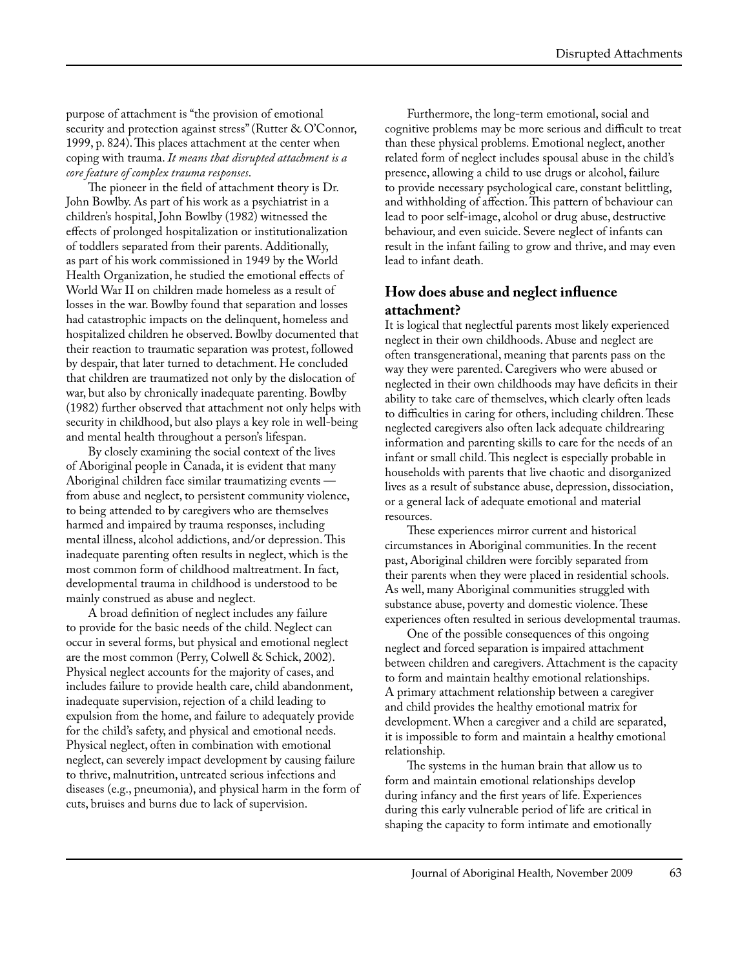purpose of attachment is "the provision of emotional security and protection against stress" (Rutter & O'Connor, 1999, p. 824). This places attachment at the center when coping with trauma. *It means that disrupted attachment is a core feature of complex trauma responses*.

The pioneer in the field of attachment theory is Dr. John Bowlby. As part of his work as a psychiatrist in a children's hospital, John Bowlby (1982) witnessed the effects of prolonged hospitalization or institutionalization of toddlers separated from their parents. Additionally, as part of his work commissioned in 1949 by the World Health Organization, he studied the emotional effects of World War II on children made homeless as a result of losses in the war. Bowlby found that separation and losses had catastrophic impacts on the delinquent, homeless and hospitalized children he observed. Bowlby documented that their reaction to traumatic separation was protest, followed by despair, that later turned to detachment. He concluded that children are traumatized not only by the dislocation of war, but also by chronically inadequate parenting. Bowlby (1982) further observed that attachment not only helps with security in childhood, but also plays a key role in well-being and mental health throughout a person's lifespan.

By closely examining the social context of the lives of Aboriginal people in Canada, it is evident that many Aboriginal children face similar traumatizing events from abuse and neglect, to persistent community violence, to being attended to by caregivers who are themselves harmed and impaired by trauma responses, including mental illness, alcohol addictions, and/or depression. This inadequate parenting often results in neglect, which is the most common form of childhood maltreatment. In fact, developmental trauma in childhood is understood to be mainly construed as abuse and neglect.

A broad definition of neglect includes any failure to provide for the basic needs of the child. Neglect can occur in several forms, but physical and emotional neglect are the most common (Perry, Colwell & Schick, 2002). Physical neglect accounts for the majority of cases, and includes failure to provide health care, child abandonment, inadequate supervision, rejection of a child leading to expulsion from the home, and failure to adequately provide for the child's safety, and physical and emotional needs. Physical neglect, often in combination with emotional neglect, can severely impact development by causing failure to thrive, malnutrition, untreated serious infections and diseases (e.g., pneumonia), and physical harm in the form of cuts, bruises and burns due to lack of supervision.

Furthermore, the long-term emotional, social and cognitive problems may be more serious and difficult to treat than these physical problems. Emotional neglect, another related form of neglect includes spousal abuse in the child's presence, allowing a child to use drugs or alcohol, failure to provide necessary psychological care, constant belittling, and withholding of affection. This pattern of behaviour can lead to poor self-image, alcohol or drug abuse, destructive behaviour, and even suicide. Severe neglect of infants can result in the infant failing to grow and thrive, and may even lead to infant death.

#### **How does abuse and neglect influence attachment?**

It is logical that neglectful parents most likely experienced neglect in their own childhoods. Abuse and neglect are often transgenerational, meaning that parents pass on the way they were parented. Caregivers who were abused or neglected in their own childhoods may have deficits in their ability to take care of themselves, which clearly often leads to difficulties in caring for others, including children. These neglected caregivers also often lack adequate childrearing information and parenting skills to care for the needs of an infant or small child. This neglect is especially probable in households with parents that live chaotic and disorganized lives as a result of substance abuse, depression, dissociation, or a general lack of adequate emotional and material resources.

These experiences mirror current and historical circumstances in Aboriginal communities. In the recent past, Aboriginal children were forcibly separated from their parents when they were placed in residential schools. As well, many Aboriginal communities struggled with substance abuse, poverty and domestic violence. These experiences often resulted in serious developmental traumas.

One of the possible consequences of this ongoing neglect and forced separation is impaired attachment between children and caregivers. Attachment is the capacity to form and maintain healthy emotional relationships. A primary attachment relationship between a caregiver and child provides the healthy emotional matrix for development. When a caregiver and a child are separated, it is impossible to form and maintain a healthy emotional relationship.

The systems in the human brain that allow us to form and maintain emotional relationships develop during infancy and the first years of life. Experiences during this early vulnerable period of life are critical in shaping the capacity to form intimate and emotionally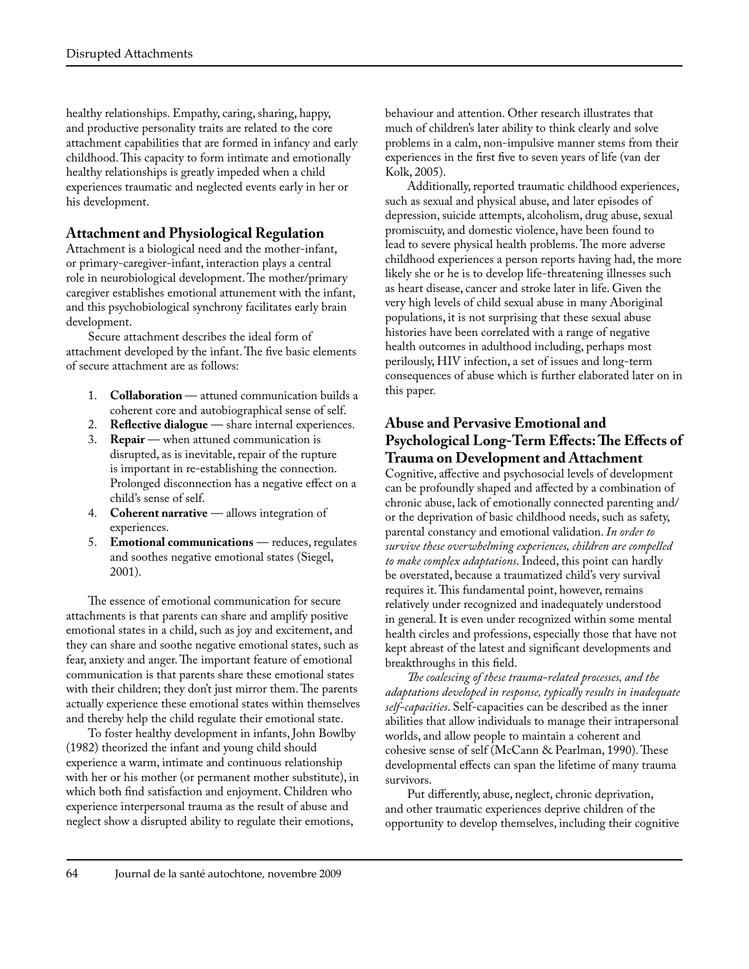healthy relationships. Empathy, caring, sharing, happy, and productive personality traits are related to the core attachment capabilities that are formed in infancy and early childhood. This capacity to form intimate and emotionally healthy relationships is greatly impeded when a child experiences traumatic and neglected events early in her or his development.

#### **Attachment and Physiological Regulation**

Attachment is a biological need and the mother-infant, or primary-caregiver-infant, interaction plays a central role in neurobiological development. The mother/primary caregiver establishes emotional attunement with the infant, and this psychobiological synchrony facilitates early brain development.

Secure attachment describes the ideal form of attachment developed by the infant. The five basic elements of secure attachment are as follows:

- 1. **Collaboration**  attuned communication builds a coherent core and autobiographical sense of self.
- 2. **Reflective dialogue** share internal experiences.
- 3. **Repair** when attuned communication is disrupted, as is inevitable, repair of the rupture is important in re-establishing the connection. Prolonged disconnection has a negative effect on a child's sense of self.
- 4. **Coherent narrative** allows integration of experiences.
- 5. **Emotional communications** reduces, regulates and soothes negative emotional states (Siegel, 2001).

The essence of emotional communication for secure attachments is that parents can share and amplify positive emotional states in a child, such as joy and excitement, and they can share and soothe negative emotional states, such as fear, anxiety and anger. The important feature of emotional communication is that parents share these emotional states with their children; they don't just mirror them. The parents actually experience these emotional states within themselves and thereby help the child regulate their emotional state.

To foster healthy development in infants, John Bowlby (1982) theorized the infant and young child should experience a warm, intimate and continuous relationship with her or his mother (or permanent mother substitute), in which both find satisfaction and enjoyment. Children who experience interpersonal trauma as the result of abuse and neglect show a disrupted ability to regulate their emotions,

behaviour and attention. Other research illustrates that much of children's later ability to think clearly and solve problems in a calm, non-impulsive manner stems from their experiences in the first five to seven years of life (van der Kolk, 2005).

Additionally, reported traumatic childhood experiences, such as sexual and physical abuse, and later episodes of depression, suicide attempts, alcoholism, drug abuse, sexual promiscuity, and domestic violence, have been found to lead to severe physical health problems. The more adverse childhood experiences a person reports having had, the more likely she or he is to develop life-threatening illnesses such as heart disease, cancer and stroke later in life. Given the very high levels of child sexual abuse in many Aboriginal populations, it is not surprising that these sexual abuse histories have been correlated with a range of negative health outcomes in adulthood including, perhaps most perilously, HIV infection, a set of issues and long-term consequences of abuse which is further elaborated later on in this paper.

#### **Abuse and Pervasive Emotional and Psychological Long-Term Effects: The Effects of Trauma on Development and Attachment**

Cognitive, affective and psychosocial levels of development can be profoundly shaped and affected by a combination of chronic abuse, lack of emotionally connected parenting and/ or the deprivation of basic childhood needs, such as safety, parental constancy and emotional validation. *In order to survive these overwhelming experiences, children are compelled to make complex adaptations*. Indeed, this point can hardly be overstated, because a traumatized child's very survival requires it. This fundamental point, however, remains relatively under recognized and inadequately understood in general. It is even under recognized within some mental health circles and professions, especially those that have not kept abreast of the latest and significant developments and breakthroughs in this field.

*The coalescing of these trauma-related processes, and the adaptations developed in response, typically results in inadequate self-capacities*. Self-capacities can be described as the inner abilities that allow individuals to manage their intrapersonal worlds, and allow people to maintain a coherent and cohesive sense of self (McCann & Pearlman, 1990). These developmental effects can span the lifetime of many trauma survivors.

Put differently, abuse, neglect, chronic deprivation, and other traumatic experiences deprive children of the opportunity to develop themselves, including their cognitive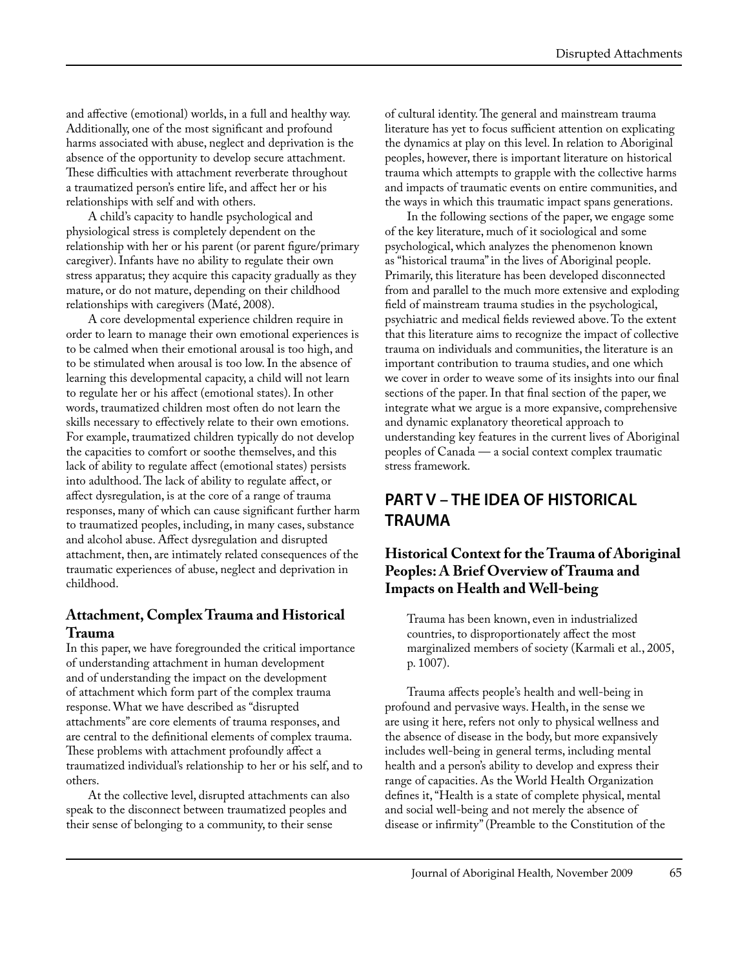and affective (emotional) worlds, in a full and healthy way. Additionally, one of the most significant and profound harms associated with abuse, neglect and deprivation is the absence of the opportunity to develop secure attachment. These difficulties with attachment reverberate throughout a traumatized person's entire life, and affect her or his relationships with self and with others.

A child's capacity to handle psychological and physiological stress is completely dependent on the relationship with her or his parent (or parent figure/primary caregiver). Infants have no ability to regulate their own stress apparatus; they acquire this capacity gradually as they mature, or do not mature, depending on their childhood relationships with caregivers (Maté, 2008).

A core developmental experience children require in order to learn to manage their own emotional experiences is to be calmed when their emotional arousal is too high, and to be stimulated when arousal is too low. In the absence of learning this developmental capacity, a child will not learn to regulate her or his affect (emotional states). In other words, traumatized children most often do not learn the skills necessary to effectively relate to their own emotions. For example, traumatized children typically do not develop the capacities to comfort or soothe themselves, and this lack of ability to regulate affect (emotional states) persists into adulthood. The lack of ability to regulate affect, or affect dysregulation, is at the core of a range of trauma responses, many of which can cause significant further harm to traumatized peoples, including, in many cases, substance and alcohol abuse. Affect dysregulation and disrupted attachment, then, are intimately related consequences of the traumatic experiences of abuse, neglect and deprivation in childhood.

#### **Attachment, Complex Trauma and Historical Trauma**

In this paper, we have foregrounded the critical importance of understanding attachment in human development and of understanding the impact on the development of attachment which form part of the complex trauma response. What we have described as "disrupted attachments" are core elements of trauma responses, and are central to the definitional elements of complex trauma. These problems with attachment profoundly affect a traumatized individual's relationship to her or his self, and to others.

At the collective level, disrupted attachments can also speak to the disconnect between traumatized peoples and their sense of belonging to a community, to their sense

of cultural identity. The general and mainstream trauma literature has yet to focus sufficient attention on explicating the dynamics at play on this level. In relation to Aboriginal peoples, however, there is important literature on historical trauma which attempts to grapple with the collective harms and impacts of traumatic events on entire communities, and the ways in which this traumatic impact spans generations.

In the following sections of the paper, we engage some of the key literature, much of it sociological and some psychological, which analyzes the phenomenon known as "historical trauma" in the lives of Aboriginal people. Primarily, this literature has been developed disconnected from and parallel to the much more extensive and exploding field of mainstream trauma studies in the psychological, psychiatric and medical fields reviewed above. To the extent that this literature aims to recognize the impact of collective trauma on individuals and communities, the literature is an important contribution to trauma studies, and one which we cover in order to weave some of its insights into our final sections of the paper. In that final section of the paper, we integrate what we argue is a more expansive, comprehensive and dynamic explanatory theoretical approach to understanding key features in the current lives of Aboriginal peoples of Canada — a social context complex traumatic stress framework.

# **PART V – THE IDEA OF HISTORICAL TRAUMA**

### **Historical Context for the Trauma of Aboriginal Peoples: A Brief Overview of Trauma and Impacts on Health and Well-being**

Trauma has been known, even in industrialized countries, to disproportionately affect the most marginalized members of society (Karmali et al., 2005, p. 1007).

Trauma affects people's health and well-being in profound and pervasive ways. Health, in the sense we are using it here, refers not only to physical wellness and the absence of disease in the body, but more expansively includes well-being in general terms, including mental health and a person's ability to develop and express their range of capacities. As the World Health Organization defines it, "Health is a state of complete physical, mental and social well-being and not merely the absence of disease or infirmity" (Preamble to the Constitution of the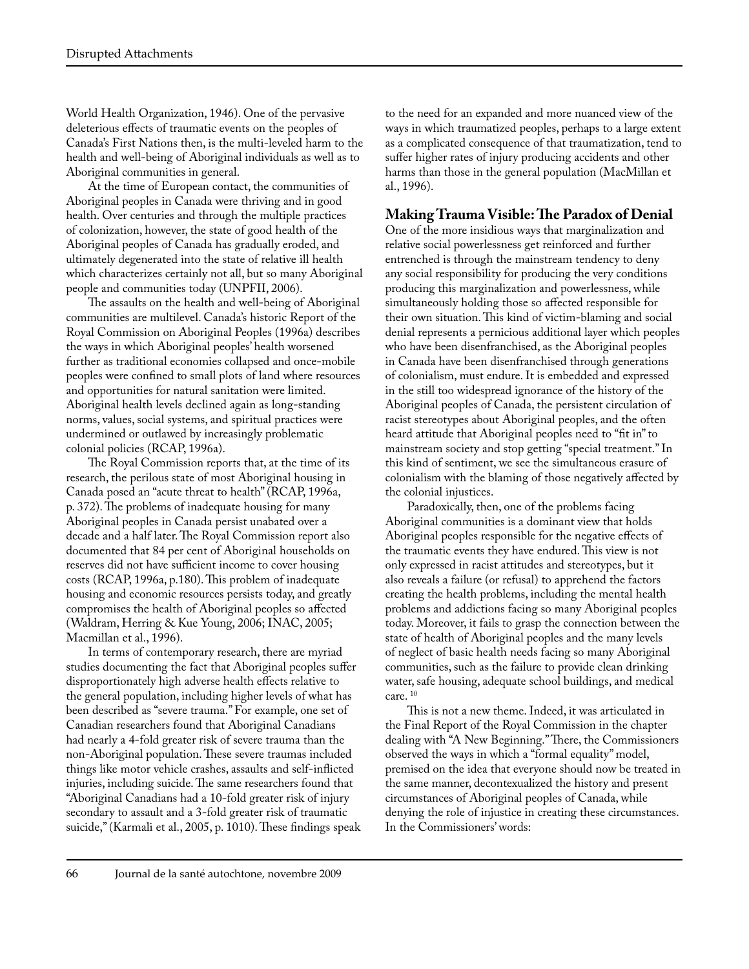World Health Organization, 1946). One of the pervasive deleterious effects of traumatic events on the peoples of Canada's First Nations then, is the multi-leveled harm to the health and well-being of Aboriginal individuals as well as to Aboriginal communities in general.

At the time of European contact, the communities of Aboriginal peoples in Canada were thriving and in good health. Over centuries and through the multiple practices of colonization, however, the state of good health of the Aboriginal peoples of Canada has gradually eroded, and ultimately degenerated into the state of relative ill health which characterizes certainly not all, but so many Aboriginal people and communities today (UNPFII, 2006).

The assaults on the health and well-being of Aboriginal communities are multilevel. Canada's historic Report of the Royal Commission on Aboriginal Peoples (1996a) describes the ways in which Aboriginal peoples' health worsened further as traditional economies collapsed and once-mobile peoples were confined to small plots of land where resources and opportunities for natural sanitation were limited. Aboriginal health levels declined again as long-standing norms, values, social systems, and spiritual practices were undermined or outlawed by increasingly problematic colonial policies (RCAP, 1996a).

The Royal Commission reports that, at the time of its research, the perilous state of most Aboriginal housing in Canada posed an "acute threat to health" (RCAP, 1996a, p. 372). The problems of inadequate housing for many Aboriginal peoples in Canada persist unabated over a decade and a half later. The Royal Commission report also documented that 84 per cent of Aboriginal households on reserves did not have sufficient income to cover housing costs (RCAP, 1996a, p.180). This problem of inadequate housing and economic resources persists today, and greatly compromises the health of Aboriginal peoples so affected (Waldram, Herring & Kue Young, 2006; INAC, 2005; Macmillan et al., 1996).

In terms of contemporary research, there are myriad studies documenting the fact that Aboriginal peoples suffer disproportionately high adverse health effects relative to the general population, including higher levels of what has been described as "severe trauma." For example, one set of Canadian researchers found that Aboriginal Canadians had nearly a 4-fold greater risk of severe trauma than the non-Aboriginal population. These severe traumas included things like motor vehicle crashes, assaults and self-inflicted injuries, including suicide. The same researchers found that "Aboriginal Canadians had a 10-fold greater risk of injury secondary to assault and a 3-fold greater risk of traumatic suicide," (Karmali et al., 2005, p. 1010). These findings speak to the need for an expanded and more nuanced view of the ways in which traumatized peoples, perhaps to a large extent as a complicated consequence of that traumatization, tend to suffer higher rates of injury producing accidents and other harms than those in the general population (MacMillan et al., 1996).

#### **Making Trauma Visible: The Paradox of Denial**

One of the more insidious ways that marginalization and relative social powerlessness get reinforced and further entrenched is through the mainstream tendency to deny any social responsibility for producing the very conditions producing this marginalization and powerlessness, while simultaneously holding those so affected responsible for their own situation. This kind of victim-blaming and social denial represents a pernicious additional layer which peoples who have been disenfranchised, as the Aboriginal peoples in Canada have been disenfranchised through generations of colonialism, must endure. It is embedded and expressed in the still too widespread ignorance of the history of the Aboriginal peoples of Canada, the persistent circulation of racist stereotypes about Aboriginal peoples, and the often heard attitude that Aboriginal peoples need to "fit in" to mainstream society and stop getting "special treatment." In this kind of sentiment, we see the simultaneous erasure of colonialism with the blaming of those negatively affected by the colonial injustices.

Paradoxically, then, one of the problems facing Aboriginal communities is a dominant view that holds Aboriginal peoples responsible for the negative effects of the traumatic events they have endured. This view is not only expressed in racist attitudes and stereotypes, but it also reveals a failure (or refusal) to apprehend the factors creating the health problems, including the mental health problems and addictions facing so many Aboriginal peoples today. Moreover, it fails to grasp the connection between the state of health of Aboriginal peoples and the many levels of neglect of basic health needs facing so many Aboriginal communities, such as the failure to provide clean drinking water, safe housing, adequate school buildings, and medical care.<sup>10</sup>

This is not a new theme. Indeed, it was articulated in the Final Report of the Royal Commission in the chapter dealing with "A New Beginning." There, the Commissioners observed the ways in which a "formal equality" model, premised on the idea that everyone should now be treated in the same manner, decontexualized the history and present circumstances of Aboriginal peoples of Canada, while denying the role of injustice in creating these circumstances. In the Commissioners' words: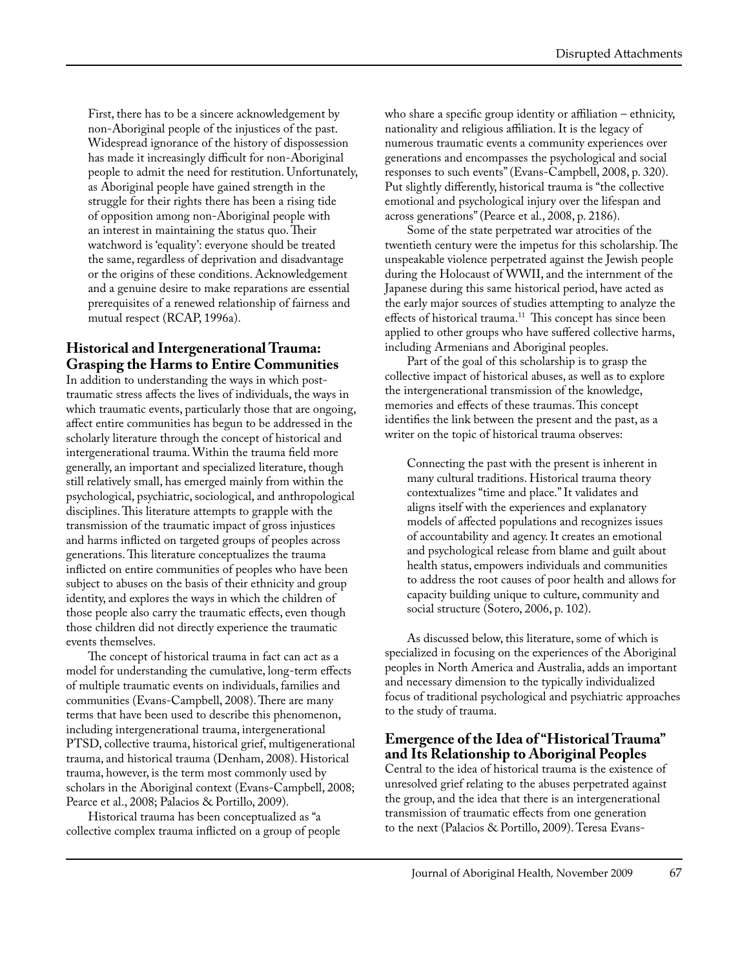First, there has to be a sincere acknowledgement by non-Aboriginal people of the injustices of the past. Widespread ignorance of the history of dispossession has made it increasingly difficult for non-Aboriginal people to admit the need for restitution. Unfortunately, as Aboriginal people have gained strength in the struggle for their rights there has been a rising tide of opposition among non-Aboriginal people with an interest in maintaining the status quo. Their watchword is 'equality': everyone should be treated the same, regardless of deprivation and disadvantage or the origins of these conditions. Acknowledgement and a genuine desire to make reparations are essential prerequisites of a renewed relationship of fairness and mutual respect (RCAP, 1996a).

### **Historical and Intergenerational Trauma: Grasping the Harms to Entire Communities**

In addition to understanding the ways in which posttraumatic stress affects the lives of individuals, the ways in which traumatic events, particularly those that are ongoing, affect entire communities has begun to be addressed in the scholarly literature through the concept of historical and intergenerational trauma. Within the trauma field more generally, an important and specialized literature, though still relatively small, has emerged mainly from within the psychological, psychiatric, sociological, and anthropological disciplines. This literature attempts to grapple with the transmission of the traumatic impact of gross injustices and harms inflicted on targeted groups of peoples across generations. This literature conceptualizes the trauma inflicted on entire communities of peoples who have been subject to abuses on the basis of their ethnicity and group identity, and explores the ways in which the children of those people also carry the traumatic effects, even though those children did not directly experience the traumatic events themselves.

The concept of historical trauma in fact can act as a model for understanding the cumulative, long-term effects of multiple traumatic events on individuals, families and communities (Evans-Campbell, 2008). There are many terms that have been used to describe this phenomenon, including intergenerational trauma, intergenerational PTSD, collective trauma, historical grief, multigenerational trauma, and historical trauma (Denham, 2008). Historical trauma, however, is the term most commonly used by scholars in the Aboriginal context (Evans-Campbell, 2008; Pearce et al., 2008; Palacios & Portillo, 2009).

Historical trauma has been conceptualized as "a collective complex trauma inflicted on a group of people who share a specific group identity or affiliation – ethnicity, nationality and religious affiliation. It is the legacy of numerous traumatic events a community experiences over generations and encompasses the psychological and social responses to such events" (Evans-Campbell, 2008, p. 320). Put slightly differently, historical trauma is "the collective emotional and psychological injury over the lifespan and across generations" (Pearce et al., 2008, p. 2186).

Some of the state perpetrated war atrocities of the twentieth century were the impetus for this scholarship. The unspeakable violence perpetrated against the Jewish people during the Holocaust of WWII, and the internment of the Japanese during this same historical period, have acted as the early major sources of studies attempting to analyze the effects of historical trauma.<sup>11</sup> This concept has since been applied to other groups who have suffered collective harms, including Armenians and Aboriginal peoples.

Part of the goal of this scholarship is to grasp the collective impact of historical abuses, as well as to explore the intergenerational transmission of the knowledge, memories and effects of these traumas. This concept identifies the link between the present and the past, as a writer on the topic of historical trauma observes:

Connecting the past with the present is inherent in many cultural traditions. Historical trauma theory contextualizes "time and place." It validates and aligns itself with the experiences and explanatory models of affected populations and recognizes issues of accountability and agency. It creates an emotional and psychological release from blame and guilt about health status, empowers individuals and communities to address the root causes of poor health and allows for capacity building unique to culture, community and social structure (Sotero, 2006, p. 102).

As discussed below, this literature, some of which is specialized in focusing on the experiences of the Aboriginal peoples in North America and Australia, adds an important and necessary dimension to the typically individualized focus of traditional psychological and psychiatric approaches to the study of trauma.

#### **Emergence of the Idea of "Historical Trauma" and Its Relationship to Aboriginal Peoples**

Central to the idea of historical trauma is the existence of unresolved grief relating to the abuses perpetrated against the group, and the idea that there is an intergenerational transmission of traumatic effects from one generation to the next (Palacios & Portillo, 2009). Teresa Evans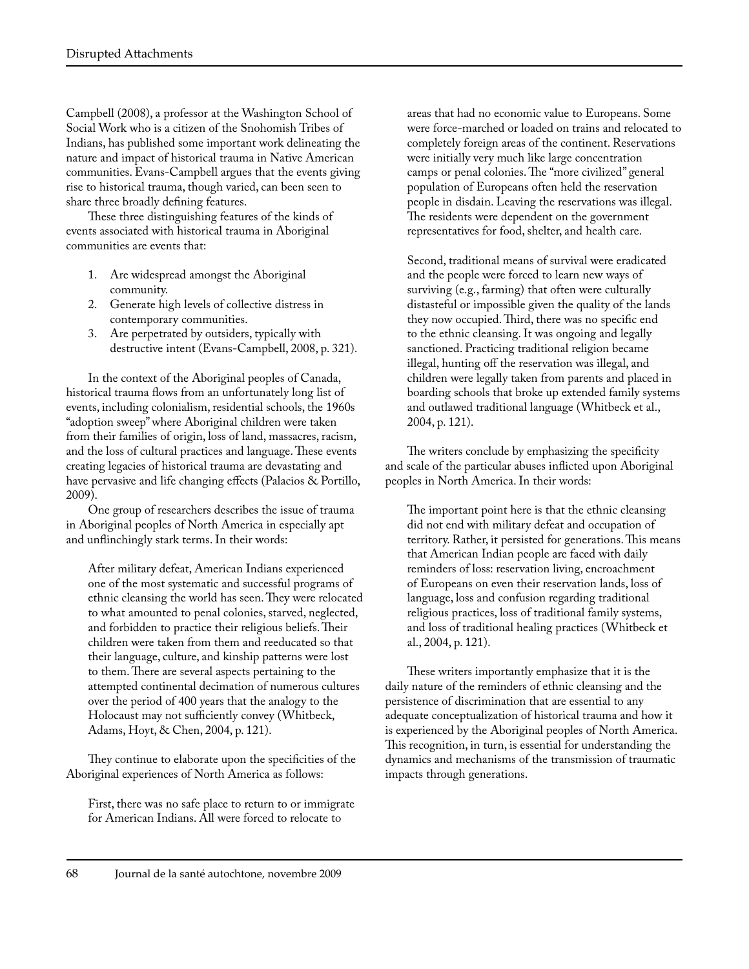Campbell (2008), a professor at the Washington School of Social Work who is a citizen of the Snohomish Tribes of Indians, has published some important work delineating the nature and impact of historical trauma in Native American communities. Evans-Campbell argues that the events giving rise to historical trauma, though varied, can been seen to share three broadly defining features.

These three distinguishing features of the kinds of events associated with historical trauma in Aboriginal communities are events that:

- 1. Are widespread amongst the Aboriginal community.
- 2. Generate high levels of collective distress in contemporary communities.
- 3. Are perpetrated by outsiders, typically with destructive intent (Evans-Campbell, 2008, p. 321).

In the context of the Aboriginal peoples of Canada, historical trauma flows from an unfortunately long list of events, including colonialism, residential schools, the 1960s "adoption sweep" where Aboriginal children were taken from their families of origin, loss of land, massacres, racism, and the loss of cultural practices and language. These events creating legacies of historical trauma are devastating and have pervasive and life changing effects (Palacios & Portillo, 2009).

One group of researchers describes the issue of trauma in Aboriginal peoples of North America in especially apt and unflinchingly stark terms. In their words:

After military defeat, American Indians experienced one of the most systematic and successful programs of ethnic cleansing the world has seen. They were relocated to what amounted to penal colonies, starved, neglected, and forbidden to practice their religious beliefs. Their children were taken from them and reeducated so that their language, culture, and kinship patterns were lost to them. There are several aspects pertaining to the attempted continental decimation of numerous cultures over the period of 400 years that the analogy to the Holocaust may not sufficiently convey (Whitbeck, Adams, Hoyt, & Chen, 2004, p. 121).

They continue to elaborate upon the specificities of the Aboriginal experiences of North America as follows:

First, there was no safe place to return to or immigrate for American Indians. All were forced to relocate to

areas that had no economic value to Europeans. Some were force-marched or loaded on trains and relocated to completely foreign areas of the continent. Reservations were initially very much like large concentration camps or penal colonies. The "more civilized" general population of Europeans often held the reservation people in disdain. Leaving the reservations was illegal. The residents were dependent on the government representatives for food, shelter, and health care.

Second, traditional means of survival were eradicated and the people were forced to learn new ways of surviving (e.g., farming) that often were culturally distasteful or impossible given the quality of the lands they now occupied. Third, there was no specific end to the ethnic cleansing. It was ongoing and legally sanctioned. Practicing traditional religion became illegal, hunting off the reservation was illegal, and children were legally taken from parents and placed in boarding schools that broke up extended family systems and outlawed traditional language (Whitbeck et al., 2004, p. 121).

The writers conclude by emphasizing the specificity and scale of the particular abuses inflicted upon Aboriginal peoples in North America. In their words:

The important point here is that the ethnic cleansing did not end with military defeat and occupation of territory. Rather, it persisted for generations. This means that American Indian people are faced with daily reminders of loss: reservation living, encroachment of Europeans on even their reservation lands, loss of language, loss and confusion regarding traditional religious practices, loss of traditional family systems, and loss of traditional healing practices (Whitbeck et al., 2004, p. 121).

These writers importantly emphasize that it is the daily nature of the reminders of ethnic cleansing and the persistence of discrimination that are essential to any adequate conceptualization of historical trauma and how it is experienced by the Aboriginal peoples of North America. This recognition, in turn, is essential for understanding the dynamics and mechanisms of the transmission of traumatic impacts through generations.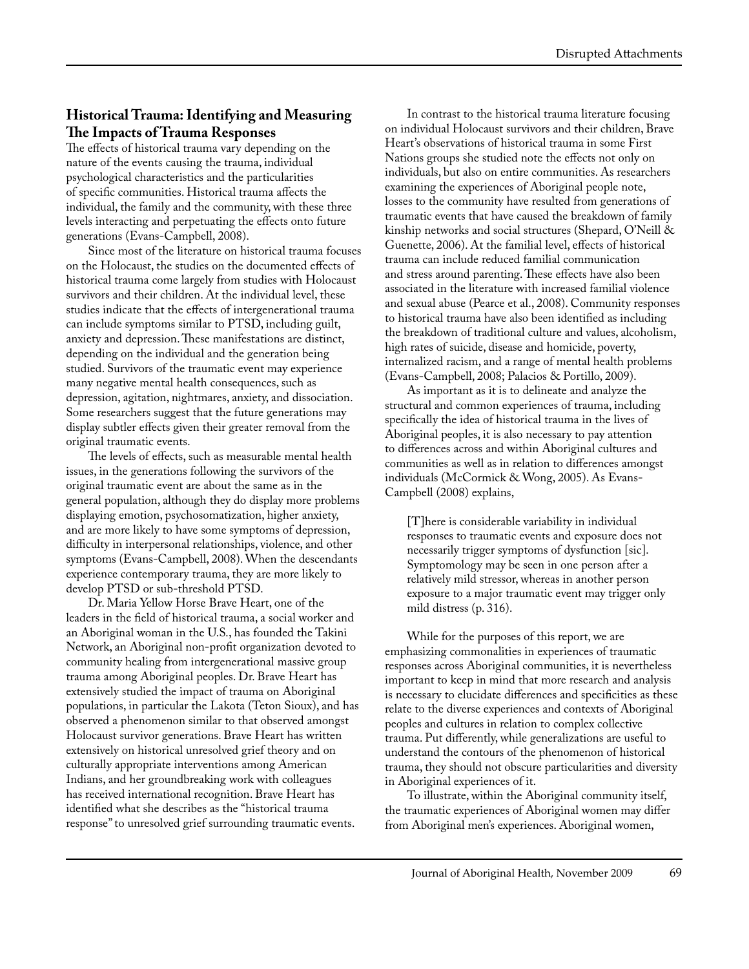### **Historical Trauma: Identifying and Measuring The Impacts of Trauma Responses**

The effects of historical trauma vary depending on the nature of the events causing the trauma, individual psychological characteristics and the particularities of specific communities. Historical trauma affects the individual, the family and the community, with these three levels interacting and perpetuating the effects onto future generations (Evans-Campbell, 2008).

Since most of the literature on historical trauma focuses on the Holocaust, the studies on the documented effects of historical trauma come largely from studies with Holocaust survivors and their children. At the individual level, these studies indicate that the effects of intergenerational trauma can include symptoms similar to PTSD, including guilt, anxiety and depression. These manifestations are distinct, depending on the individual and the generation being studied. Survivors of the traumatic event may experience many negative mental health consequences, such as depression, agitation, nightmares, anxiety, and dissociation. Some researchers suggest that the future generations may display subtler effects given their greater removal from the original traumatic events.

The levels of effects, such as measurable mental health issues, in the generations following the survivors of the original traumatic event are about the same as in the general population, although they do display more problems displaying emotion, psychosomatization, higher anxiety, and are more likely to have some symptoms of depression, difficulty in interpersonal relationships, violence, and other symptoms (Evans-Campbell, 2008). When the descendants experience contemporary trauma, they are more likely to develop PTSD or sub-threshold PTSD.

Dr. Maria Yellow Horse Brave Heart, one of the leaders in the field of historical trauma, a social worker and an Aboriginal woman in the U.S., has founded the Takini Network, an Aboriginal non-profit organization devoted to community healing from intergenerational massive group trauma among Aboriginal peoples. Dr. Brave Heart has extensively studied the impact of trauma on Aboriginal populations, in particular the Lakota (Teton Sioux), and has observed a phenomenon similar to that observed amongst Holocaust survivor generations. Brave Heart has written extensively on historical unresolved grief theory and on culturally appropriate interventions among American Indians, and her groundbreaking work with colleagues has received international recognition. Brave Heart has identified what she describes as the "historical trauma response" to unresolved grief surrounding traumatic events.

In contrast to the historical trauma literature focusing on individual Holocaust survivors and their children, Brave Heart's observations of historical trauma in some First Nations groups she studied note the effects not only on individuals, but also on entire communities. As researchers examining the experiences of Aboriginal people note, losses to the community have resulted from generations of traumatic events that have caused the breakdown of family kinship networks and social structures (Shepard, O'Neill & Guenette, 2006). At the familial level, effects of historical trauma can include reduced familial communication and stress around parenting. These effects have also been associated in the literature with increased familial violence and sexual abuse (Pearce et al., 2008). Community responses to historical trauma have also been identified as including the breakdown of traditional culture and values, alcoholism, high rates of suicide, disease and homicide, poverty, internalized racism, and a range of mental health problems (Evans-Campbell, 2008; Palacios & Portillo, 2009).

As important as it is to delineate and analyze the structural and common experiences of trauma, including specifically the idea of historical trauma in the lives of Aboriginal peoples, it is also necessary to pay attention to differences across and within Aboriginal cultures and communities as well as in relation to differences amongst individuals (McCormick & Wong, 2005). As Evans-Campbell (2008) explains,

[T]here is considerable variability in individual responses to traumatic events and exposure does not necessarily trigger symptoms of dysfunction [sic]. Symptomology may be seen in one person after a relatively mild stressor, whereas in another person exposure to a major traumatic event may trigger only mild distress (p. 316).

While for the purposes of this report, we are emphasizing commonalities in experiences of traumatic responses across Aboriginal communities, it is nevertheless important to keep in mind that more research and analysis is necessary to elucidate differences and specificities as these relate to the diverse experiences and contexts of Aboriginal peoples and cultures in relation to complex collective trauma. Put differently, while generalizations are useful to understand the contours of the phenomenon of historical trauma, they should not obscure particularities and diversity in Aboriginal experiences of it.

To illustrate, within the Aboriginal community itself, the traumatic experiences of Aboriginal women may differ from Aboriginal men's experiences. Aboriginal women,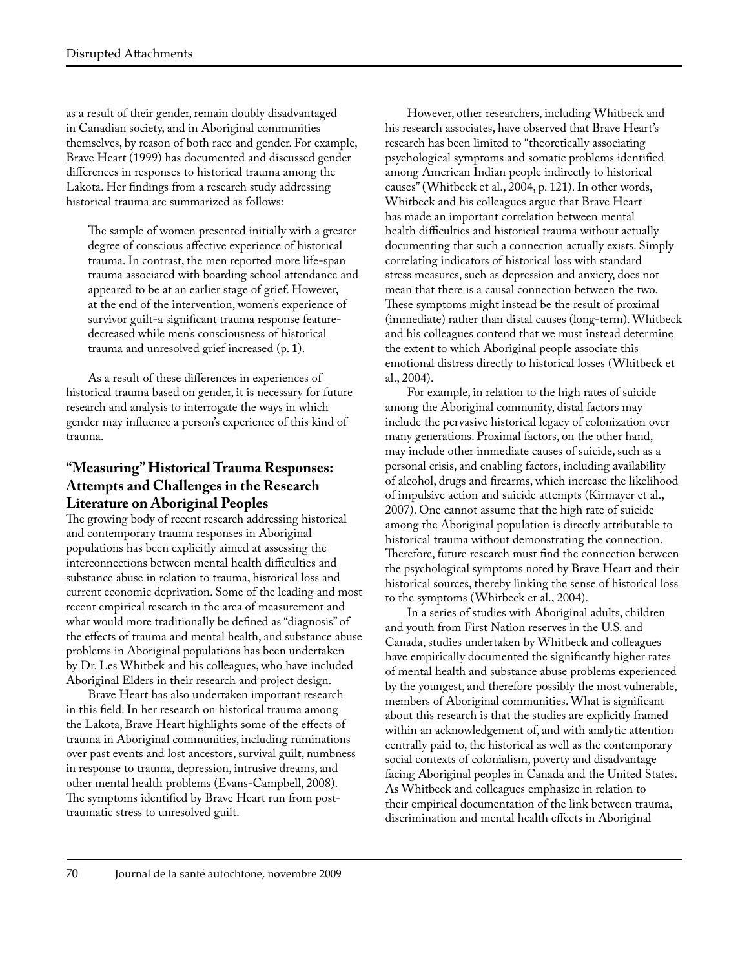as a result of their gender, remain doubly disadvantaged in Canadian society, and in Aboriginal communities themselves, by reason of both race and gender. For example, Brave Heart (1999) has documented and discussed gender differences in responses to historical trauma among the Lakota. Her findings from a research study addressing historical trauma are summarized as follows:

The sample of women presented initially with a greater degree of conscious affective experience of historical trauma. In contrast, the men reported more life-span trauma associated with boarding school attendance and appeared to be at an earlier stage of grief. However, at the end of the intervention, women's experience of survivor guilt-a significant trauma response featuredecreased while men's consciousness of historical trauma and unresolved grief increased (p. 1).

As a result of these differences in experiences of historical trauma based on gender, it is necessary for future research and analysis to interrogate the ways in which gender may influence a person's experience of this kind of trauma.

## **"Measuring" Historical Trauma Responses: Attempts and Challenges in the Research Literature on Aboriginal Peoples**

The growing body of recent research addressing historical and contemporary trauma responses in Aboriginal populations has been explicitly aimed at assessing the interconnections between mental health difficulties and substance abuse in relation to trauma, historical loss and current economic deprivation. Some of the leading and most recent empirical research in the area of measurement and what would more traditionally be defined as "diagnosis" of the effects of trauma and mental health, and substance abuse problems in Aboriginal populations has been undertaken by Dr. Les Whitbek and his colleagues, who have included Aboriginal Elders in their research and project design.

Brave Heart has also undertaken important research in this field. In her research on historical trauma among the Lakota, Brave Heart highlights some of the effects of trauma in Aboriginal communities, including ruminations over past events and lost ancestors, survival guilt, numbness in response to trauma, depression, intrusive dreams, and other mental health problems (Evans-Campbell, 2008). The symptoms identified by Brave Heart run from posttraumatic stress to unresolved guilt.

However, other researchers, including Whitbeck and his research associates, have observed that Brave Heart's research has been limited to "theoretically associating psychological symptoms and somatic problems identified among American Indian people indirectly to historical causes" (Whitbeck et al., 2004, p. 121). In other words, Whitbeck and his colleagues argue that Brave Heart has made an important correlation between mental health difficulties and historical trauma without actually documenting that such a connection actually exists. Simply correlating indicators of historical loss with standard stress measures, such as depression and anxiety, does not mean that there is a causal connection between the two. These symptoms might instead be the result of proximal (immediate) rather than distal causes (long-term). Whitbeck and his colleagues contend that we must instead determine the extent to which Aboriginal people associate this emotional distress directly to historical losses (Whitbeck et al., 2004).

For example, in relation to the high rates of suicide among the Aboriginal community, distal factors may include the pervasive historical legacy of colonization over many generations. Proximal factors, on the other hand, may include other immediate causes of suicide, such as a personal crisis, and enabling factors, including availability of alcohol, drugs and firearms, which increase the likelihood of impulsive action and suicide attempts (Kirmayer et al., 2007). One cannot assume that the high rate of suicide among the Aboriginal population is directly attributable to historical trauma without demonstrating the connection. Therefore, future research must find the connection between the psychological symptoms noted by Brave Heart and their historical sources, thereby linking the sense of historical loss to the symptoms (Whitbeck et al., 2004).

In a series of studies with Aboriginal adults, children and youth from First Nation reserves in the U.S. and Canada, studies undertaken by Whitbeck and colleagues have empirically documented the significantly higher rates of mental health and substance abuse problems experienced by the youngest, and therefore possibly the most vulnerable, members of Aboriginal communities. What is significant about this research is that the studies are explicitly framed within an acknowledgement of, and with analytic attention centrally paid to, the historical as well as the contemporary social contexts of colonialism, poverty and disadvantage facing Aboriginal peoples in Canada and the United States. As Whitbeck and colleagues emphasize in relation to their empirical documentation of the link between trauma, discrimination and mental health effects in Aboriginal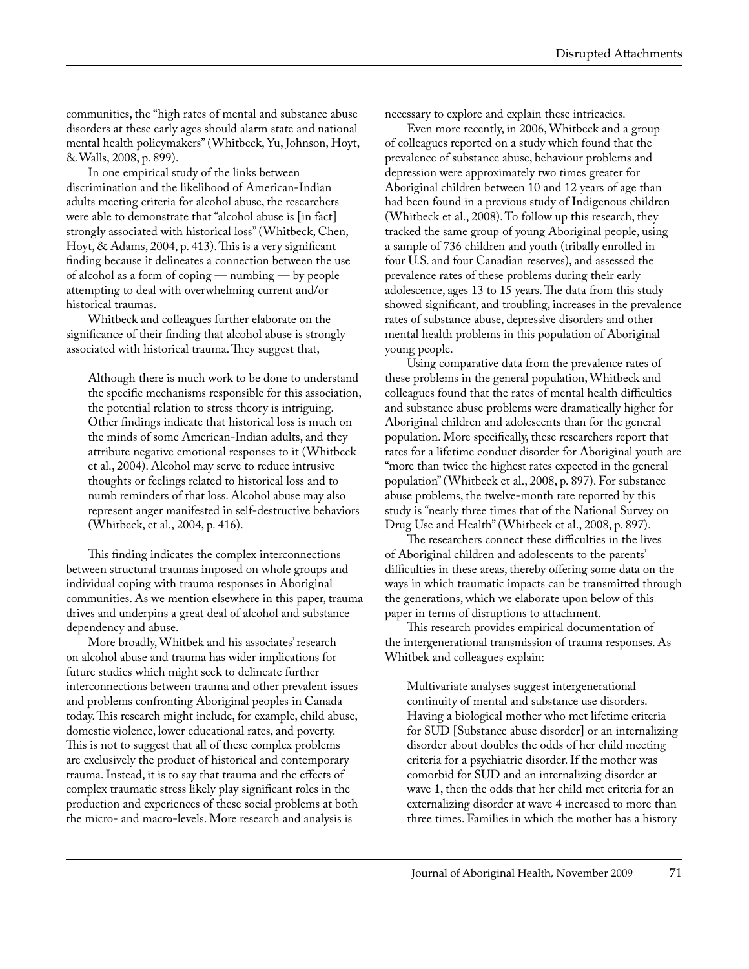communities, the "high rates of mental and substance abuse disorders at these early ages should alarm state and national mental health policymakers" (Whitbeck, Yu, Johnson, Hoyt, & Walls, 2008, p. 899).

In one empirical study of the links between discrimination and the likelihood of American-Indian adults meeting criteria for alcohol abuse, the researchers were able to demonstrate that "alcohol abuse is [in fact] strongly associated with historical loss" (Whitbeck, Chen, Hoyt, & Adams, 2004, p. 413). This is a very significant finding because it delineates a connection between the use of alcohol as a form of coping — numbing — by people attempting to deal with overwhelming current and/or historical traumas.

Whitbeck and colleagues further elaborate on the significance of their finding that alcohol abuse is strongly associated with historical trauma. They suggest that,

Although there is much work to be done to understand the specific mechanisms responsible for this association, the potential relation to stress theory is intriguing. Other findings indicate that historical loss is much on the minds of some American-Indian adults, and they attribute negative emotional responses to it (Whitbeck et al., 2004). Alcohol may serve to reduce intrusive thoughts or feelings related to historical loss and to numb reminders of that loss. Alcohol abuse may also represent anger manifested in self-destructive behaviors (Whitbeck, et al., 2004, p. 416).

This finding indicates the complex interconnections between structural traumas imposed on whole groups and individual coping with trauma responses in Aboriginal communities. As we mention elsewhere in this paper, trauma drives and underpins a great deal of alcohol and substance dependency and abuse.

More broadly, Whitbek and his associates' research on alcohol abuse and trauma has wider implications for future studies which might seek to delineate further interconnections between trauma and other prevalent issues and problems confronting Aboriginal peoples in Canada today. This research might include, for example, child abuse, domestic violence, lower educational rates, and poverty. This is not to suggest that all of these complex problems are exclusively the product of historical and contemporary trauma. Instead, it is to say that trauma and the effects of complex traumatic stress likely play significant roles in the production and experiences of these social problems at both the micro- and macro-levels. More research and analysis is

necessary to explore and explain these intricacies.

Even more recently, in 2006, Whitbeck and a group of colleagues reported on a study which found that the prevalence of substance abuse, behaviour problems and depression were approximately two times greater for Aboriginal children between 10 and 12 years of age than had been found in a previous study of Indigenous children (Whitbeck et al., 2008). To follow up this research, they tracked the same group of young Aboriginal people, using a sample of 736 children and youth (tribally enrolled in four U.S. and four Canadian reserves), and assessed the prevalence rates of these problems during their early adolescence, ages 13 to 15 years. The data from this study showed significant, and troubling, increases in the prevalence rates of substance abuse, depressive disorders and other mental health problems in this population of Aboriginal young people.

Using comparative data from the prevalence rates of these problems in the general population, Whitbeck and colleagues found that the rates of mental health difficulties and substance abuse problems were dramatically higher for Aboriginal children and adolescents than for the general population. More specifically, these researchers report that rates for a lifetime conduct disorder for Aboriginal youth are "more than twice the highest rates expected in the general population" (Whitbeck et al., 2008, p. 897). For substance abuse problems, the twelve-month rate reported by this study is "nearly three times that of the National Survey on Drug Use and Health" (Whitbeck et al., 2008, p. 897).

The researchers connect these difficulties in the lives of Aboriginal children and adolescents to the parents' difficulties in these areas, thereby offering some data on the ways in which traumatic impacts can be transmitted through the generations, which we elaborate upon below of this paper in terms of disruptions to attachment.

This research provides empirical documentation of the intergenerational transmission of trauma responses. As Whitbek and colleagues explain:

Multivariate analyses suggest intergenerational continuity of mental and substance use disorders. Having a biological mother who met lifetime criteria for SUD [Substance abuse disorder] or an internalizing disorder about doubles the odds of her child meeting criteria for a psychiatric disorder. If the mother was comorbid for SUD and an internalizing disorder at wave 1, then the odds that her child met criteria for an externalizing disorder at wave 4 increased to more than three times. Families in which the mother has a history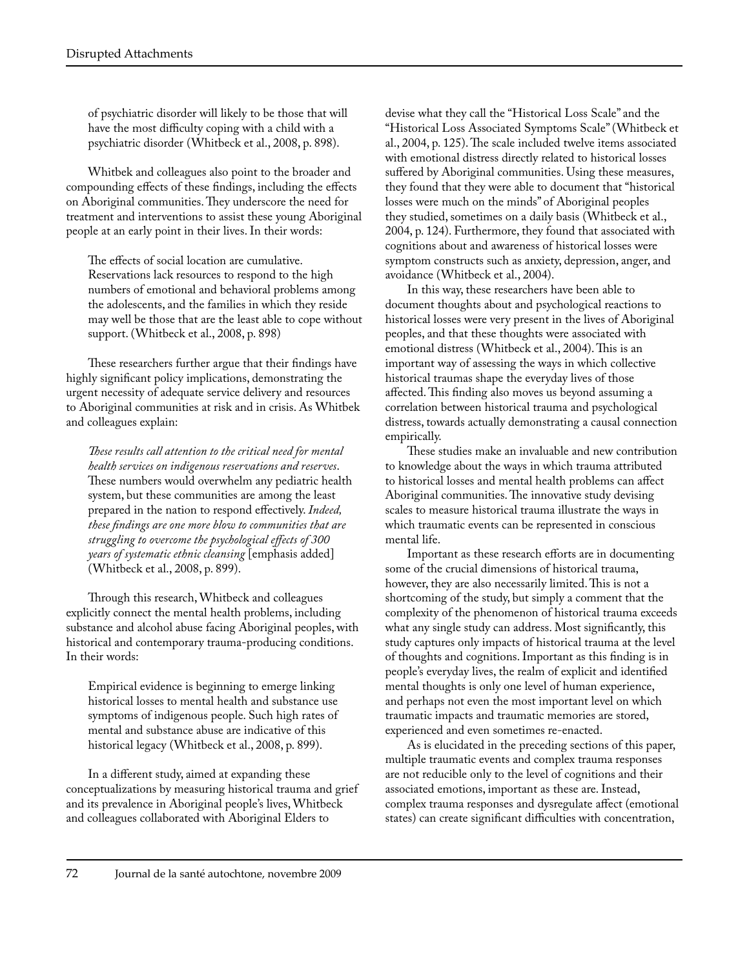of psychiatric disorder will likely to be those that will have the most difficulty coping with a child with a psychiatric disorder (Whitbeck et al., 2008, p. 898).

Whitbek and colleagues also point to the broader and compounding effects of these findings, including the effects on Aboriginal communities. They underscore the need for treatment and interventions to assist these young Aboriginal people at an early point in their lives. In their words:

The effects of social location are cumulative. Reservations lack resources to respond to the high numbers of emotional and behavioral problems among the adolescents, and the families in which they reside may well be those that are the least able to cope without support. (Whitbeck et al., 2008, p. 898)

These researchers further argue that their findings have highly significant policy implications, demonstrating the urgent necessity of adequate service delivery and resources to Aboriginal communities at risk and in crisis. As Whitbek and colleagues explain:

*These results call attention to the critical need for mental health services on indigenous reservations and reserves*. These numbers would overwhelm any pediatric health system, but these communities are among the least prepared in the nation to respond effectively. *Indeed, these findings are one more blow to communities that are struggling to overcome the psychological effects of 300 years of systematic ethnic cleansing* [emphasis added] (Whitbeck et al., 2008, p. 899).

Through this research, Whitbeck and colleagues explicitly connect the mental health problems, including substance and alcohol abuse facing Aboriginal peoples, with historical and contemporary trauma-producing conditions. In their words:

Empirical evidence is beginning to emerge linking historical losses to mental health and substance use symptoms of indigenous people. Such high rates of mental and substance abuse are indicative of this historical legacy (Whitbeck et al., 2008, p. 899).

In a different study, aimed at expanding these conceptualizations by measuring historical trauma and grief and its prevalence in Aboriginal people's lives, Whitbeck and colleagues collaborated with Aboriginal Elders to

devise what they call the "Historical Loss Scale" and the "Historical Loss Associated Symptoms Scale" (Whitbeck et al., 2004, p. 125). The scale included twelve items associated with emotional distress directly related to historical losses suffered by Aboriginal communities. Using these measures, they found that they were able to document that "historical losses were much on the minds" of Aboriginal peoples they studied, sometimes on a daily basis (Whitbeck et al., 2004, p. 124). Furthermore, they found that associated with cognitions about and awareness of historical losses were symptom constructs such as anxiety, depression, anger, and avoidance (Whitbeck et al., 2004).

In this way, these researchers have been able to document thoughts about and psychological reactions to historical losses were very present in the lives of Aboriginal peoples, and that these thoughts were associated with emotional distress (Whitbeck et al., 2004). This is an important way of assessing the ways in which collective historical traumas shape the everyday lives of those affected. This finding also moves us beyond assuming a correlation between historical trauma and psychological distress, towards actually demonstrating a causal connection empirically.

These studies make an invaluable and new contribution to knowledge about the ways in which trauma attributed to historical losses and mental health problems can affect Aboriginal communities. The innovative study devising scales to measure historical trauma illustrate the ways in which traumatic events can be represented in conscious mental life.

Important as these research efforts are in documenting some of the crucial dimensions of historical trauma, however, they are also necessarily limited. This is not a shortcoming of the study, but simply a comment that the complexity of the phenomenon of historical trauma exceeds what any single study can address. Most significantly, this study captures only impacts of historical trauma at the level of thoughts and cognitions. Important as this finding is in people's everyday lives, the realm of explicit and identified mental thoughts is only one level of human experience, and perhaps not even the most important level on which traumatic impacts and traumatic memories are stored, experienced and even sometimes re-enacted.

As is elucidated in the preceding sections of this paper, multiple traumatic events and complex trauma responses are not reducible only to the level of cognitions and their associated emotions, important as these are. Instead, complex trauma responses and dysregulate affect (emotional states) can create significant difficulties with concentration,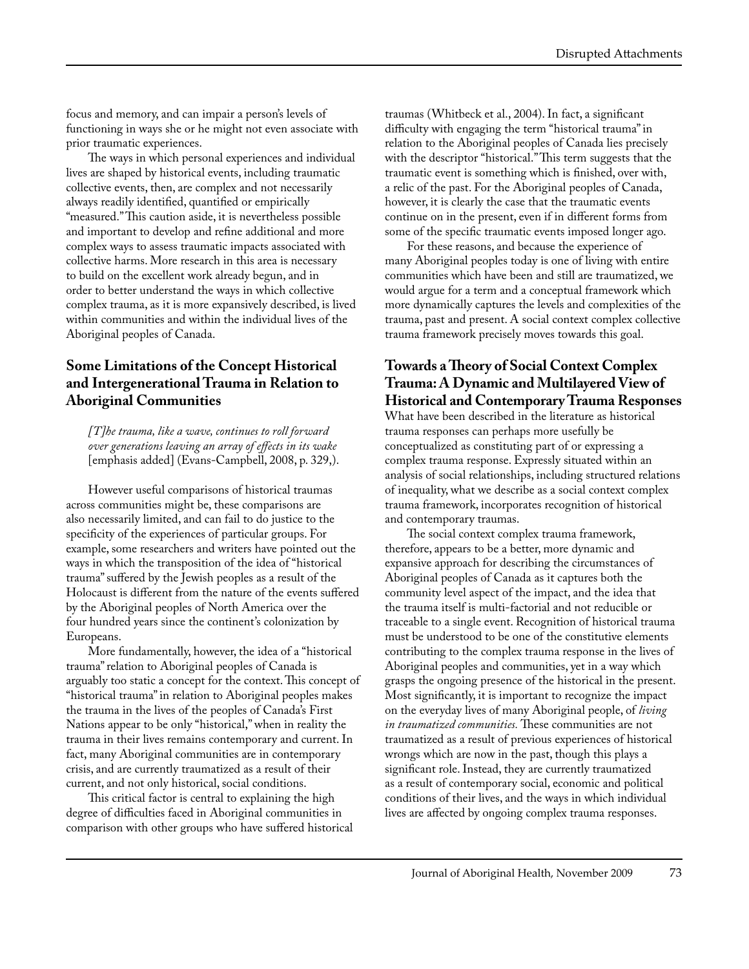focus and memory, and can impair a person's levels of functioning in ways she or he might not even associate with prior traumatic experiences.

The ways in which personal experiences and individual lives are shaped by historical events, including traumatic collective events, then, are complex and not necessarily always readily identified, quantified or empirically "measured." This caution aside, it is nevertheless possible and important to develop and refine additional and more complex ways to assess traumatic impacts associated with collective harms. More research in this area is necessary to build on the excellent work already begun, and in order to better understand the ways in which collective complex trauma, as it is more expansively described, is lived within communities and within the individual lives of the Aboriginal peoples of Canada.

### **Some Limitations of the Concept Historical and Intergenerational Trauma in Relation to Aboriginal Communities**

*[T]he trauma, like a wave, continues to roll forward over generations leaving an array of effects in its wake*  [emphasis added] (Evans-Campbell, 2008, p. 329,).

However useful comparisons of historical traumas across communities might be, these comparisons are also necessarily limited, and can fail to do justice to the specificity of the experiences of particular groups. For example, some researchers and writers have pointed out the ways in which the transposition of the idea of "historical trauma" suffered by the Jewish peoples as a result of the Holocaust is different from the nature of the events suffered by the Aboriginal peoples of North America over the four hundred years since the continent's colonization by Europeans.

More fundamentally, however, the idea of a "historical trauma" relation to Aboriginal peoples of Canada is arguably too static a concept for the context. This concept of "historical trauma" in relation to Aboriginal peoples makes the trauma in the lives of the peoples of Canada's First Nations appear to be only "historical," when in reality the trauma in their lives remains contemporary and current. In fact, many Aboriginal communities are in contemporary crisis, and are currently traumatized as a result of their current, and not only historical, social conditions.

This critical factor is central to explaining the high degree of difficulties faced in Aboriginal communities in comparison with other groups who have suffered historical traumas (Whitbeck et al., 2004). In fact, a significant difficulty with engaging the term "historical trauma" in relation to the Aboriginal peoples of Canada lies precisely with the descriptor "historical." This term suggests that the traumatic event is something which is finished, over with, a relic of the past. For the Aboriginal peoples of Canada, however, it is clearly the case that the traumatic events continue on in the present, even if in different forms from some of the specific traumatic events imposed longer ago.

For these reasons, and because the experience of many Aboriginal peoples today is one of living with entire communities which have been and still are traumatized, we would argue for a term and a conceptual framework which more dynamically captures the levels and complexities of the trauma, past and present. A social context complex collective trauma framework precisely moves towards this goal.

### **Towards a Theory of Social Context Complex Trauma: A Dynamic and Multilayered View of Historical and Contemporary Trauma Responses**

What have been described in the literature as historical trauma responses can perhaps more usefully be conceptualized as constituting part of or expressing a complex trauma response. Expressly situated within an analysis of social relationships, including structured relations of inequality, what we describe as a social context complex trauma framework, incorporates recognition of historical and contemporary traumas.

The social context complex trauma framework, therefore, appears to be a better, more dynamic and expansive approach for describing the circumstances of Aboriginal peoples of Canada as it captures both the community level aspect of the impact, and the idea that the trauma itself is multi-factorial and not reducible or traceable to a single event. Recognition of historical trauma must be understood to be one of the constitutive elements contributing to the complex trauma response in the lives of Aboriginal peoples and communities, yet in a way which grasps the ongoing presence of the historical in the present. Most significantly, it is important to recognize the impact on the everyday lives of many Aboriginal people, of *living in traumatized communities.* These communities are not traumatized as a result of previous experiences of historical wrongs which are now in the past, though this plays a significant role. Instead, they are currently traumatized as a result of contemporary social, economic and political conditions of their lives, and the ways in which individual lives are affected by ongoing complex trauma responses.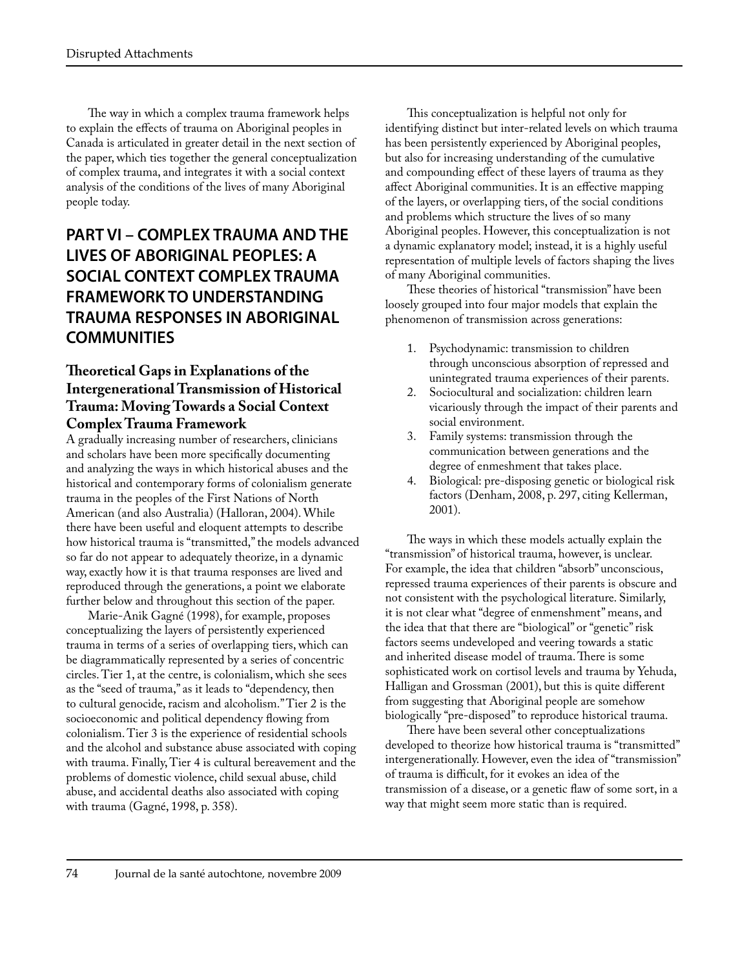The way in which a complex trauma framework helps to explain the effects of trauma on Aboriginal peoples in Canada is articulated in greater detail in the next section of the paper, which ties together the general conceptualization of complex trauma, and integrates it with a social context analysis of the conditions of the lives of many Aboriginal people today.

# **PART VI – COMPLEX TRAUMA AND THE LIVES OF ABORIGINAL PEOPLES: A SOCIAL CONTEXT COMPLEX TRAUMA FRAMEWORK TO UNDERSTANDING TRAUMA RESPONSES IN ABORIGINAL COMMUNITIES**

## **Theoretical Gaps in Explanations of the Intergenerational Transmission of Historical Trauma: Moving Towards a Social Context Complex Trauma Framework**

A gradually increasing number of researchers, clinicians and scholars have been more specifically documenting and analyzing the ways in which historical abuses and the historical and contemporary forms of colonialism generate trauma in the peoples of the First Nations of North American (and also Australia) (Halloran, 2004). While there have been useful and eloquent attempts to describe how historical trauma is "transmitted," the models advanced so far do not appear to adequately theorize, in a dynamic way, exactly how it is that trauma responses are lived and reproduced through the generations, a point we elaborate further below and throughout this section of the paper.

Marie-Anik Gagné (1998), for example, proposes conceptualizing the layers of persistently experienced trauma in terms of a series of overlapping tiers, which can be diagrammatically represented by a series of concentric circles. Tier 1, at the centre, is colonialism, which she sees as the "seed of trauma," as it leads to "dependency, then to cultural genocide, racism and alcoholism." Tier 2 is the socioeconomic and political dependency flowing from colonialism. Tier 3 is the experience of residential schools and the alcohol and substance abuse associated with coping with trauma. Finally, Tier 4 is cultural bereavement and the problems of domestic violence, child sexual abuse, child abuse, and accidental deaths also associated with coping with trauma (Gagné, 1998, p. 358).

This conceptualization is helpful not only for identifying distinct but inter-related levels on which trauma has been persistently experienced by Aboriginal peoples, but also for increasing understanding of the cumulative and compounding effect of these layers of trauma as they affect Aboriginal communities. It is an effective mapping of the layers, or overlapping tiers, of the social conditions and problems which structure the lives of so many Aboriginal peoples. However, this conceptualization is not a dynamic explanatory model; instead, it is a highly useful representation of multiple levels of factors shaping the lives of many Aboriginal communities.

These theories of historical "transmission" have been loosely grouped into four major models that explain the phenomenon of transmission across generations:

- Psychodynamic: transmission to children through unconscious absorption of repressed and unintegrated trauma experiences of their parents.
- 2. Sociocultural and socialization: children learn vicariously through the impact of their parents and social environment.
- 3. Family systems: transmission through the communication between generations and the degree of enmeshment that takes place.
- Biological: pre-disposing genetic or biological risk factors (Denham, 2008, p. 297, citing Kellerman, 2001).

The ways in which these models actually explain the "transmission" of historical trauma, however, is unclear. For example, the idea that children "absorb" unconscious, repressed trauma experiences of their parents is obscure and not consistent with the psychological literature. Similarly, it is not clear what "degree of enmenshment" means, and the idea that that there are "biological" or "genetic" risk factors seems undeveloped and veering towards a static and inherited disease model of trauma. There is some sophisticated work on cortisol levels and trauma by Yehuda, Halligan and Grossman (2001), but this is quite different from suggesting that Aboriginal people are somehow biologically "pre-disposed" to reproduce historical trauma.

There have been several other conceptualizations developed to theorize how historical trauma is "transmitted" intergenerationally. However, even the idea of "transmission" of trauma is difficult, for it evokes an idea of the transmission of a disease, or a genetic flaw of some sort, in a way that might seem more static than is required.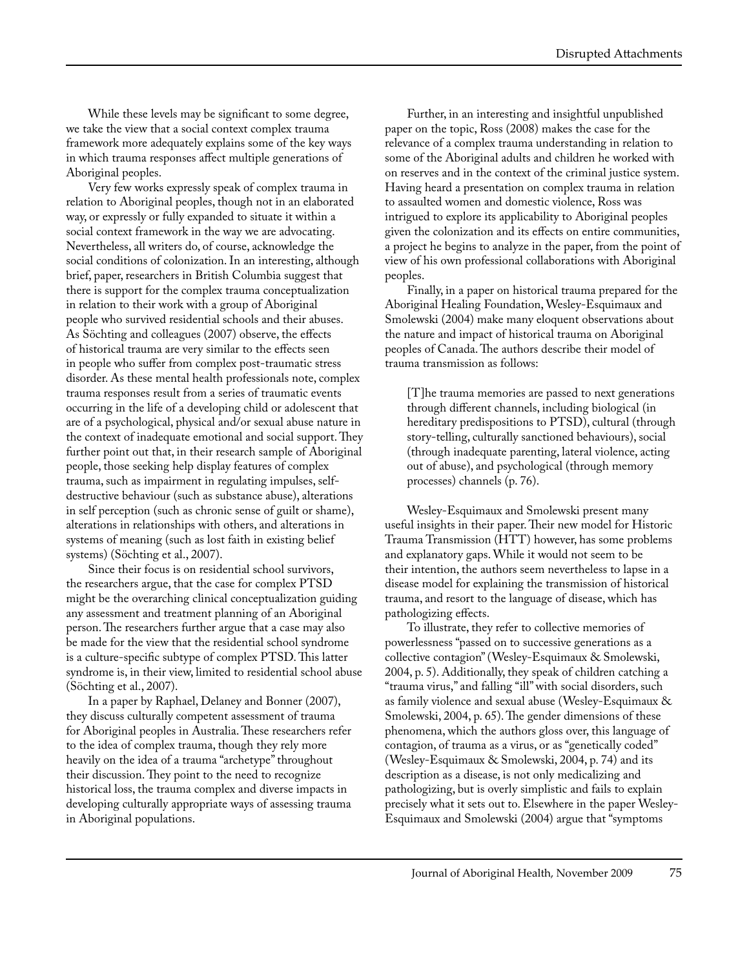While these levels may be significant to some degree, we take the view that a social context complex trauma framework more adequately explains some of the key ways in which trauma responses affect multiple generations of Aboriginal peoples.

Very few works expressly speak of complex trauma in relation to Aboriginal peoples, though not in an elaborated way, or expressly or fully expanded to situate it within a social context framework in the way we are advocating. Nevertheless, all writers do, of course, acknowledge the social conditions of colonization. In an interesting, although brief, paper, researchers in British Columbia suggest that there is support for the complex trauma conceptualization in relation to their work with a group of Aboriginal people who survived residential schools and their abuses. As Söchting and colleagues (2007) observe, the effects of historical trauma are very similar to the effects seen in people who suffer from complex post-traumatic stress disorder. As these mental health professionals note, complex trauma responses result from a series of traumatic events occurring in the life of a developing child or adolescent that are of a psychological, physical and/or sexual abuse nature in the context of inadequate emotional and social support. They further point out that, in their research sample of Aboriginal people, those seeking help display features of complex trauma, such as impairment in regulating impulses, selfdestructive behaviour (such as substance abuse), alterations in self perception (such as chronic sense of guilt or shame), alterations in relationships with others, and alterations in systems of meaning (such as lost faith in existing belief systems) (Söchting et al., 2007).

Since their focus is on residential school survivors, the researchers argue, that the case for complex PTSD might be the overarching clinical conceptualization guiding any assessment and treatment planning of an Aboriginal person. The researchers further argue that a case may also be made for the view that the residential school syndrome is a culture-specific subtype of complex PTSD. This latter syndrome is, in their view, limited to residential school abuse (Söchting et al., 2007).

In a paper by Raphael, Delaney and Bonner (2007), they discuss culturally competent assessment of trauma for Aboriginal peoples in Australia. These researchers refer to the idea of complex trauma, though they rely more heavily on the idea of a trauma "archetype" throughout their discussion. They point to the need to recognize historical loss, the trauma complex and diverse impacts in developing culturally appropriate ways of assessing trauma in Aboriginal populations.

Further, in an interesting and insightful unpublished paper on the topic, Ross (2008) makes the case for the relevance of a complex trauma understanding in relation to some of the Aboriginal adults and children he worked with on reserves and in the context of the criminal justice system. Having heard a presentation on complex trauma in relation to assaulted women and domestic violence, Ross was intrigued to explore its applicability to Aboriginal peoples given the colonization and its effects on entire communities, a project he begins to analyze in the paper, from the point of view of his own professional collaborations with Aboriginal peoples.

Finally, in a paper on historical trauma prepared for the Aboriginal Healing Foundation, Wesley-Esquimaux and Smolewski (2004) make many eloquent observations about the nature and impact of historical trauma on Aboriginal peoples of Canada. The authors describe their model of trauma transmission as follows:

[T]he trauma memories are passed to next generations through different channels, including biological (in hereditary predispositions to PTSD), cultural (through story-telling, culturally sanctioned behaviours), social (through inadequate parenting, lateral violence, acting out of abuse), and psychological (through memory processes) channels (p. 76).

Wesley-Esquimaux and Smolewski present many useful insights in their paper. Their new model for Historic Trauma Transmission (HTT) however, has some problems and explanatory gaps. While it would not seem to be their intention, the authors seem nevertheless to lapse in a disease model for explaining the transmission of historical trauma, and resort to the language of disease, which has pathologizing effects.

To illustrate, they refer to collective memories of powerlessness "passed on to successive generations as a collective contagion" (Wesley-Esquimaux & Smolewski, 2004, p. 5). Additionally, they speak of children catching a "trauma virus," and falling "ill" with social disorders, such as family violence and sexual abuse (Wesley-Esquimaux & Smolewski, 2004, p. 65). The gender dimensions of these phenomena, which the authors gloss over, this language of contagion, of trauma as a virus, or as "genetically coded" (Wesley-Esquimaux & Smolewski, 2004, p. 74) and its description as a disease, is not only medicalizing and pathologizing, but is overly simplistic and fails to explain precisely what it sets out to. Elsewhere in the paper Wesley-Esquimaux and Smolewski (2004) argue that "symptoms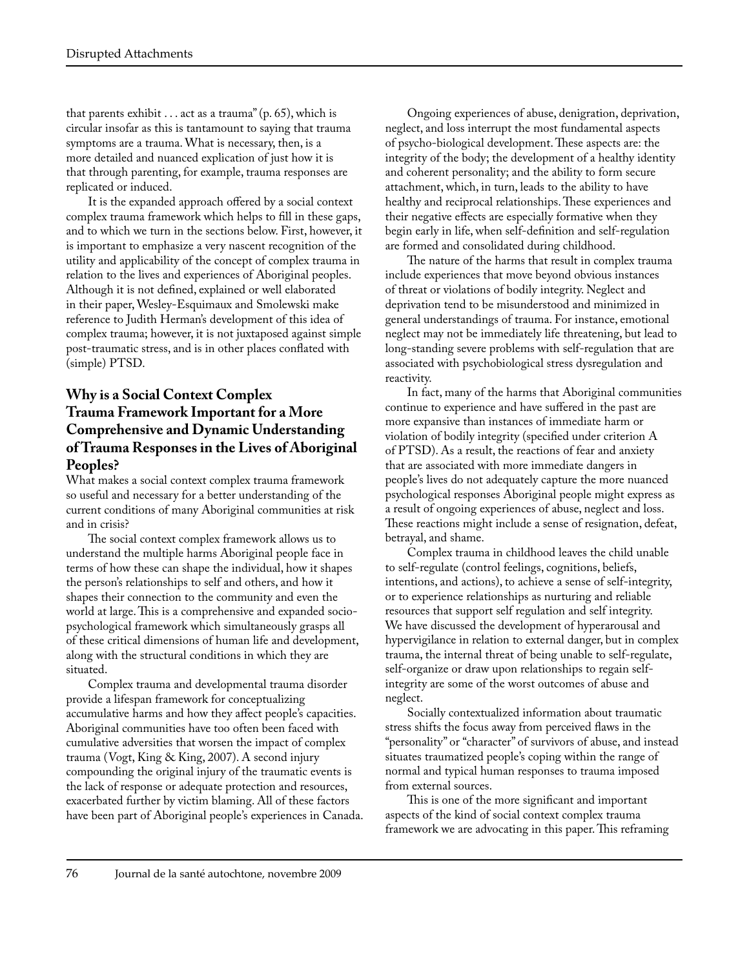that parents exhibit . . . act as a trauma" (p. 65), which is circular insofar as this is tantamount to saying that trauma symptoms are a trauma. What is necessary, then, is a more detailed and nuanced explication of just how it is that through parenting, for example, trauma responses are replicated or induced.

It is the expanded approach offered by a social context complex trauma framework which helps to fill in these gaps, and to which we turn in the sections below. First, however, it is important to emphasize a very nascent recognition of the utility and applicability of the concept of complex trauma in relation to the lives and experiences of Aboriginal peoples. Although it is not defined, explained or well elaborated in their paper, Wesley-Esquimaux and Smolewski make reference to Judith Herman's development of this idea of complex trauma; however, it is not juxtaposed against simple post-traumatic stress, and is in other places conflated with (simple) PTSD.

## **Why is a Social Context Complex Trauma Framework Important for a More Comprehensive and Dynamic Understanding of Trauma Responses in the Lives of Aboriginal Peoples?**

What makes a social context complex trauma framework so useful and necessary for a better understanding of the current conditions of many Aboriginal communities at risk and in crisis?

The social context complex framework allows us to understand the multiple harms Aboriginal people face in terms of how these can shape the individual, how it shapes the person's relationships to self and others, and how it shapes their connection to the community and even the world at large. This is a comprehensive and expanded sociopsychological framework which simultaneously grasps all of these critical dimensions of human life and development, along with the structural conditions in which they are situated.

Complex trauma and developmental trauma disorder provide a lifespan framework for conceptualizing accumulative harms and how they affect people's capacities. Aboriginal communities have too often been faced with cumulative adversities that worsen the impact of complex trauma (Vogt, King & King, 2007). A second injury compounding the original injury of the traumatic events is the lack of response or adequate protection and resources, exacerbated further by victim blaming. All of these factors have been part of Aboriginal people's experiences in Canada.

Ongoing experiences of abuse, denigration, deprivation, neglect, and loss interrupt the most fundamental aspects of psycho-biological development. These aspects are: the integrity of the body; the development of a healthy identity and coherent personality; and the ability to form secure attachment, which, in turn, leads to the ability to have healthy and reciprocal relationships. These experiences and their negative effects are especially formative when they begin early in life, when self-definition and self-regulation are formed and consolidated during childhood.

The nature of the harms that result in complex trauma include experiences that move beyond obvious instances of threat or violations of bodily integrity. Neglect and deprivation tend to be misunderstood and minimized in general understandings of trauma. For instance, emotional neglect may not be immediately life threatening, but lead to long-standing severe problems with self-regulation that are associated with psychobiological stress dysregulation and reactivity.

In fact, many of the harms that Aboriginal communities continue to experience and have suffered in the past are more expansive than instances of immediate harm or violation of bodily integrity (specified under criterion A of PTSD). As a result, the reactions of fear and anxiety that are associated with more immediate dangers in people's lives do not adequately capture the more nuanced psychological responses Aboriginal people might express as a result of ongoing experiences of abuse, neglect and loss. These reactions might include a sense of resignation, defeat, betrayal, and shame.

Complex trauma in childhood leaves the child unable to self-regulate (control feelings, cognitions, beliefs, intentions, and actions), to achieve a sense of self-integrity, or to experience relationships as nurturing and reliable resources that support self regulation and self integrity. We have discussed the development of hyperarousal and hypervigilance in relation to external danger, but in complex trauma, the internal threat of being unable to self-regulate, self-organize or draw upon relationships to regain selfintegrity are some of the worst outcomes of abuse and neglect.

Socially contextualized information about traumatic stress shifts the focus away from perceived flaws in the "personality" or "character" of survivors of abuse, and instead situates traumatized people's coping within the range of normal and typical human responses to trauma imposed from external sources.

This is one of the more significant and important aspects of the kind of social context complex trauma framework we are advocating in this paper. This reframing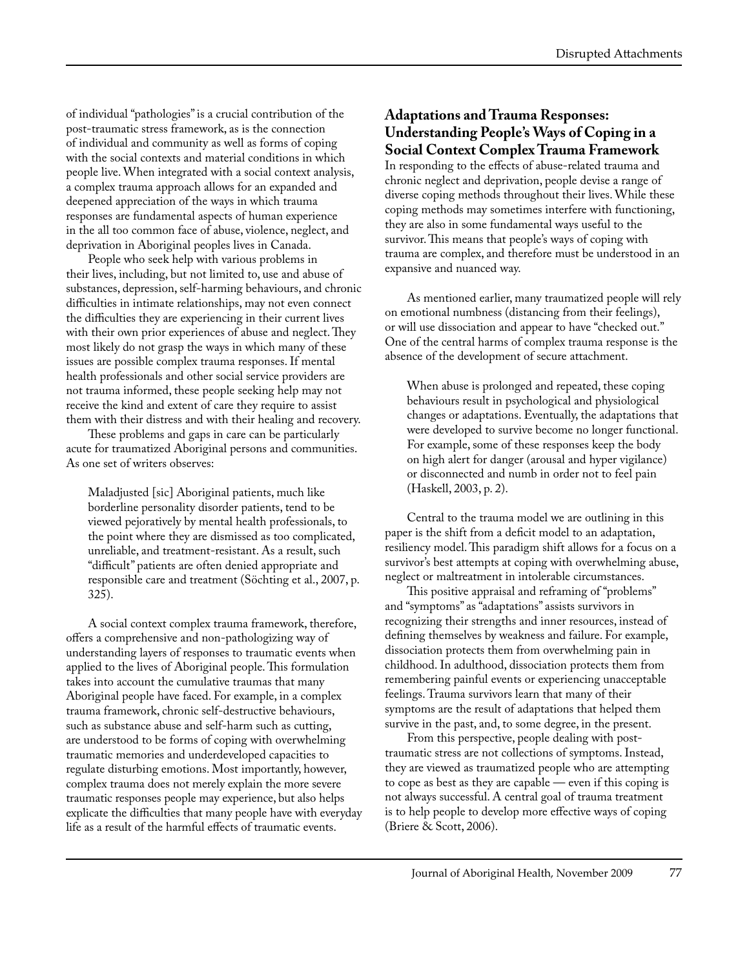of individual "pathologies" is a crucial contribution of the post-traumatic stress framework, as is the connection of individual and community as well as forms of coping with the social contexts and material conditions in which people live. When integrated with a social context analysis, a complex trauma approach allows for an expanded and deepened appreciation of the ways in which trauma responses are fundamental aspects of human experience in the all too common face of abuse, violence, neglect, and deprivation in Aboriginal peoples lives in Canada.

People who seek help with various problems in their lives, including, but not limited to, use and abuse of substances, depression, self-harming behaviours, and chronic difficulties in intimate relationships, may not even connect the difficulties they are experiencing in their current lives with their own prior experiences of abuse and neglect. They most likely do not grasp the ways in which many of these issues are possible complex trauma responses. If mental health professionals and other social service providers are not trauma informed, these people seeking help may not receive the kind and extent of care they require to assist them with their distress and with their healing and recovery.

These problems and gaps in care can be particularly acute for traumatized Aboriginal persons and communities. As one set of writers observes:

Maladjusted [sic] Aboriginal patients, much like borderline personality disorder patients, tend to be viewed pejoratively by mental health professionals, to the point where they are dismissed as too complicated, unreliable, and treatment-resistant. As a result, such "difficult" patients are often denied appropriate and responsible care and treatment (Söchting et al., 2007, p. 325).

A social context complex trauma framework, therefore, offers a comprehensive and non-pathologizing way of understanding layers of responses to traumatic events when applied to the lives of Aboriginal people. This formulation takes into account the cumulative traumas that many Aboriginal people have faced. For example, in a complex trauma framework, chronic self-destructive behaviours, such as substance abuse and self-harm such as cutting, are understood to be forms of coping with overwhelming traumatic memories and underdeveloped capacities to regulate disturbing emotions. Most importantly, however, complex trauma does not merely explain the more severe traumatic responses people may experience, but also helps explicate the difficulties that many people have with everyday life as a result of the harmful effects of traumatic events.

#### **Adaptations and Trauma Responses: Understanding People's Ways of Coping in a Social Context Complex Trauma Framework**

In responding to the effects of abuse-related trauma and chronic neglect and deprivation, people devise a range of diverse coping methods throughout their lives. While these coping methods may sometimes interfere with functioning, they are also in some fundamental ways useful to the survivor. This means that people's ways of coping with trauma are complex, and therefore must be understood in an expansive and nuanced way.

As mentioned earlier, many traumatized people will rely on emotional numbness (distancing from their feelings), or will use dissociation and appear to have "checked out." One of the central harms of complex trauma response is the absence of the development of secure attachment.

When abuse is prolonged and repeated, these coping behaviours result in psychological and physiological changes or adaptations. Eventually, the adaptations that were developed to survive become no longer functional. For example, some of these responses keep the body on high alert for danger (arousal and hyper vigilance) or disconnected and numb in order not to feel pain (Haskell, 2003, p. 2).

Central to the trauma model we are outlining in this paper is the shift from a deficit model to an adaptation, resiliency model. This paradigm shift allows for a focus on a survivor's best attempts at coping with overwhelming abuse, neglect or maltreatment in intolerable circumstances.

This positive appraisal and reframing of "problems" and "symptoms" as "adaptations" assists survivors in recognizing their strengths and inner resources, instead of defining themselves by weakness and failure. For example, dissociation protects them from overwhelming pain in childhood. In adulthood, dissociation protects them from remembering painful events or experiencing unacceptable feelings. Trauma survivors learn that many of their symptoms are the result of adaptations that helped them survive in the past, and, to some degree, in the present.

From this perspective, people dealing with posttraumatic stress are not collections of symptoms. Instead, they are viewed as traumatized people who are attempting to cope as best as they are capable — even if this coping is not always successful. A central goal of trauma treatment is to help people to develop more effective ways of coping (Briere & Scott, 2006).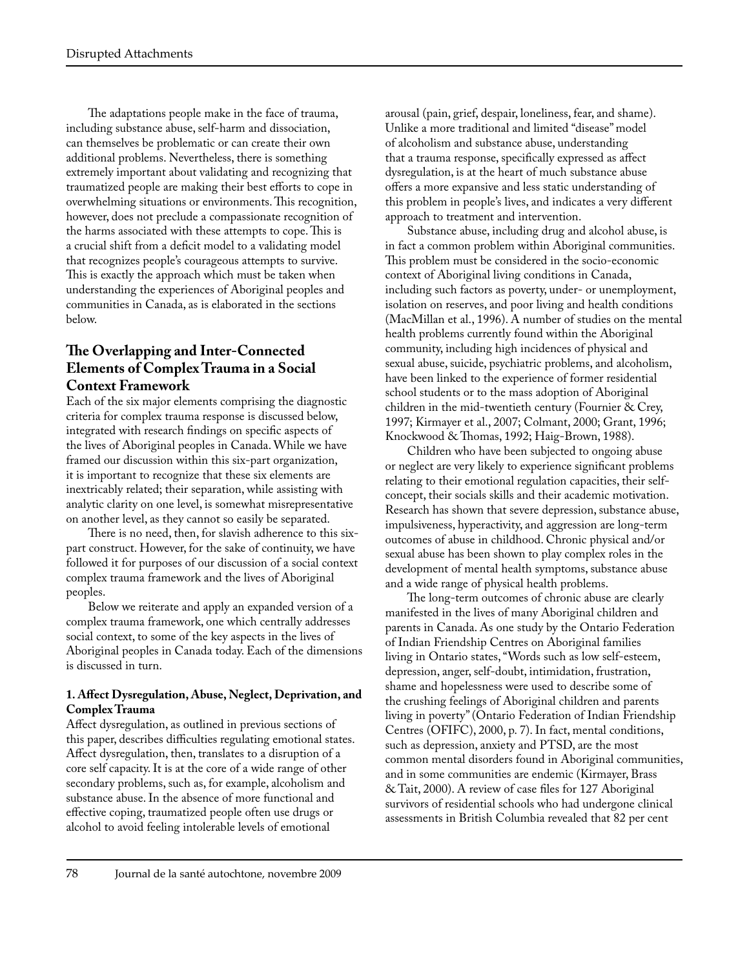The adaptations people make in the face of trauma, including substance abuse, self-harm and dissociation, can themselves be problematic or can create their own additional problems. Nevertheless, there is something extremely important about validating and recognizing that traumatized people are making their best efforts to cope in overwhelming situations or environments. This recognition, however, does not preclude a compassionate recognition of the harms associated with these attempts to cope. This is a crucial shift from a deficit model to a validating model that recognizes people's courageous attempts to survive. This is exactly the approach which must be taken when understanding the experiences of Aboriginal peoples and communities in Canada, as is elaborated in the sections below.

# **The Overlapping and Inter-Connected Elements of Complex Trauma in a Social Context Framework**

Each of the six major elements comprising the diagnostic criteria for complex trauma response is discussed below, integrated with research findings on specific aspects of the lives of Aboriginal peoples in Canada. While we have framed our discussion within this six-part organization, it is important to recognize that these six elements are inextricably related; their separation, while assisting with analytic clarity on one level, is somewhat misrepresentative on another level, as they cannot so easily be separated.

There is no need, then, for slavish adherence to this sixpart construct. However, for the sake of continuity, we have followed it for purposes of our discussion of a social context complex trauma framework and the lives of Aboriginal peoples.

Below we reiterate and apply an expanded version of a complex trauma framework, one which centrally addresses social context, to some of the key aspects in the lives of Aboriginal peoples in Canada today. Each of the dimensions is discussed in turn.

#### **1. Affect Dysregulation, Abuse, Neglect, Deprivation, and Complex Trauma**

Affect dysregulation, as outlined in previous sections of this paper, describes difficulties regulating emotional states. Affect dysregulation, then, translates to a disruption of a core self capacity. It is at the core of a wide range of other secondary problems, such as, for example, alcoholism and substance abuse. In the absence of more functional and effective coping, traumatized people often use drugs or alcohol to avoid feeling intolerable levels of emotional

arousal (pain, grief, despair, loneliness, fear, and shame). Unlike a more traditional and limited "disease" model of alcoholism and substance abuse, understanding that a trauma response, specifically expressed as affect dysregulation, is at the heart of much substance abuse offers a more expansive and less static understanding of this problem in people's lives, and indicates a very different approach to treatment and intervention.

Substance abuse, including drug and alcohol abuse, is in fact a common problem within Aboriginal communities. This problem must be considered in the socio-economic context of Aboriginal living conditions in Canada, including such factors as poverty, under- or unemployment, isolation on reserves, and poor living and health conditions (MacMillan et al., 1996). A number of studies on the mental health problems currently found within the Aboriginal community, including high incidences of physical and sexual abuse, suicide, psychiatric problems, and alcoholism, have been linked to the experience of former residential school students or to the mass adoption of Aboriginal children in the mid-twentieth century (Fournier & Crey, 1997; Kirmayer et al., 2007; Colmant, 2000; Grant, 1996; Knockwood & Thomas, 1992; Haig-Brown, 1988).

Children who have been subjected to ongoing abuse or neglect are very likely to experience significant problems relating to their emotional regulation capacities, their selfconcept, their socials skills and their academic motivation. Research has shown that severe depression, substance abuse, impulsiveness, hyperactivity, and aggression are long-term outcomes of abuse in childhood. Chronic physical and/or sexual abuse has been shown to play complex roles in the development of mental health symptoms, substance abuse and a wide range of physical health problems.

The long-term outcomes of chronic abuse are clearly manifested in the lives of many Aboriginal children and parents in Canada. As one study by the Ontario Federation of Indian Friendship Centres on Aboriginal families living in Ontario states, "Words such as low self-esteem, depression, anger, self-doubt, intimidation, frustration, shame and hopelessness were used to describe some of the crushing feelings of Aboriginal children and parents living in poverty" (Ontario Federation of Indian Friendship Centres (OFIFC), 2000, p. 7). In fact, mental conditions, such as depression, anxiety and PTSD, are the most common mental disorders found in Aboriginal communities, and in some communities are endemic (Kirmayer, Brass & Tait, 2000). A review of case files for 127 Aboriginal survivors of residential schools who had undergone clinical assessments in British Columbia revealed that 82 per cent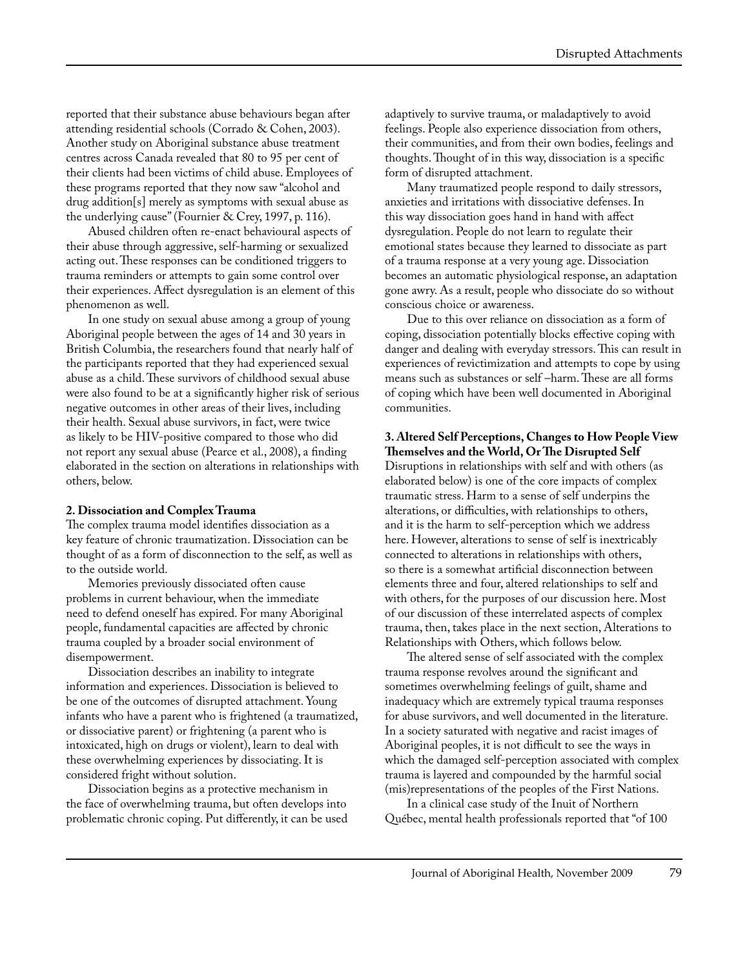reported that their substance abuse behaviours began after attending residential schools (Corrado & Cohen, 2003). Another study on Aboriginal substance abuse treatment centres across Canada revealed that 80 to 95 per cent of their clients had been victims of child abuse. Employees of these programs reported that they now saw "alcohol and drug addition[s] merely as symptoms with sexual abuse as the underlying cause" (Fournier & Crey, 1997, p. 116).

Abused children often re-enact behavioural aspects of their abuse through aggressive, self-harming or sexualized acting out. These responses can be conditioned triggers to trauma reminders or attempts to gain some control over their experiences. Affect dysregulation is an element of this phenomenon as well.

In one study on sexual abuse among a group of young Aboriginal people between the ages of 14 and 30 years in British Columbia, the researchers found that nearly half of the participants reported that they had experienced sexual abuse as a child. These survivors of childhood sexual abuse were also found to be at a significantly higher risk of serious negative outcomes in other areas of their lives, including their health. Sexual abuse survivors, in fact, were twice as likely to be HIV-positive compared to those who did not report any sexual abuse (Pearce et al., 2008), a finding elaborated in the section on alterations in relationships with others, below.

#### **2. Dissociation and Complex Trauma**

The complex trauma model identifies dissociation as a key feature of chronic traumatization. Dissociation can be thought of as a form of disconnection to the self, as well as to the outside world.

Memories previously dissociated often cause problems in current behaviour, when the immediate need to defend oneself has expired. For many Aboriginal people, fundamental capacities are affected by chronic trauma coupled by a broader social environment of disempowerment.

Dissociation describes an inability to integrate information and experiences. Dissociation is believed to be one of the outcomes of disrupted attachment. Young infants who have a parent who is frightened (a traumatized, or dissociative parent) or frightening (a parent who is intoxicated, high on drugs or violent), learn to deal with these overwhelming experiences by dissociating. It is considered fright without solution.

Dissociation begins as a protective mechanism in the face of overwhelming trauma, but often develops into problematic chronic coping. Put differently, it can be used adaptively to survive trauma, or maladaptively to avoid feelings. People also experience dissociation from others, their communities, and from their own bodies, feelings and thoughts. Thought of in this way, dissociation is a specific form of disrupted attachment.

Many traumatized people respond to daily stressors, anxieties and irritations with dissociative defenses. In this way dissociation goes hand in hand with affect dysregulation. People do not learn to regulate their emotional states because they learned to dissociate as part of a trauma response at a very young age. Dissociation becomes an automatic physiological response, an adaptation gone awry. As a result, people who dissociate do so without conscious choice or awareness.

Due to this over reliance on dissociation as a form of coping, dissociation potentially blocks effective coping with danger and dealing with everyday stressors. This can result in experiences of revictimization and attempts to cope by using means such as substances or self –harm. These are all forms of coping which have been well documented in Aboriginal communities.

**3. Altered Self Perceptions, Changes to How People View Themselves and the World, Or The Disrupted Self** Disruptions in relationships with self and with others (as elaborated below) is one of the core impacts of complex traumatic stress. Harm to a sense of self underpins the alterations, or difficulties, with relationships to others, and it is the harm to self-perception which we address here. However, alterations to sense of self is inextricably connected to alterations in relationships with others, so there is a somewhat artificial disconnection between elements three and four, altered relationships to self and with others, for the purposes of our discussion here. Most of our discussion of these interrelated aspects of complex trauma, then, takes place in the next section, Alterations to Relationships with Others, which follows below.

The altered sense of self associated with the complex trauma response revolves around the significant and sometimes overwhelming feelings of guilt, shame and inadequacy which are extremely typical trauma responses for abuse survivors, and well documented in the literature. In a society saturated with negative and racist images of Aboriginal peoples, it is not difficult to see the ways in which the damaged self-perception associated with complex trauma is layered and compounded by the harmful social (mis)representations of the peoples of the First Nations.

In a clinical case study of the Inuit of Northern Québec, mental health professionals reported that "of 100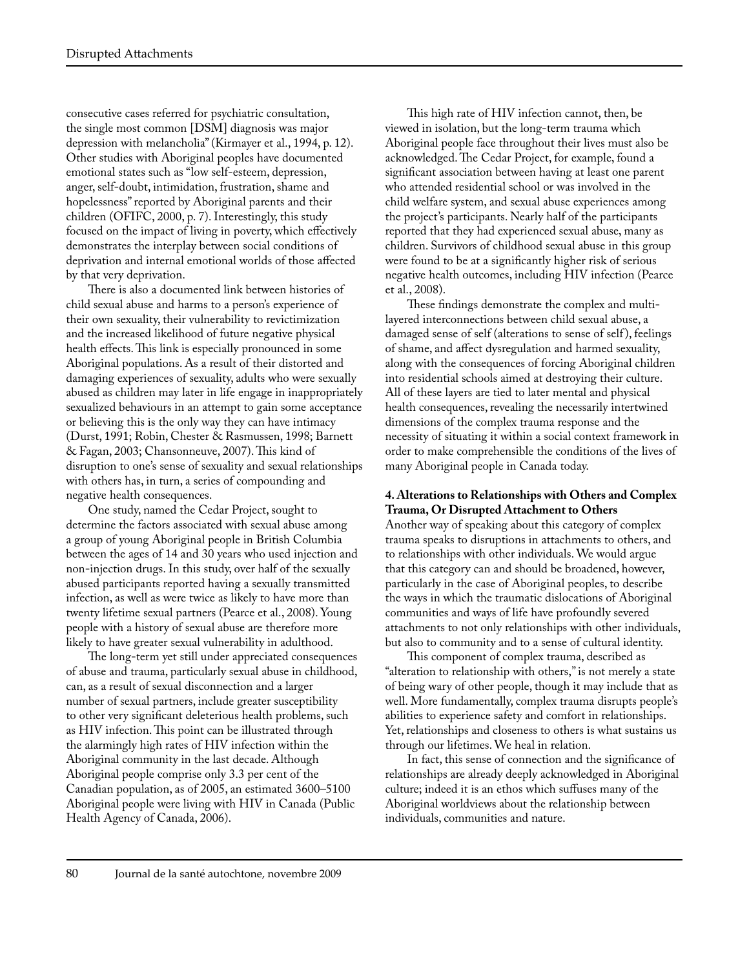consecutive cases referred for psychiatric consultation, the single most common [DSM] diagnosis was major depression with melancholia" (Kirmayer et al., 1994, p. 12). Other studies with Aboriginal peoples have documented emotional states such as "low self-esteem, depression, anger, self-doubt, intimidation, frustration, shame and hopelessness" reported by Aboriginal parents and their children (OFIFC, 2000, p. 7). Interestingly, this study focused on the impact of living in poverty, which effectively demonstrates the interplay between social conditions of deprivation and internal emotional worlds of those affected by that very deprivation.

There is also a documented link between histories of child sexual abuse and harms to a person's experience of their own sexuality, their vulnerability to revictimization and the increased likelihood of future negative physical health effects. This link is especially pronounced in some Aboriginal populations. As a result of their distorted and damaging experiences of sexuality, adults who were sexually abused as children may later in life engage in inappropriately sexualized behaviours in an attempt to gain some acceptance or believing this is the only way they can have intimacy (Durst, 1991; Robin, Chester & Rasmussen, 1998; Barnett & Fagan, 2003; Chansonneuve, 2007). This kind of disruption to one's sense of sexuality and sexual relationships with others has, in turn, a series of compounding and negative health consequences.

One study, named the Cedar Project, sought to determine the factors associated with sexual abuse among a group of young Aboriginal people in British Columbia between the ages of 14 and 30 years who used injection and non-injection drugs. In this study, over half of the sexually abused participants reported having a sexually transmitted infection, as well as were twice as likely to have more than twenty lifetime sexual partners (Pearce et al., 2008). Young people with a history of sexual abuse are therefore more likely to have greater sexual vulnerability in adulthood.

The long-term yet still under appreciated consequences of abuse and trauma, particularly sexual abuse in childhood, can, as a result of sexual disconnection and a larger number of sexual partners, include greater susceptibility to other very significant deleterious health problems, such as HIV infection. This point can be illustrated through the alarmingly high rates of HIV infection within the Aboriginal community in the last decade. Although Aboriginal people comprise only 3.3 per cent of the Canadian population, as of 2005, an estimated 3600–5100 Aboriginal people were living with HIV in Canada (Public Health Agency of Canada, 2006).

This high rate of HIV infection cannot, then, be viewed in isolation, but the long-term trauma which Aboriginal people face throughout their lives must also be acknowledged. The Cedar Project, for example, found a significant association between having at least one parent who attended residential school or was involved in the child welfare system, and sexual abuse experiences among the project's participants. Nearly half of the participants reported that they had experienced sexual abuse, many as children. Survivors of childhood sexual abuse in this group were found to be at a significantly higher risk of serious negative health outcomes, including HIV infection (Pearce et al., 2008).

These findings demonstrate the complex and multilayered interconnections between child sexual abuse, a damaged sense of self (alterations to sense of self ), feelings of shame, and affect dysregulation and harmed sexuality, along with the consequences of forcing Aboriginal children into residential schools aimed at destroying their culture. All of these layers are tied to later mental and physical health consequences, revealing the necessarily intertwined dimensions of the complex trauma response and the necessity of situating it within a social context framework in order to make comprehensible the conditions of the lives of many Aboriginal people in Canada today.

#### **4. Alterations to Relationships with Others and Complex Trauma, Or Disrupted Attachment to Others**

Another way of speaking about this category of complex trauma speaks to disruptions in attachments to others, and to relationships with other individuals. We would argue that this category can and should be broadened, however, particularly in the case of Aboriginal peoples, to describe the ways in which the traumatic dislocations of Aboriginal communities and ways of life have profoundly severed attachments to not only relationships with other individuals, but also to community and to a sense of cultural identity.

This component of complex trauma, described as "alteration to relationship with others," is not merely a state of being wary of other people, though it may include that as well. More fundamentally, complex trauma disrupts people's abilities to experience safety and comfort in relationships. Yet, relationships and closeness to others is what sustains us through our lifetimes. We heal in relation.

In fact, this sense of connection and the significance of relationships are already deeply acknowledged in Aboriginal culture; indeed it is an ethos which suffuses many of the Aboriginal worldviews about the relationship between individuals, communities and nature.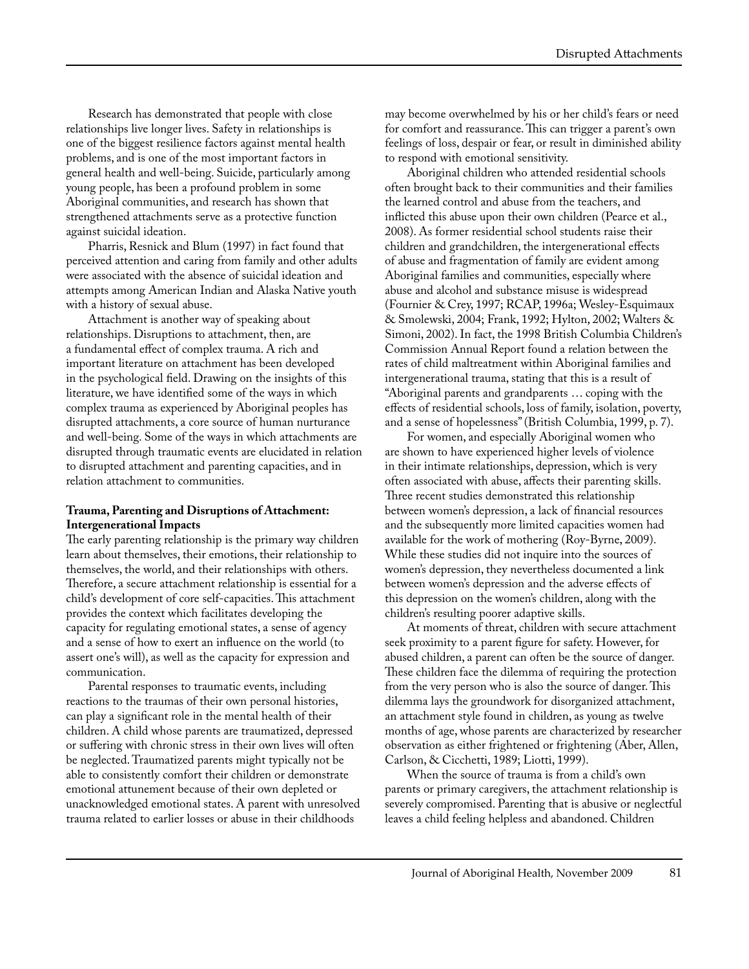Research has demonstrated that people with close relationships live longer lives. Safety in relationships is one of the biggest resilience factors against mental health problems, and is one of the most important factors in general health and well-being. Suicide, particularly among young people, has been a profound problem in some Aboriginal communities, and research has shown that strengthened attachments serve as a protective function against suicidal ideation.

Pharris, Resnick and Blum (1997) in fact found that perceived attention and caring from family and other adults were associated with the absence of suicidal ideation and attempts among American Indian and Alaska Native youth with a history of sexual abuse.

Attachment is another way of speaking about relationships. Disruptions to attachment, then, are a fundamental effect of complex trauma. A rich and important literature on attachment has been developed in the psychological field. Drawing on the insights of this literature, we have identified some of the ways in which complex trauma as experienced by Aboriginal peoples has disrupted attachments, a core source of human nurturance and well-being. Some of the ways in which attachments are disrupted through traumatic events are elucidated in relation to disrupted attachment and parenting capacities, and in relation attachment to communities.

#### **Trauma, Parenting and Disruptions of Attachment: Intergenerational Impacts**

The early parenting relationship is the primary way children learn about themselves, their emotions, their relationship to themselves, the world, and their relationships with others. Therefore, a secure attachment relationship is essential for a child's development of core self-capacities. This attachment provides the context which facilitates developing the capacity for regulating emotional states, a sense of agency and a sense of how to exert an influence on the world (to assert one's will), as well as the capacity for expression and communication.

Parental responses to traumatic events, including reactions to the traumas of their own personal histories, can play a significant role in the mental health of their children. A child whose parents are traumatized, depressed or suffering with chronic stress in their own lives will often be neglected. Traumatized parents might typically not be able to consistently comfort their children or demonstrate emotional attunement because of their own depleted or unacknowledged emotional states. A parent with unresolved trauma related to earlier losses or abuse in their childhoods

may become overwhelmed by his or her child's fears or need for comfort and reassurance. This can trigger a parent's own feelings of loss, despair or fear, or result in diminished ability to respond with emotional sensitivity.

Aboriginal children who attended residential schools often brought back to their communities and their families the learned control and abuse from the teachers, and inflicted this abuse upon their own children (Pearce et al., 2008). As former residential school students raise their children and grandchildren, the intergenerational effects of abuse and fragmentation of family are evident among Aboriginal families and communities, especially where abuse and alcohol and substance misuse is widespread (Fournier & Crey, 1997; RCAP, 1996a; Wesley-Esquimaux & Smolewski, 2004; Frank, 1992; Hylton, 2002; Walters & Simoni, 2002). In fact, the 1998 British Columbia Children's Commission Annual Report found a relation between the rates of child maltreatment within Aboriginal families and intergenerational trauma, stating that this is a result of "Aboriginal parents and grandparents … coping with the effects of residential schools, loss of family, isolation, poverty, and a sense of hopelessness'' (British Columbia, 1999, p. 7).

For women, and especially Aboriginal women who are shown to have experienced higher levels of violence in their intimate relationships, depression, which is very often associated with abuse, affects their parenting skills. Three recent studies demonstrated this relationship between women's depression, a lack of financial resources and the subsequently more limited capacities women had available for the work of mothering (Roy-Byrne, 2009). While these studies did not inquire into the sources of women's depression, they nevertheless documented a link between women's depression and the adverse effects of this depression on the women's children, along with the children's resulting poorer adaptive skills.

At moments of threat, children with secure attachment seek proximity to a parent figure for safety. However, for abused children, a parent can often be the source of danger. These children face the dilemma of requiring the protection from the very person who is also the source of danger. This dilemma lays the groundwork for disorganized attachment, an attachment style found in children, as young as twelve months of age, whose parents are characterized by researcher observation as either frightened or frightening (Aber, Allen, Carlson, & Cicchetti, 1989; Liotti, 1999).

When the source of trauma is from a child's own parents or primary caregivers, the attachment relationship is severely compromised. Parenting that is abusive or neglectful leaves a child feeling helpless and abandoned. Children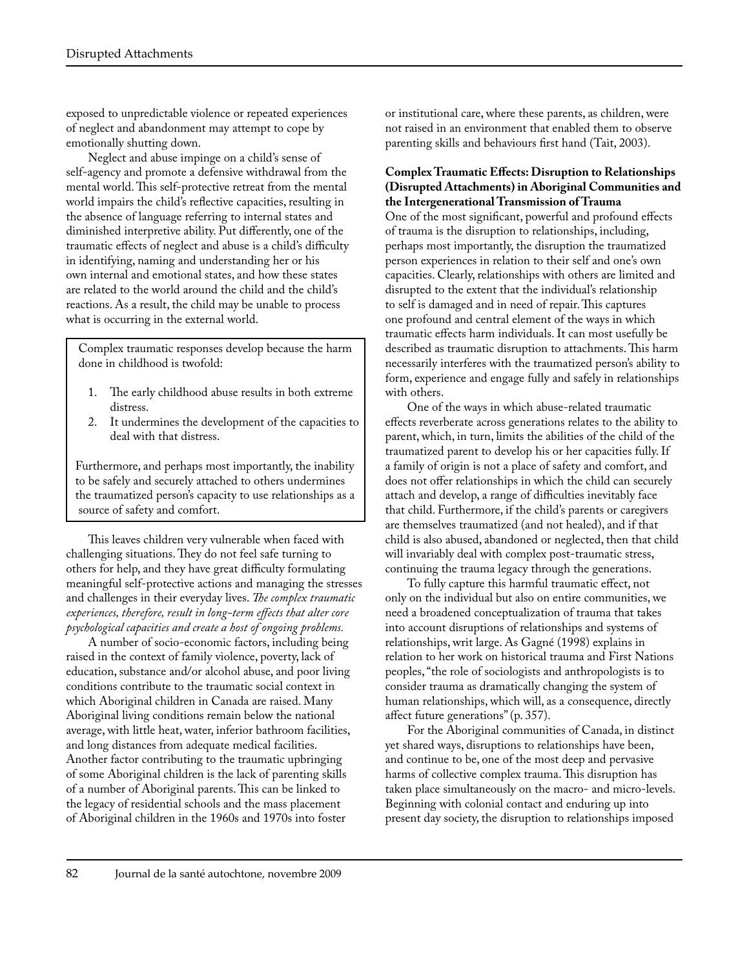exposed to unpredictable violence or repeated experiences of neglect and abandonment may attempt to cope by emotionally shutting down.

Neglect and abuse impinge on a child's sense of self-agency and promote a defensive withdrawal from the mental world. This self-protective retreat from the mental world impairs the child's reflective capacities, resulting in the absence of language referring to internal states and diminished interpretive ability. Put differently, one of the traumatic effects of neglect and abuse is a child's difficulty in identifying, naming and understanding her or his own internal and emotional states, and how these states are related to the world around the child and the child's reactions. As a result, the child may be unable to process what is occurring in the external world.

 Complex traumatic responses develop because the harm done in childhood is twofold:

- 1. The early childhood abuse results in both extreme distress.
- 2. It undermines the development of the capacities to deal with that distress.

 Furthermore, and perhaps most importantly, the inability to be safely and securely attached to others undermines the traumatized person's capacity to use relationships as a source of safety and comfort.

This leaves children very vulnerable when faced with challenging situations. They do not feel safe turning to others for help, and they have great difficulty formulating meaningful self-protective actions and managing the stresses and challenges in their everyday lives. *The complex traumatic experiences, therefore, result in long-term effects that alter core psychological capacities and create a host of ongoing problems.*

A number of socio-economic factors, including being raised in the context of family violence, poverty, lack of education, substance and/or alcohol abuse, and poor living conditions contribute to the traumatic social context in which Aboriginal children in Canada are raised. Many Aboriginal living conditions remain below the national average, with little heat, water, inferior bathroom facilities, and long distances from adequate medical facilities. Another factor contributing to the traumatic upbringing of some Aboriginal children is the lack of parenting skills of a number of Aboriginal parents. This can be linked to the legacy of residential schools and the mass placement of Aboriginal children in the 1960s and 1970s into foster

or institutional care, where these parents, as children, were not raised in an environment that enabled them to observe parenting skills and behaviours first hand (Tait, 2003).

#### **Complex Traumatic Effects: Disruption to Relationships (Disrupted Attachments) in Aboriginal Communities and the Intergenerational Transmission of Trauma**

One of the most significant, powerful and profound effects of trauma is the disruption to relationships, including, perhaps most importantly, the disruption the traumatized person experiences in relation to their self and one's own capacities. Clearly, relationships with others are limited and disrupted to the extent that the individual's relationship to self is damaged and in need of repair. This captures one profound and central element of the ways in which traumatic effects harm individuals. It can most usefully be described as traumatic disruption to attachments. This harm necessarily interferes with the traumatized person's ability to form, experience and engage fully and safely in relationships with others.

One of the ways in which abuse-related traumatic effects reverberate across generations relates to the ability to parent, which, in turn, limits the abilities of the child of the traumatized parent to develop his or her capacities fully. If a family of origin is not a place of safety and comfort, and does not offer relationships in which the child can securely attach and develop, a range of difficulties inevitably face that child. Furthermore, if the child's parents or caregivers are themselves traumatized (and not healed), and if that child is also abused, abandoned or neglected, then that child will invariably deal with complex post-traumatic stress, continuing the trauma legacy through the generations.

To fully capture this harmful traumatic effect, not only on the individual but also on entire communities, we need a broadened conceptualization of trauma that takes into account disruptions of relationships and systems of relationships, writ large. As Gagné (1998) explains in relation to her work on historical trauma and First Nations peoples, "the role of sociologists and anthropologists is to consider trauma as dramatically changing the system of human relationships, which will, as a consequence, directly affect future generations" (p. 357).

For the Aboriginal communities of Canada, in distinct yet shared ways, disruptions to relationships have been, and continue to be, one of the most deep and pervasive harms of collective complex trauma. This disruption has taken place simultaneously on the macro- and micro-levels. Beginning with colonial contact and enduring up into present day society, the disruption to relationships imposed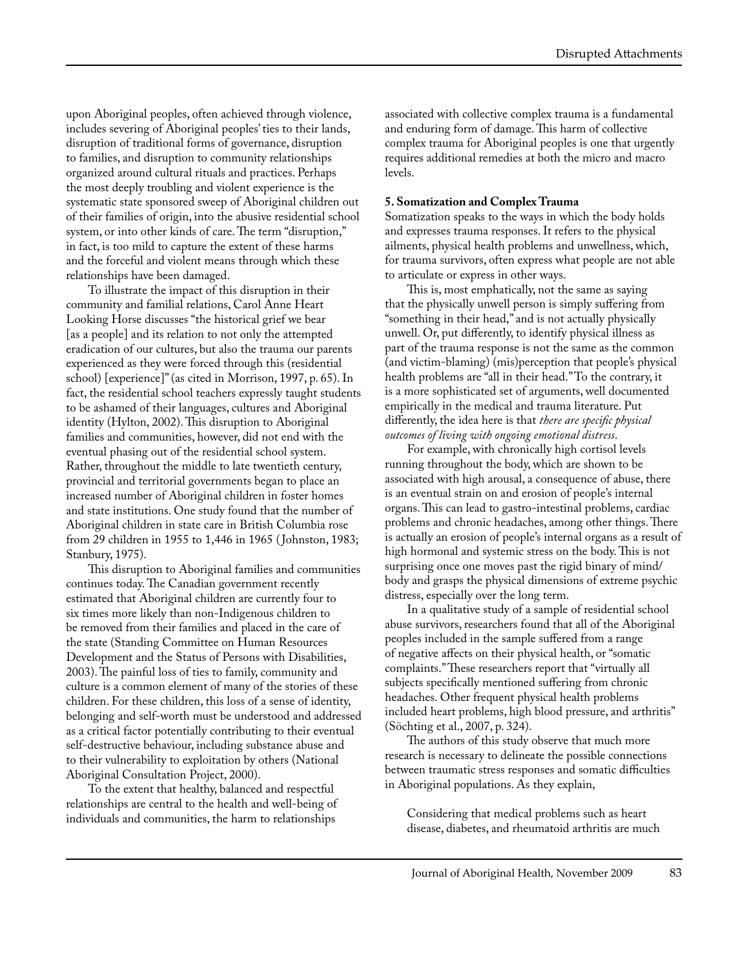upon Aboriginal peoples, often achieved through violence, includes severing of Aboriginal peoples' ties to their lands, disruption of traditional forms of governance, disruption to families, and disruption to community relationships organized around cultural rituals and practices. Perhaps the most deeply troubling and violent experience is the systematic state sponsored sweep of Aboriginal children out of their families of origin, into the abusive residential school system, or into other kinds of care. The term "disruption," in fact, is too mild to capture the extent of these harms and the forceful and violent means through which these relationships have been damaged.

To illustrate the impact of this disruption in their community and familial relations, Carol Anne Heart Looking Horse discusses "the historical grief we bear [as a people] and its relation to not only the attempted eradication of our cultures, but also the trauma our parents experienced as they were forced through this (residential school) [experience]" (as cited in Morrison, 1997, p. 65). In fact, the residential school teachers expressly taught students to be ashamed of their languages, cultures and Aboriginal identity (Hylton, 2002). This disruption to Aboriginal families and communities, however, did not end with the eventual phasing out of the residential school system. Rather, throughout the middle to late twentieth century, provincial and territorial governments began to place an increased number of Aboriginal children in foster homes and state institutions. One study found that the number of Aboriginal children in state care in British Columbia rose from 29 children in 1955 to 1,446 in 1965 ( Johnston, 1983; Stanbury, 1975).

This disruption to Aboriginal families and communities continues today. The Canadian government recently estimated that Aboriginal children are currently four to six times more likely than non-Indigenous children to be removed from their families and placed in the care of the state (Standing Committee on Human Resources Development and the Status of Persons with Disabilities, 2003). The painful loss of ties to family, community and culture is a common element of many of the stories of these children. For these children, this loss of a sense of identity, belonging and self-worth must be understood and addressed as a critical factor potentially contributing to their eventual self-destructive behaviour, including substance abuse and to their vulnerability to exploitation by others (National Aboriginal Consultation Project, 2000).

To the extent that healthy, balanced and respectful relationships are central to the health and well-being of individuals and communities, the harm to relationships

associated with collective complex trauma is a fundamental and enduring form of damage. This harm of collective complex trauma for Aboriginal peoples is one that urgently requires additional remedies at both the micro and macro levels.

#### **5. Somatization and Complex Trauma**

Somatization speaks to the ways in which the body holds and expresses trauma responses. It refers to the physical ailments, physical health problems and unwellness, which, for trauma survivors, often express what people are not able to articulate or express in other ways.

This is, most emphatically, not the same as saying that the physically unwell person is simply suffering from "something in their head," and is not actually physically unwell. Or, put differently, to identify physical illness as part of the trauma response is not the same as the common (and victim-blaming) (mis)perception that people's physical health problems are "all in their head." To the contrary, it is a more sophisticated set of arguments, well documented empirically in the medical and trauma literature. Put differently, the idea here is that *there are specific physical outcomes of living with ongoing emotional distress*.

For example, with chronically high cortisol levels running throughout the body, which are shown to be associated with high arousal, a consequence of abuse, there is an eventual strain on and erosion of people's internal organs. This can lead to gastro-intestinal problems, cardiac problems and chronic headaches, among other things. There is actually an erosion of people's internal organs as a result of high hormonal and systemic stress on the body. This is not surprising once one moves past the rigid binary of mind/ body and grasps the physical dimensions of extreme psychic distress, especially over the long term.

In a qualitative study of a sample of residential school abuse survivors, researchers found that all of the Aboriginal peoples included in the sample suffered from a range of negative affects on their physical health, or "somatic complaints." These researchers report that "virtually all subjects specifically mentioned suffering from chronic headaches. Other frequent physical health problems included heart problems, high blood pressure, and arthritis" (Söchting et al., 2007, p. 324).

The authors of this study observe that much more research is necessary to delineate the possible connections between traumatic stress responses and somatic difficulties in Aboriginal populations. As they explain,

Considering that medical problems such as heart disease, diabetes, and rheumatoid arthritis are much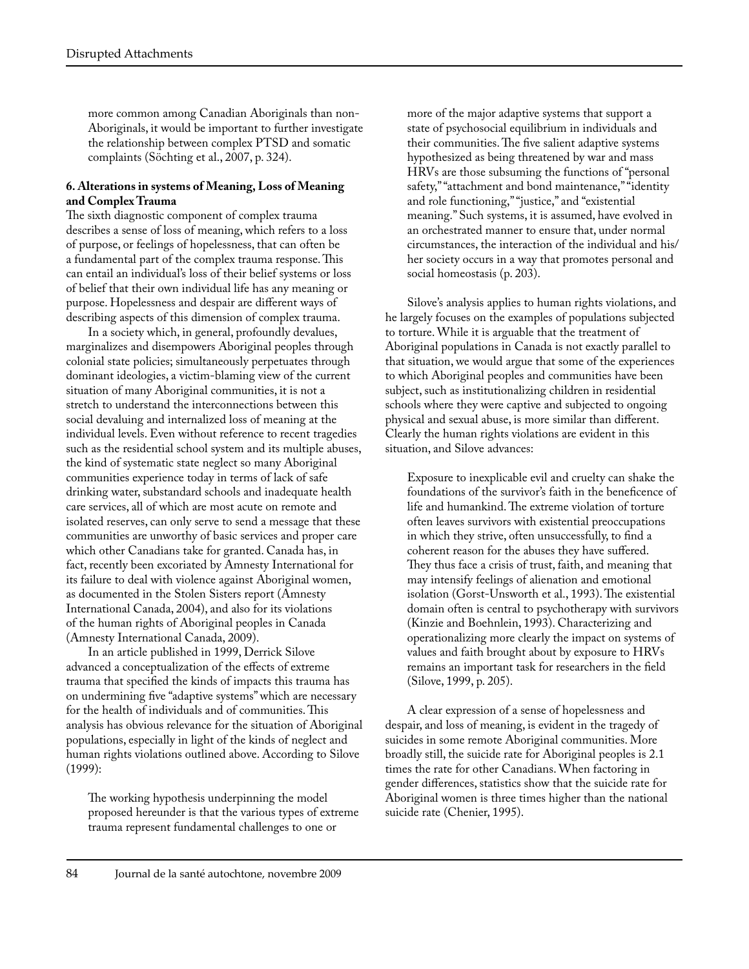more common among Canadian Aboriginals than non-Aboriginals, it would be important to further investigate the relationship between complex PTSD and somatic complaints (Söchting et al., 2007, p. 324).

#### **6. Alterations in systems of Meaning, Loss of Meaning and Complex Trauma**

The sixth diagnostic component of complex trauma describes a sense of loss of meaning, which refers to a loss of purpose, or feelings of hopelessness, that can often be a fundamental part of the complex trauma response. This can entail an individual's loss of their belief systems or loss of belief that their own individual life has any meaning or purpose. Hopelessness and despair are different ways of describing aspects of this dimension of complex trauma.

In a society which, in general, profoundly devalues, marginalizes and disempowers Aboriginal peoples through colonial state policies; simultaneously perpetuates through dominant ideologies, a victim-blaming view of the current situation of many Aboriginal communities, it is not a stretch to understand the interconnections between this social devaluing and internalized loss of meaning at the individual levels. Even without reference to recent tragedies such as the residential school system and its multiple abuses, the kind of systematic state neglect so many Aboriginal communities experience today in terms of lack of safe drinking water, substandard schools and inadequate health care services, all of which are most acute on remote and isolated reserves, can only serve to send a message that these communities are unworthy of basic services and proper care which other Canadians take for granted. Canada has, in fact, recently been excoriated by Amnesty International for its failure to deal with violence against Aboriginal women, as documented in the Stolen Sisters report (Amnesty International Canada, 2004), and also for its violations of the human rights of Aboriginal peoples in Canada (Amnesty International Canada, 2009).

In an article published in 1999, Derrick Silove advanced a conceptualization of the effects of extreme trauma that specified the kinds of impacts this trauma has on undermining five "adaptive systems" which are necessary for the health of individuals and of communities. This analysis has obvious relevance for the situation of Aboriginal populations, especially in light of the kinds of neglect and human rights violations outlined above. According to Silove (1999):

The working hypothesis underpinning the model proposed hereunder is that the various types of extreme trauma represent fundamental challenges to one or

more of the major adaptive systems that support a state of psychosocial equilibrium in individuals and their communities. The five salient adaptive systems hypothesized as being threatened by war and mass HRVs are those subsuming the functions of "personal safety," "attachment and bond maintenance," "identity and role functioning," "justice," and "existential meaning." Such systems, it is assumed, have evolved in an orchestrated manner to ensure that, under normal circumstances, the interaction of the individual and his/ her society occurs in a way that promotes personal and social homeostasis (p. 203).

Silove's analysis applies to human rights violations, and he largely focuses on the examples of populations subjected to torture. While it is arguable that the treatment of Aboriginal populations in Canada is not exactly parallel to that situation, we would argue that some of the experiences to which Aboriginal peoples and communities have been subject, such as institutionalizing children in residential schools where they were captive and subjected to ongoing physical and sexual abuse, is more similar than different. Clearly the human rights violations are evident in this situation, and Silove advances:

Exposure to inexplicable evil and cruelty can shake the foundations of the survivor's faith in the beneficence of life and humankind. The extreme violation of torture often leaves survivors with existential preoccupations in which they strive, often unsuccessfully, to find a coherent reason for the abuses they have suffered. They thus face a crisis of trust, faith, and meaning that may intensify feelings of alienation and emotional isolation (Gorst-Unsworth et al., 1993). The existential domain often is central to psychotherapy with survivors (Kinzie and Boehnlein, 1993). Characterizing and operationalizing more clearly the impact on systems of values and faith brought about by exposure to HRVs remains an important task for researchers in the field (Silove, 1999, p. 205).

A clear expression of a sense of hopelessness and despair, and loss of meaning, is evident in the tragedy of suicides in some remote Aboriginal communities. More broadly still, the suicide rate for Aboriginal peoples is 2.1 times the rate for other Canadians. When factoring in gender differences, statistics show that the suicide rate for Aboriginal women is three times higher than the national suicide rate (Chenier, 1995).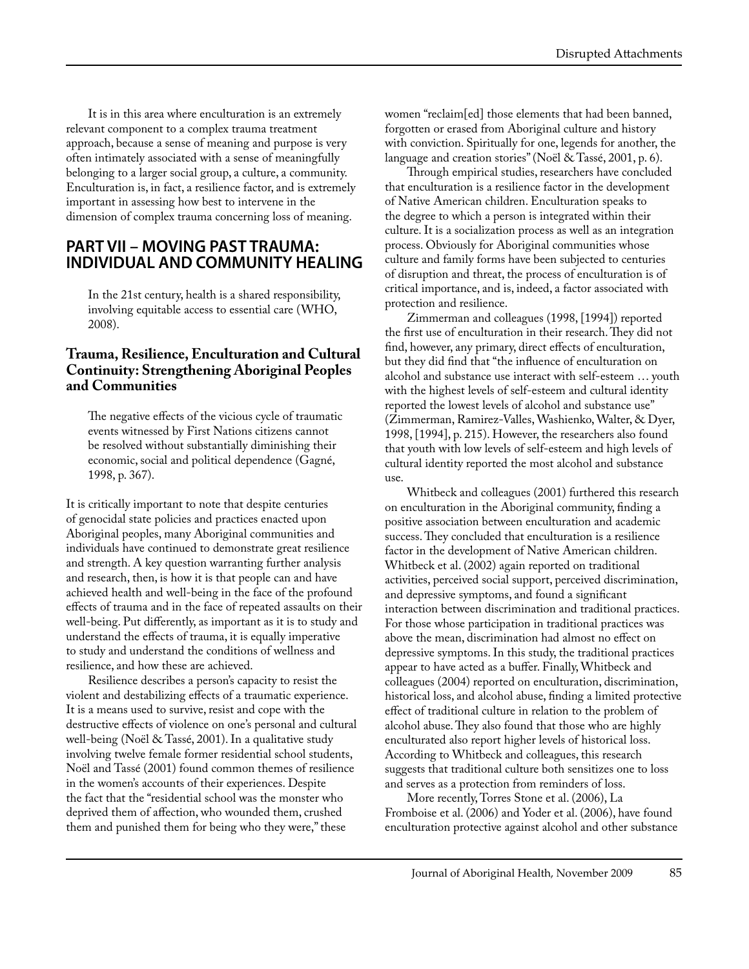It is in this area where enculturation is an extremely relevant component to a complex trauma treatment approach, because a sense of meaning and purpose is very often intimately associated with a sense of meaningfully belonging to a larger social group, a culture, a community. Enculturation is, in fact, a resilience factor, and is extremely important in assessing how best to intervene in the dimension of complex trauma concerning loss of meaning.

#### **PART VII – MOVING PAST TRAUMA: INDIVIDUAL AND COMMUNITY HEALING**

In the 21st century, health is a shared responsibility, involving equitable access to essential care (WHO, 2008).

#### **Trauma, Resilience, Enculturation and Cultural Continuity: Strengthening Aboriginal Peoples and Communities**

The negative effects of the vicious cycle of traumatic events witnessed by First Nations citizens cannot be resolved without substantially diminishing their economic, social and political dependence (Gagné, 1998, p. 367).

It is critically important to note that despite centuries of genocidal state policies and practices enacted upon Aboriginal peoples, many Aboriginal communities and individuals have continued to demonstrate great resilience and strength. A key question warranting further analysis and research, then, is how it is that people can and have achieved health and well-being in the face of the profound effects of trauma and in the face of repeated assaults on their well-being. Put differently, as important as it is to study and understand the effects of trauma, it is equally imperative to study and understand the conditions of wellness and resilience, and how these are achieved.

Resilience describes a person's capacity to resist the violent and destabilizing effects of a traumatic experience. It is a means used to survive, resist and cope with the destructive effects of violence on one's personal and cultural well-being (Noël & Tassé, 2001). In a qualitative study involving twelve female former residential school students, Noël and Tassé (2001) found common themes of resilience in the women's accounts of their experiences. Despite the fact that the "residential school was the monster who deprived them of affection, who wounded them, crushed them and punished them for being who they were," these

women "reclaim[ed] those elements that had been banned, forgotten or erased from Aboriginal culture and history with conviction. Spiritually for one, legends for another, the language and creation stories" (Noël & Tassé, 2001, p. 6).

Through empirical studies, researchers have concluded that enculturation is a resilience factor in the development of Native American children. Enculturation speaks to the degree to which a person is integrated within their culture. It is a socialization process as well as an integration process. Obviously for Aboriginal communities whose culture and family forms have been subjected to centuries of disruption and threat, the process of enculturation is of critical importance, and is, indeed, a factor associated with protection and resilience.

Zimmerman and colleagues (1998, [1994]) reported the first use of enculturation in their research. They did not find, however, any primary, direct effects of enculturation, but they did find that "the influence of enculturation on alcohol and substance use interact with self-esteem … youth with the highest levels of self-esteem and cultural identity reported the lowest levels of alcohol and substance use" (Zimmerman, Ramirez-Valles, Washienko, Walter, & Dyer, 1998, [1994], p. 215). However, the researchers also found that youth with low levels of self-esteem and high levels of cultural identity reported the most alcohol and substance use.

Whitbeck and colleagues (2001) furthered this research on enculturation in the Aboriginal community, finding a positive association between enculturation and academic success. They concluded that enculturation is a resilience factor in the development of Native American children. Whitbeck et al. (2002) again reported on traditional activities, perceived social support, perceived discrimination, and depressive symptoms, and found a significant interaction between discrimination and traditional practices. For those whose participation in traditional practices was above the mean, discrimination had almost no effect on depressive symptoms. In this study, the traditional practices appear to have acted as a buffer. Finally, Whitbeck and colleagues (2004) reported on enculturation, discrimination, historical loss, and alcohol abuse, finding a limited protective effect of traditional culture in relation to the problem of alcohol abuse. They also found that those who are highly enculturated also report higher levels of historical loss. According to Whitbeck and colleagues, this research suggests that traditional culture both sensitizes one to loss and serves as a protection from reminders of loss.

More recently, Torres Stone et al. (2006), La Fromboise et al. (2006) and Yoder et al. (2006), have found enculturation protective against alcohol and other substance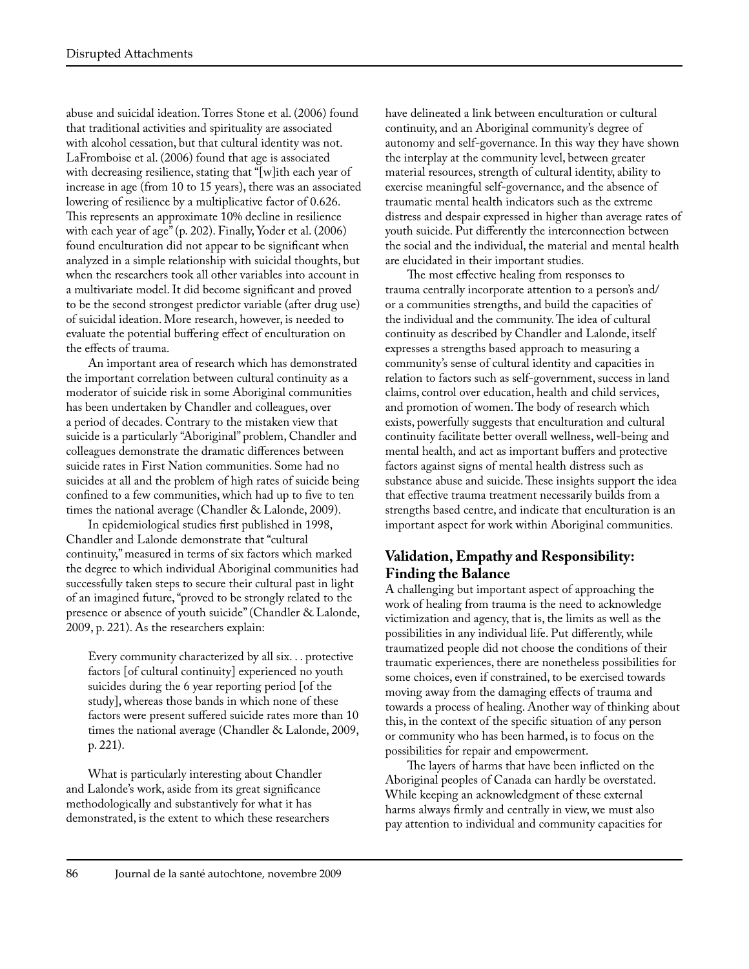abuse and suicidal ideation. Torres Stone et al. (2006) found that traditional activities and spirituality are associated with alcohol cessation, but that cultural identity was not. LaFromboise et al. (2006) found that age is associated with decreasing resilience, stating that "[w]ith each year of increase in age (from 10 to 15 years), there was an associated lowering of resilience by a multiplicative factor of 0.626. This represents an approximate 10% decline in resilience with each year of age" (p. 202). Finally, Yoder et al. (2006) found enculturation did not appear to be significant when analyzed in a simple relationship with suicidal thoughts, but when the researchers took all other variables into account in a multivariate model. It did become significant and proved to be the second strongest predictor variable (after drug use) of suicidal ideation. More research, however, is needed to evaluate the potential buffering effect of enculturation on the effects of trauma.

An important area of research which has demonstrated the important correlation between cultural continuity as a moderator of suicide risk in some Aboriginal communities has been undertaken by Chandler and colleagues, over a period of decades. Contrary to the mistaken view that suicide is a particularly "Aboriginal" problem, Chandler and colleagues demonstrate the dramatic differences between suicide rates in First Nation communities. Some had no suicides at all and the problem of high rates of suicide being confined to a few communities, which had up to five to ten times the national average (Chandler & Lalonde, 2009).

In epidemiological studies first published in 1998, Chandler and Lalonde demonstrate that "cultural continuity," measured in terms of six factors which marked the degree to which individual Aboriginal communities had successfully taken steps to secure their cultural past in light of an imagined future, "proved to be strongly related to the presence or absence of youth suicide" (Chandler & Lalonde, 2009, p. 221). As the researchers explain:

Every community characterized by all six. . . protective factors [of cultural continuity] experienced no youth suicides during the 6 year reporting period [of the study], whereas those bands in which none of these factors were present suffered suicide rates more than 10 times the national average (Chandler & Lalonde, 2009, p. 221).

What is particularly interesting about Chandler and Lalonde's work, aside from its great significance methodologically and substantively for what it has demonstrated, is the extent to which these researchers have delineated a link between enculturation or cultural continuity, and an Aboriginal community's degree of autonomy and self-governance. In this way they have shown the interplay at the community level, between greater material resources, strength of cultural identity, ability to exercise meaningful self-governance, and the absence of traumatic mental health indicators such as the extreme distress and despair expressed in higher than average rates of youth suicide. Put differently the interconnection between the social and the individual, the material and mental health are elucidated in their important studies.

The most effective healing from responses to trauma centrally incorporate attention to a person's and/ or a communities strengths, and build the capacities of the individual and the community. The idea of cultural continuity as described by Chandler and Lalonde, itself expresses a strengths based approach to measuring a community's sense of cultural identity and capacities in relation to factors such as self-government, success in land claims, control over education, health and child services, and promotion of women. The body of research which exists, powerfully suggests that enculturation and cultural continuity facilitate better overall wellness, well-being and mental health, and act as important buffers and protective factors against signs of mental health distress such as substance abuse and suicide. These insights support the idea that effective trauma treatment necessarily builds from a strengths based centre, and indicate that enculturation is an important aspect for work within Aboriginal communities.

# **Validation, Empathy and Responsibility: Finding the Balance**

A challenging but important aspect of approaching the work of healing from trauma is the need to acknowledge victimization and agency, that is, the limits as well as the possibilities in any individual life. Put differently, while traumatized people did not choose the conditions of their traumatic experiences, there are nonetheless possibilities for some choices, even if constrained, to be exercised towards moving away from the damaging effects of trauma and towards a process of healing. Another way of thinking about this, in the context of the specific situation of any person or community who has been harmed, is to focus on the possibilities for repair and empowerment.

The layers of harms that have been inflicted on the Aboriginal peoples of Canada can hardly be overstated. While keeping an acknowledgment of these external harms always firmly and centrally in view, we must also pay attention to individual and community capacities for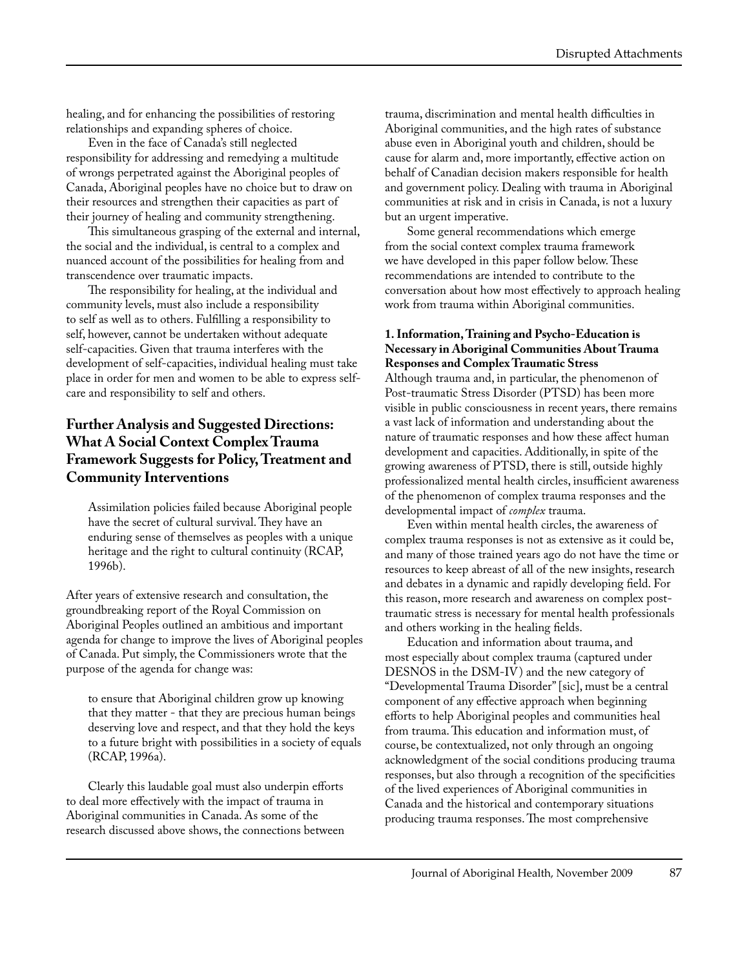healing, and for enhancing the possibilities of restoring relationships and expanding spheres of choice.

Even in the face of Canada's still neglected responsibility for addressing and remedying a multitude of wrongs perpetrated against the Aboriginal peoples of Canada, Aboriginal peoples have no choice but to draw on their resources and strengthen their capacities as part of their journey of healing and community strengthening.

This simultaneous grasping of the external and internal, the social and the individual, is central to a complex and nuanced account of the possibilities for healing from and transcendence over traumatic impacts.

The responsibility for healing, at the individual and community levels, must also include a responsibility to self as well as to others. Fulfilling a responsibility to self, however, cannot be undertaken without adequate self-capacities. Given that trauma interferes with the development of self-capacities, individual healing must take place in order for men and women to be able to express selfcare and responsibility to self and others.

#### **Further Analysis and Suggested Directions: What A Social Context Complex Trauma Framework Suggests for Policy, Treatment and Community Interventions**

Assimilation policies failed because Aboriginal people have the secret of cultural survival. They have an enduring sense of themselves as peoples with a unique heritage and the right to cultural continuity (RCAP, 1996b).

After years of extensive research and consultation, the groundbreaking report of the Royal Commission on Aboriginal Peoples outlined an ambitious and important agenda for change to improve the lives of Aboriginal peoples of Canada. Put simply, the Commissioners wrote that the purpose of the agenda for change was:

to ensure that Aboriginal children grow up knowing that they matter - that they are precious human beings deserving love and respect, and that they hold the keys to a future bright with possibilities in a society of equals (RCAP, 1996a).

Clearly this laudable goal must also underpin efforts to deal more effectively with the impact of trauma in Aboriginal communities in Canada. As some of the research discussed above shows, the connections between trauma, discrimination and mental health difficulties in Aboriginal communities, and the high rates of substance abuse even in Aboriginal youth and children, should be cause for alarm and, more importantly, effective action on behalf of Canadian decision makers responsible for health and government policy. Dealing with trauma in Aboriginal communities at risk and in crisis in Canada, is not a luxury but an urgent imperative.

Some general recommendations which emerge from the social context complex trauma framework we have developed in this paper follow below. These recommendations are intended to contribute to the conversation about how most effectively to approach healing work from trauma within Aboriginal communities.

#### **1. Information, Training and Psycho-Education is Necessary in Aboriginal Communities About Trauma Responses and Complex Traumatic Stress**

Although trauma and, in particular, the phenomenon of Post-traumatic Stress Disorder (PTSD) has been more visible in public consciousness in recent years, there remains a vast lack of information and understanding about the nature of traumatic responses and how these affect human development and capacities. Additionally, in spite of the growing awareness of PTSD, there is still, outside highly professionalized mental health circles, insufficient awareness of the phenomenon of complex trauma responses and the developmental impact of *complex* trauma.

Even within mental health circles, the awareness of complex trauma responses is not as extensive as it could be, and many of those trained years ago do not have the time or resources to keep abreast of all of the new insights, research and debates in a dynamic and rapidly developing field. For this reason, more research and awareness on complex posttraumatic stress is necessary for mental health professionals and others working in the healing fields.

Education and information about trauma, and most especially about complex trauma (captured under DESNOS in the DSM-IV) and the new category of "Developmental Trauma Disorder" [sic], must be a central component of any effective approach when beginning efforts to help Aboriginal peoples and communities heal from trauma. This education and information must, of course, be contextualized, not only through an ongoing acknowledgment of the social conditions producing trauma responses, but also through a recognition of the specificities of the lived experiences of Aboriginal communities in Canada and the historical and contemporary situations producing trauma responses. The most comprehensive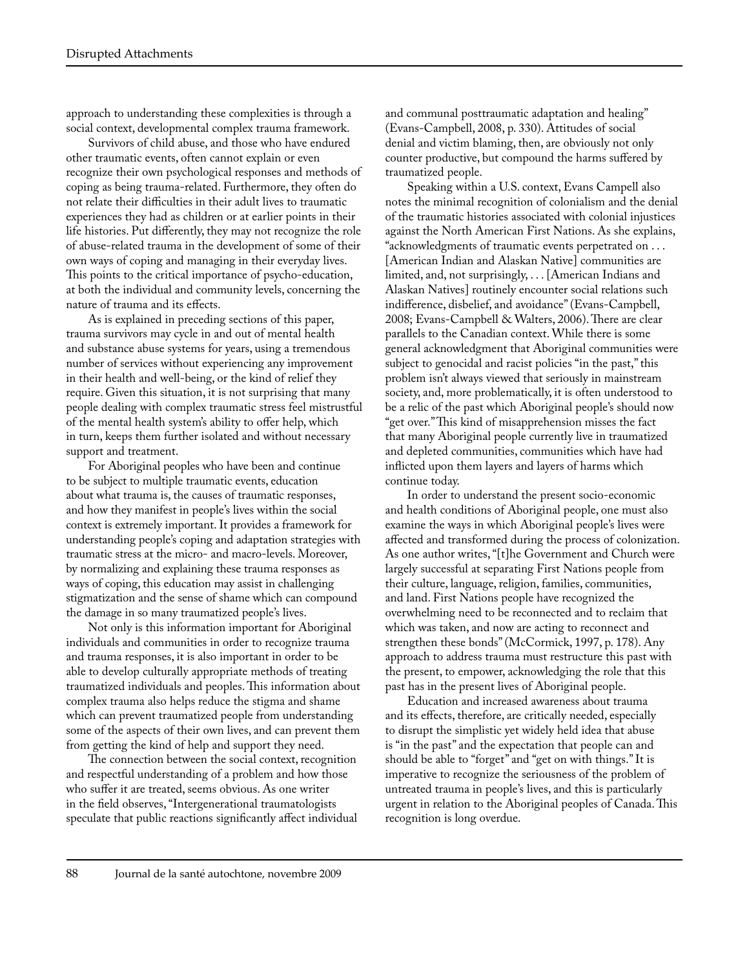approach to understanding these complexities is through a social context, developmental complex trauma framework.

Survivors of child abuse, and those who have endured other traumatic events, often cannot explain or even recognize their own psychological responses and methods of coping as being trauma-related. Furthermore, they often do not relate their difficulties in their adult lives to traumatic experiences they had as children or at earlier points in their life histories. Put differently, they may not recognize the role of abuse-related trauma in the development of some of their own ways of coping and managing in their everyday lives. This points to the critical importance of psycho-education, at both the individual and community levels, concerning the nature of trauma and its effects.

As is explained in preceding sections of this paper, trauma survivors may cycle in and out of mental health and substance abuse systems for years, using a tremendous number of services without experiencing any improvement in their health and well-being, or the kind of relief they require. Given this situation, it is not surprising that many people dealing with complex traumatic stress feel mistrustful of the mental health system's ability to offer help, which in turn, keeps them further isolated and without necessary support and treatment.

For Aboriginal peoples who have been and continue to be subject to multiple traumatic events, education about what trauma is, the causes of traumatic responses, and how they manifest in people's lives within the social context is extremely important. It provides a framework for understanding people's coping and adaptation strategies with traumatic stress at the micro- and macro-levels. Moreover, by normalizing and explaining these trauma responses as ways of coping, this education may assist in challenging stigmatization and the sense of shame which can compound the damage in so many traumatized people's lives.

Not only is this information important for Aboriginal individuals and communities in order to recognize trauma and trauma responses, it is also important in order to be able to develop culturally appropriate methods of treating traumatized individuals and peoples. This information about complex trauma also helps reduce the stigma and shame which can prevent traumatized people from understanding some of the aspects of their own lives, and can prevent them from getting the kind of help and support they need.

The connection between the social context, recognition and respectful understanding of a problem and how those who suffer it are treated, seems obvious. As one writer in the field observes, "Intergenerational traumatologists speculate that public reactions significantly affect individual and communal posttraumatic adaptation and healing" (Evans-Campbell, 2008, p. 330). Attitudes of social denial and victim blaming, then, are obviously not only counter productive, but compound the harms suffered by traumatized people.

Speaking within a U.S. context, Evans Campell also notes the minimal recognition of colonialism and the denial of the traumatic histories associated with colonial injustices against the North American First Nations. As she explains, "acknowledgments of traumatic events perpetrated on . . . [American Indian and Alaskan Native] communities are limited, and, not surprisingly, . . . [American Indians and Alaskan Natives] routinely encounter social relations such indifference, disbelief, and avoidance" (Evans-Campbell, 2008; Evans-Campbell & Walters, 2006). There are clear parallels to the Canadian context. While there is some general acknowledgment that Aboriginal communities were subject to genocidal and racist policies "in the past," this problem isn't always viewed that seriously in mainstream society, and, more problematically, it is often understood to be a relic of the past which Aboriginal people's should now "get over." This kind of misapprehension misses the fact that many Aboriginal people currently live in traumatized and depleted communities, communities which have had inflicted upon them layers and layers of harms which continue today.

In order to understand the present socio-economic and health conditions of Aboriginal people, one must also examine the ways in which Aboriginal people's lives were affected and transformed during the process of colonization. As one author writes, "[t]he Government and Church were largely successful at separating First Nations people from their culture, language, religion, families, communities, and land. First Nations people have recognized the overwhelming need to be reconnected and to reclaim that which was taken, and now are acting to reconnect and strengthen these bonds" (McCormick, 1997, p. 178). Any approach to address trauma must restructure this past with the present, to empower, acknowledging the role that this past has in the present lives of Aboriginal people.

Education and increased awareness about trauma and its effects, therefore, are critically needed, especially to disrupt the simplistic yet widely held idea that abuse is "in the past" and the expectation that people can and should be able to "forget" and "get on with things." It is imperative to recognize the seriousness of the problem of untreated trauma in people's lives, and this is particularly urgent in relation to the Aboriginal peoples of Canada. This recognition is long overdue.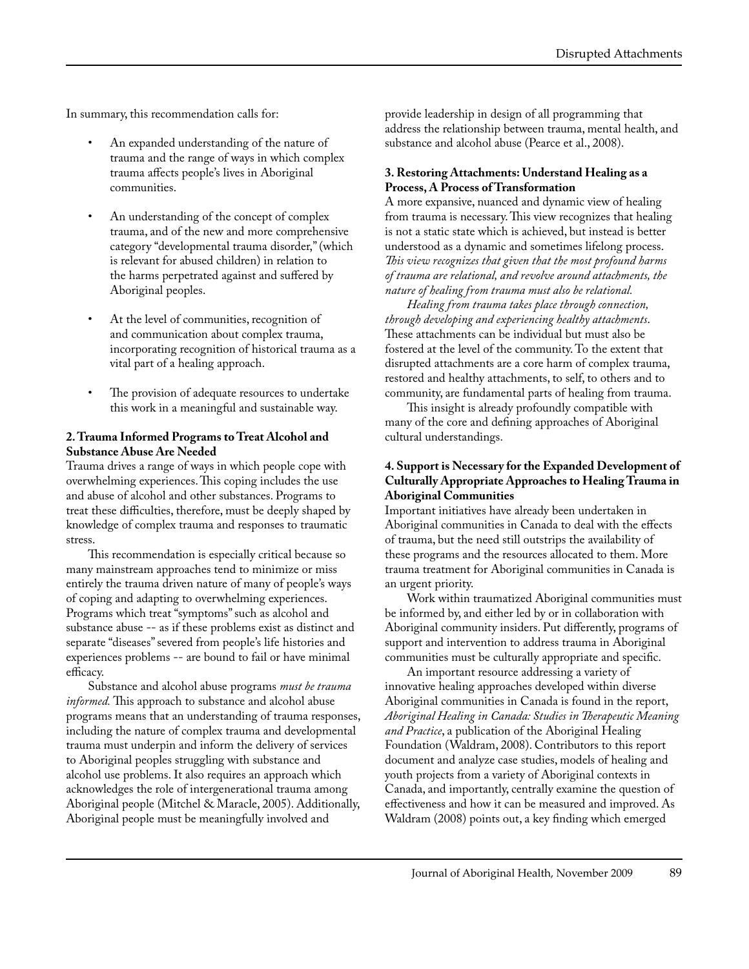In summary, this recommendation calls for:

- An expanded understanding of the nature of trauma and the range of ways in which complex trauma affects people's lives in Aboriginal communities.
- An understanding of the concept of complex trauma, and of the new and more comprehensive category "developmental trauma disorder," (which is relevant for abused children) in relation to the harms perpetrated against and suffered by Aboriginal peoples.
- At the level of communities, recognition of and communication about complex trauma, incorporating recognition of historical trauma as a vital part of a healing approach.
- The provision of adequate resources to undertake this work in a meaningful and sustainable way.

#### **2. Trauma Informed Programs to Treat Alcohol and Substance Abuse Are Needed**

Trauma drives a range of ways in which people cope with overwhelming experiences. This coping includes the use and abuse of alcohol and other substances. Programs to treat these difficulties, therefore, must be deeply shaped by knowledge of complex trauma and responses to traumatic stress.

This recommendation is especially critical because so many mainstream approaches tend to minimize or miss entirely the trauma driven nature of many of people's ways of coping and adapting to overwhelming experiences. Programs which treat "symptoms" such as alcohol and substance abuse -- as if these problems exist as distinct and separate "diseases" severed from people's life histories and experiences problems -- are bound to fail or have minimal efficacy.

Substance and alcohol abuse programs *must be trauma informed.* This approach to substance and alcohol abuse programs means that an understanding of trauma responses, including the nature of complex trauma and developmental trauma must underpin and inform the delivery of services to Aboriginal peoples struggling with substance and alcohol use problems. It also requires an approach which acknowledges the role of intergenerational trauma among Aboriginal people (Mitchel & Maracle, 2005). Additionally, Aboriginal people must be meaningfully involved and

provide leadership in design of all programming that address the relationship between trauma, mental health, and substance and alcohol abuse (Pearce et al., 2008).

#### **3. Restoring Attachments: Understand Healing as a Process, A Process of Transformation**

A more expansive, nuanced and dynamic view of healing from trauma is necessary. This view recognizes that healing is not a static state which is achieved, but instead is better understood as a dynamic and sometimes lifelong process. *This view recognizes that given that the most profound harms of trauma are relational, and revolve around attachments, the nature of healing from trauma must also be relational.*

*Healing from trauma takes place through connection, through developing and experiencing healthy attachments*. These attachments can be individual but must also be fostered at the level of the community. To the extent that disrupted attachments are a core harm of complex trauma, restored and healthy attachments, to self, to others and to community, are fundamental parts of healing from trauma.

This insight is already profoundly compatible with many of the core and defining approaches of Aboriginal cultural understandings.

#### **4. Support is Necessary for the Expanded Development of Culturally Appropriate Approaches to Healing Trauma in Aboriginal Communities**

Important initiatives have already been undertaken in Aboriginal communities in Canada to deal with the effects of trauma, but the need still outstrips the availability of these programs and the resources allocated to them. More trauma treatment for Aboriginal communities in Canada is an urgent priority.

Work within traumatized Aboriginal communities must be informed by, and either led by or in collaboration with Aboriginal community insiders. Put differently, programs of support and intervention to address trauma in Aboriginal communities must be culturally appropriate and specific.

An important resource addressing a variety of innovative healing approaches developed within diverse Aboriginal communities in Canada is found in the report, *Aboriginal Healing in Canada: Studies in Therapeutic Meaning and Practice*, a publication of the Aboriginal Healing Foundation (Waldram, 2008). Contributors to this report document and analyze case studies, models of healing and youth projects from a variety of Aboriginal contexts in Canada, and importantly, centrally examine the question of effectiveness and how it can be measured and improved. As Waldram (2008) points out, a key finding which emerged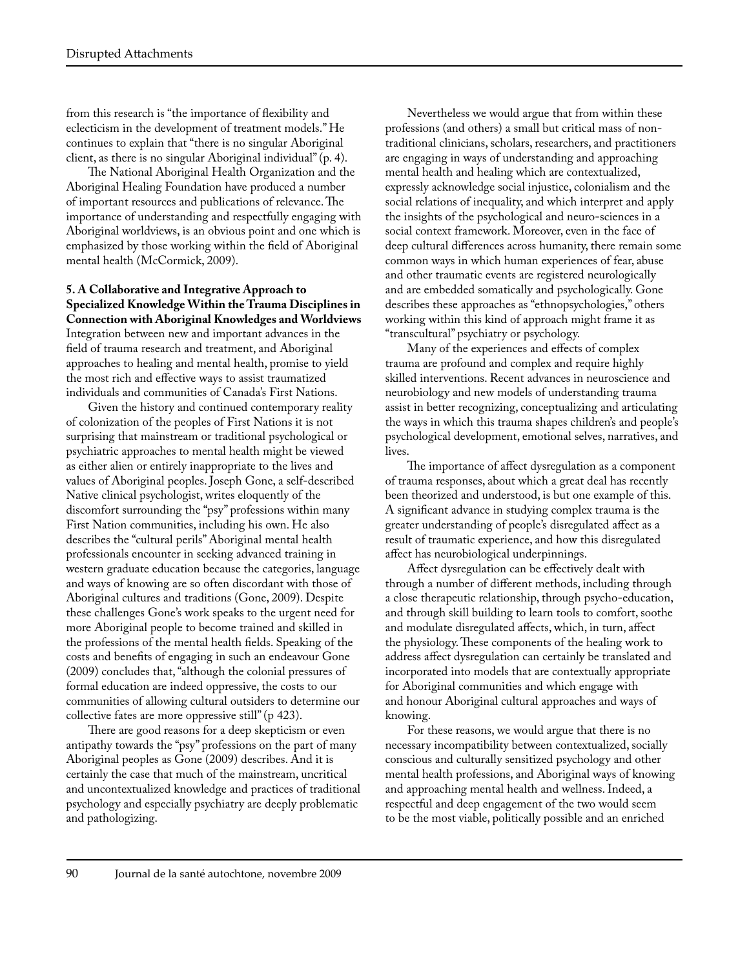from this research is "the importance of flexibility and eclecticism in the development of treatment models." He continues to explain that "there is no singular Aboriginal client, as there is no singular Aboriginal individual" (p. 4).

The National Aboriginal Health Organization and the Aboriginal Healing Foundation have produced a number of important resources and publications of relevance. The importance of understanding and respectfully engaging with Aboriginal worldviews, is an obvious point and one which is emphasized by those working within the field of Aboriginal mental health (McCormick, 2009).

#### **5. A Collaborative and Integrative Approach to Specialized Knowledge Within the Trauma Disciplines in Connection with Aboriginal Knowledges and Worldviews** Integration between new and important advances in the

field of trauma research and treatment, and Aboriginal approaches to healing and mental health, promise to yield the most rich and effective ways to assist traumatized individuals and communities of Canada's First Nations.

Given the history and continued contemporary reality of colonization of the peoples of First Nations it is not surprising that mainstream or traditional psychological or psychiatric approaches to mental health might be viewed as either alien or entirely inappropriate to the lives and values of Aboriginal peoples. Joseph Gone, a self-described Native clinical psychologist, writes eloquently of the discomfort surrounding the "psy" professions within many First Nation communities, including his own. He also describes the "cultural perils" Aboriginal mental health professionals encounter in seeking advanced training in western graduate education because the categories, language and ways of knowing are so often discordant with those of Aboriginal cultures and traditions (Gone, 2009). Despite these challenges Gone's work speaks to the urgent need for more Aboriginal people to become trained and skilled in the professions of the mental health fields. Speaking of the costs and benefits of engaging in such an endeavour Gone (2009) concludes that, "although the colonial pressures of formal education are indeed oppressive, the costs to our communities of allowing cultural outsiders to determine our collective fates are more oppressive still" (p 423).

There are good reasons for a deep skepticism or even antipathy towards the "psy" professions on the part of many Aboriginal peoples as Gone (2009) describes. And it is certainly the case that much of the mainstream, uncritical and uncontextualized knowledge and practices of traditional psychology and especially psychiatry are deeply problematic and pathologizing.

Nevertheless we would argue that from within these professions (and others) a small but critical mass of nontraditional clinicians, scholars, researchers, and practitioners are engaging in ways of understanding and approaching mental health and healing which are contextualized, expressly acknowledge social injustice, colonialism and the social relations of inequality, and which interpret and apply the insights of the psychological and neuro-sciences in a social context framework. Moreover, even in the face of deep cultural differences across humanity, there remain some common ways in which human experiences of fear, abuse and other traumatic events are registered neurologically and are embedded somatically and psychologically. Gone describes these approaches as "ethnopsychologies," others working within this kind of approach might frame it as "transcultural" psychiatry or psychology.

Many of the experiences and effects of complex trauma are profound and complex and require highly skilled interventions. Recent advances in neuroscience and neurobiology and new models of understanding trauma assist in better recognizing, conceptualizing and articulating the ways in which this trauma shapes children's and people's psychological development, emotional selves, narratives, and lives.

The importance of affect dysregulation as a component of trauma responses, about which a great deal has recently been theorized and understood, is but one example of this. A significant advance in studying complex trauma is the greater understanding of people's disregulated affect as a result of traumatic experience, and how this disregulated affect has neurobiological underpinnings.

Affect dysregulation can be effectively dealt with through a number of different methods, including through a close therapeutic relationship, through psycho-education, and through skill building to learn tools to comfort, soothe and modulate disregulated affects, which, in turn, affect the physiology. These components of the healing work to address affect dysregulation can certainly be translated and incorporated into models that are contextually appropriate for Aboriginal communities and which engage with and honour Aboriginal cultural approaches and ways of knowing.

For these reasons, we would argue that there is no necessary incompatibility between contextualized, socially conscious and culturally sensitized psychology and other mental health professions, and Aboriginal ways of knowing and approaching mental health and wellness. Indeed, a respectful and deep engagement of the two would seem to be the most viable, politically possible and an enriched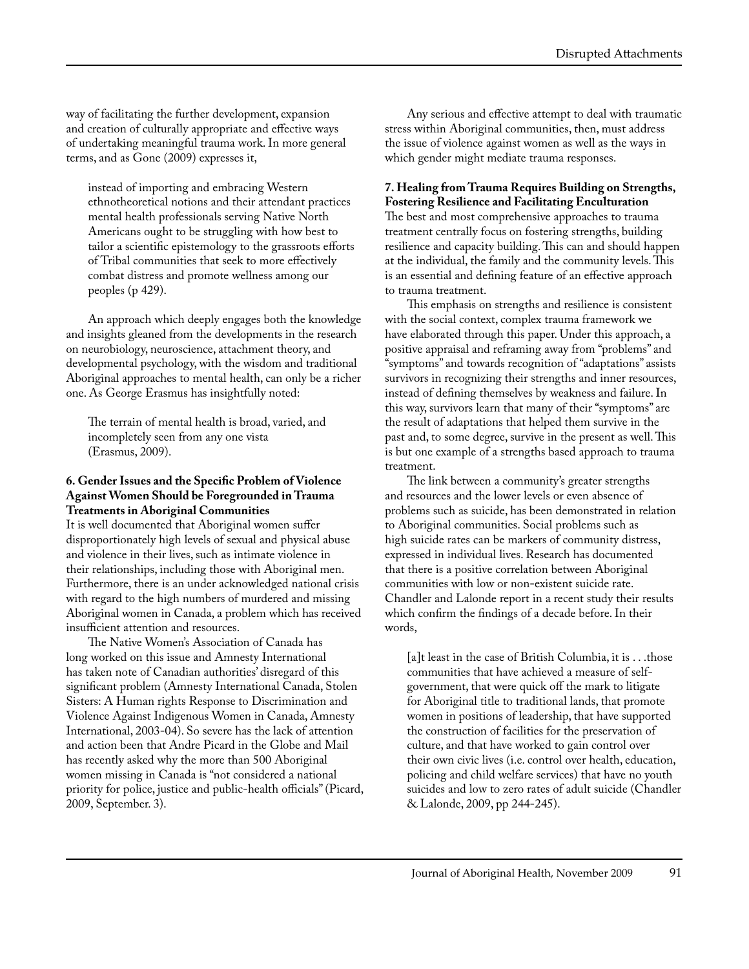way of facilitating the further development, expansion and creation of culturally appropriate and effective ways of undertaking meaningful trauma work. In more general terms, and as Gone (2009) expresses it,

instead of importing and embracing Western ethnotheoretical notions and their attendant practices mental health professionals serving Native North Americans ought to be struggling with how best to tailor a scientific epistemology to the grassroots efforts of Tribal communities that seek to more effectively combat distress and promote wellness among our peoples (p 429).

An approach which deeply engages both the knowledge and insights gleaned from the developments in the research on neurobiology, neuroscience, attachment theory, and developmental psychology, with the wisdom and traditional Aboriginal approaches to mental health, can only be a richer one. As George Erasmus has insightfully noted:

The terrain of mental health is broad, varied, and incompletely seen from any one vista (Erasmus, 2009).

#### **6. Gender Issues and the Specific Problem of Violence Against Women Should be Foregrounded in Trauma Treatments in Aboriginal Communities**

It is well documented that Aboriginal women suffer disproportionately high levels of sexual and physical abuse and violence in their lives, such as intimate violence in their relationships, including those with Aboriginal men. Furthermore, there is an under acknowledged national crisis with regard to the high numbers of murdered and missing Aboriginal women in Canada, a problem which has received insufficient attention and resources.

The Native Women's Association of Canada has long worked on this issue and Amnesty International has taken note of Canadian authorities' disregard of this significant problem (Amnesty International Canada, Stolen Sisters: A Human rights Response to Discrimination and Violence Against Indigenous Women in Canada, Amnesty International, 2003-04). So severe has the lack of attention and action been that Andre Picard in the Globe and Mail has recently asked why the more than 500 Aboriginal women missing in Canada is "not considered a national priority for police, justice and public-health officials" (Picard, 2009, September. 3).

Any serious and effective attempt to deal with traumatic stress within Aboriginal communities, then, must address the issue of violence against women as well as the ways in which gender might mediate trauma responses.

#### **7. Healing from Trauma Requires Building on Strengths, Fostering Resilience and Facilitating Enculturation**

The best and most comprehensive approaches to trauma treatment centrally focus on fostering strengths, building resilience and capacity building. This can and should happen at the individual, the family and the community levels. This is an essential and defining feature of an effective approach to trauma treatment.

This emphasis on strengths and resilience is consistent with the social context, complex trauma framework we have elaborated through this paper. Under this approach, a positive appraisal and reframing away from "problems" and "symptoms" and towards recognition of "adaptations" assists survivors in recognizing their strengths and inner resources, instead of defining themselves by weakness and failure. In this way, survivors learn that many of their "symptoms" are the result of adaptations that helped them survive in the past and, to some degree, survive in the present as well. This is but one example of a strengths based approach to trauma treatment.

The link between a community's greater strengths and resources and the lower levels or even absence of problems such as suicide, has been demonstrated in relation to Aboriginal communities. Social problems such as high suicide rates can be markers of community distress, expressed in individual lives. Research has documented that there is a positive correlation between Aboriginal communities with low or non-existent suicide rate. Chandler and Lalonde report in a recent study their results which confirm the findings of a decade before. In their words,

[a]t least in the case of British Columbia, it is . . . those communities that have achieved a measure of selfgovernment, that were quick off the mark to litigate for Aboriginal title to traditional lands, that promote women in positions of leadership, that have supported the construction of facilities for the preservation of culture, and that have worked to gain control over their own civic lives (i.e. control over health, education, policing and child welfare services) that have no youth suicides and low to zero rates of adult suicide (Chandler & Lalonde, 2009, pp 244-245).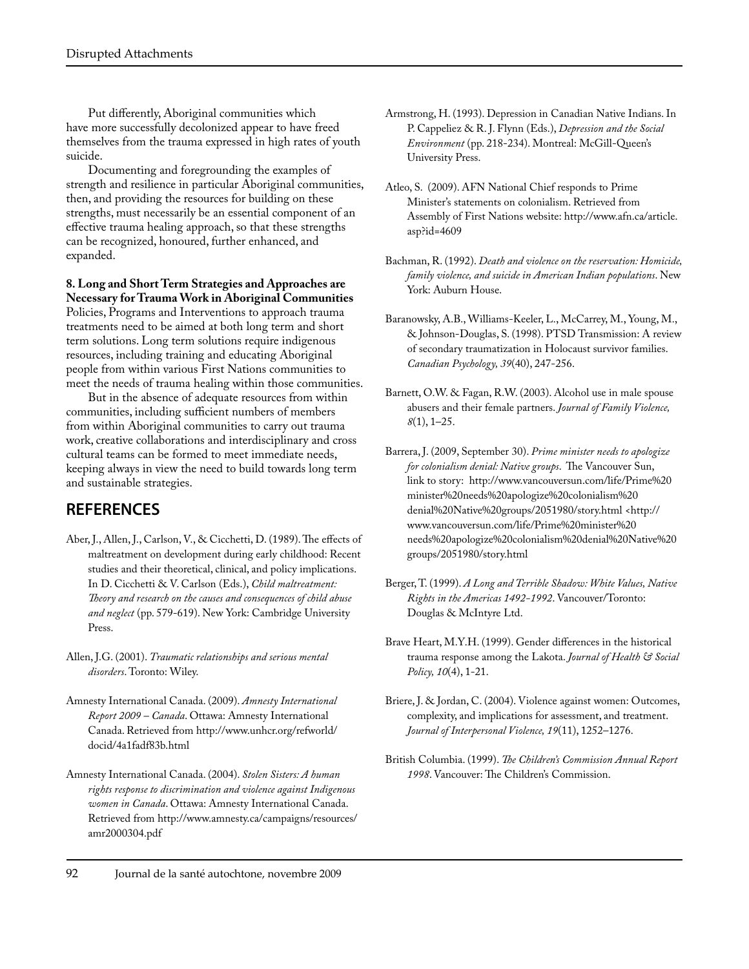Put differently, Aboriginal communities which have more successfully decolonized appear to have freed themselves from the trauma expressed in high rates of youth suicide.

Documenting and foregrounding the examples of strength and resilience in particular Aboriginal communities, then, and providing the resources for building on these strengths, must necessarily be an essential component of an effective trauma healing approach, so that these strengths can be recognized, honoured, further enhanced, and expanded.

#### **8. Long and Short Term Strategies and Approaches are Necessary for Trauma Work in Aboriginal Communities**

Policies, Programs and Interventions to approach trauma treatments need to be aimed at both long term and short term solutions. Long term solutions require indigenous resources, including training and educating Aboriginal people from within various First Nations communities to meet the needs of trauma healing within those communities.

But in the absence of adequate resources from within communities, including sufficient numbers of members from within Aboriginal communities to carry out trauma work, creative collaborations and interdisciplinary and cross cultural teams can be formed to meet immediate needs, keeping always in view the need to build towards long term and sustainable strategies.

# **REFERENCES**

- Aber, J., Allen, J., Carlson, V., & Cicchetti, D. (1989). The effects of maltreatment on development during early childhood: Recent studies and their theoretical, clinical, and policy implications. In D. Cicchetti & V. Carlson (Eds.), *Child maltreatment: Theory and research on the causes and consequences of child abuse and neglect* (pp. 579-619). New York: Cambridge University Press.
- Allen, J.G. (2001). *Traumatic relationships and serious mental disorders*. Toronto: Wiley.
- Amnesty International Canada. (2009). *Amnesty International Report 2009 – Canada*. Ottawa: Amnesty International Canada. Retrieved from http://www.unhcr.org/refworld/ docid/4a1fadf83b.html
- Amnesty International Canada. (2004). *Stolen Sisters: A human rights response to discrimination and violence against Indigenous women in Canada*. Ottawa: Amnesty International Canada. Retrieved from http://www.amnesty.ca/campaigns/resources/ amr2000304.pdf
- Armstrong, H. (1993). Depression in Canadian Native Indians. In P. Cappeliez & R. J. Flynn (Eds.), *Depression and the Social Environment* (pp. 218-234). Montreal: McGill-Queen's University Press.
- Atleo, S. (2009). AFN National Chief responds to Prime Minister's statements on colonialism. Retrieved from Assembly of First Nations website: http://www.afn.ca/article. asp?id=4609
- Bachman, R. (1992). *Death and violence on the reservation: Homicide, family violence, and suicide in American Indian populations*. New York: Auburn House.
- Baranowsky, A.B., Williams-Keeler, L., McCarrey, M., Young, M., & Johnson-Douglas, S. (1998). PTSD Transmission: A review of secondary traumatization in Holocaust survivor families. *Canadian Psychology, 39*(40), 247-256.
- Barnett, O.W. & Fagan, R.W. (2003). Alcohol use in male spouse abusers and their female partners. *Journal of Family Violence, 8*(1), 1–25.
- Barrera, J. (2009, September 30). *Prime minister needs to apologize for colonialism denial: Native groups*. The Vancouver Sun, link to story: http://www.vancouversun.com/life/Prime%20 minister%20needs%20apologize%20colonialism%20 denial%20Native%20groups/2051980/story.html <http:// www.vancouversun.com/life/Prime%20minister%20 needs%20apologize%20colonialism%20denial%20Native%20 groups/2051980/story.html
- Berger, T. (1999). *A Long and Terrible Shadow: White Values, Native Rights in the Americas 1492-1992*. Vancouver/Toronto: Douglas & McIntyre Ltd.
- Brave Heart, M.Y.H. (1999). Gender differences in the historical trauma response among the Lakota. *Journal of Health & Social Policy, 10*(4), 1-21.
- Briere, J. & Jordan, C. (2004). Violence against women: Outcomes, complexity, and implications for assessment, and treatment. *Journal of Interpersonal Violence, 19*(11), 1252–1276.
- British Columbia. (1999). *The Children's Commission Annual Report 1998*. Vancouver: The Children's Commission.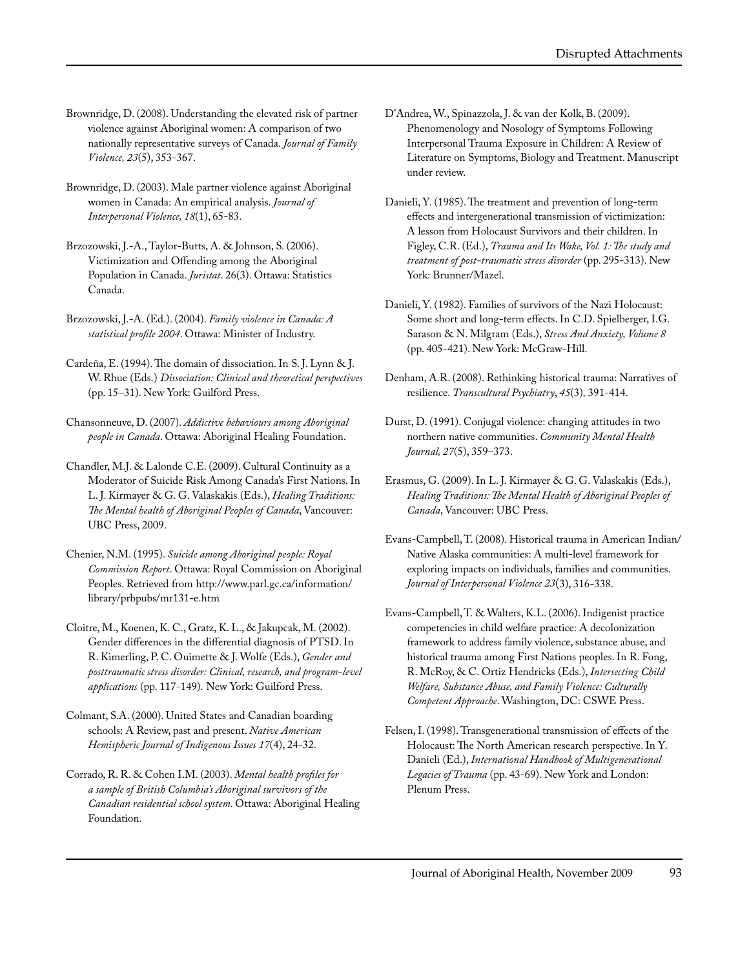- Brownridge, D. (2008). Understanding the elevated risk of partner violence against Aboriginal women: A comparison of two nationally representative surveys of Canada. *Journal of Family Violence, 23*(5), 353-367.
- Brownridge, D. (2003). Male partner violence against Aboriginal women in Canada: An empirical analysis. *Journal of Interpersonal Violence, 18*(1), 65-83.
- Brzozowski, J.-A., Taylor-Butts, A. & Johnson, S. (2006). Victimization and Offending among the Aboriginal Population in Canada. *Juristat*. 26(3). Ottawa: Statistics Canada.
- Brzozowski, J.-A. (Ed.). (2004). *Family violence in Canada: A statistical profile 2004*. Ottawa: Minister of Industry.
- Cardeña, E. (1994). The domain of dissociation. In S. J. Lynn & J. W. Rhue (Eds.) *Dissociation: Clinical and theoretical perspectives* (pp. 15–31). New York: Guilford Press.
- Chansonneuve, D. (2007). *Addictive behaviours among Aboriginal people in Canada*. Ottawa: Aboriginal Healing Foundation.
- Chandler, M.J. & Lalonde C.E. (2009). Cultural Continuity as a Moderator of Suicide Risk Among Canada's First Nations. In L. J. Kirmayer & G. G. Valaskakis (Eds.), *Healing Traditions: The Mental health of Aboriginal Peoples of Canada*, Vancouver: UBC Press, 2009.
- Chenier, N.M. (1995). *Suicide among Aboriginal people: Royal Commission Report*. Ottawa: Royal Commission on Aboriginal Peoples. Retrieved from http://www.parl.gc.ca/information/ library/prbpubs/mr131-e.htm
- Cloitre, M., Koenen, K. C., Gratz, K. L., & Jakupcak, M. (2002). Gender differences in the differential diagnosis of PTSD. In R. Kimerling, P. C. Ouimette & J. Wolfe (Eds.), *Gender and posttraumatic stress disorder: Clinical, research, and program-level applications* (pp. 117-149)*.* New York: Guilford Press.
- Colmant, S.A. (2000). United States and Canadian boarding schools: A Review, past and present. *Native American Hemispheric Journal of Indigenous Issues 17*(4), 24-32.
- Corrado, R. R. & Cohen I.M. (2003). *Mental health profiles for a sample of British Columbia's Aboriginal survivors of the Canadian residential school system*. Ottawa: Aboriginal Healing Foundation.
- D'Andrea, W., Spinazzola, J. & van der Kolk, B. (2009). Phenomenology and Nosology of Symptoms Following Interpersonal Trauma Exposure in Children: A Review of Literature on Symptoms, Biology and Treatment. Manuscript under review.
- Danieli, Y. (1985). The treatment and prevention of long-term effects and intergenerational transmission of victimization: A lesson from Holocaust Survivors and their children. In Figley, C.R. (Ed.), *Trauma and Its Wake, Vol. 1: The study and treatment of post-traumatic stress disorder* (pp. 295-313). New York: Brunner/Mazel.
- Danieli, Y. (1982). Families of survivors of the Nazi Holocaust: Some short and long-term effects. In C.D. Spielberger, I.G. Sarason & N. Milgram (Eds.), *Stress And Anxiety, Volume 8* (pp. 405-421). New York: McGraw-Hill.
- Denham, A.R. (2008). Rethinking historical trauma: Narratives of resilience. *Transcultural Psychiatry*, *45*(3)*,* 391-414.
- Durst, D. (1991). Conjugal violence: changing attitudes in two northern native communities. *Community Mental Health Journal, 27*(5), 359–373.
- Erasmus, G. (2009). In L. J. Kirmayer & G. G. Valaskakis (Eds.), *Healing Traditions: The Mental Health of Aboriginal Peoples of Canada*, Vancouver: UBC Press.
- Evans-Campbell, T. (2008). Historical trauma in American Indian/ Native Alaska communities: A multi-level framework for exploring impacts on individuals, families and communities. *Journal of Interpersonal Violence 23*(3), 316-338.
- Evans-Campbell, T. & Walters, K.L. (2006). Indigenist practice competencies in child welfare practice: A decolonization framework to address family violence, substance abuse, and historical trauma among First Nations peoples. In R. Fong, R. McRoy, & C. Ortiz Hendricks (Eds.), *Intersecting Child Welfare, Substance Abuse, and Family Violence: Culturally Competent Approache*. Washington, DC: CSWE Press.
- Felsen, I. (1998). Transgenerational transmission of effects of the Holocaust: The North American research perspective. In Y. Danieli (Ed.), *International Handbook of Multigenerational Legacies of Trauma* (pp. 43-69). New York and London: Plenum Press.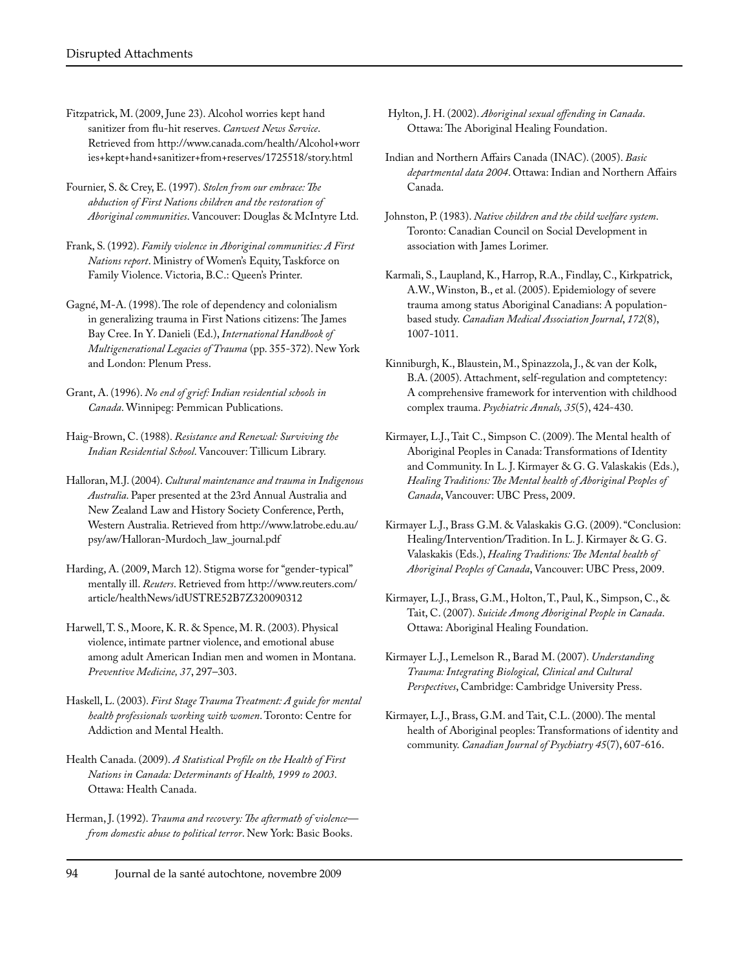- Fitzpatrick, M. (2009, June 23). Alcohol worries kept hand sanitizer from flu-hit reserves. *Canwest News Service*. Retrieved from http://www.canada.com/health/Alcohol+worr ies+kept+hand+sanitizer+from+reserves/1725518/story.html
- Fournier, S. & Crey, E. (1997). *Stolen from our embrace: The abduction of First Nations children and the restoration of Aboriginal communities*. Vancouver: Douglas & McIntyre Ltd.
- Frank, S. (1992). *Family violence in Aboriginal communities: A First Nations report*. Ministry of Women's Equity, Taskforce on Family Violence. Victoria, B.C.: Queen's Printer.
- Gagné, M-A. (1998). The role of dependency and colonialism in generalizing trauma in First Nations citizens: The James Bay Cree. In Y. Danieli (Ed.), *International Handbook of Multigenerational Legacies of Trauma* (pp. 355-372). New York and London: Plenum Press.
- Grant, A. (1996). *No end of grief: Indian residential schools in Canada*. Winnipeg: Pemmican Publications.
- Haig-Brown, C. (1988). *Resistance and Renewal: Surviving the Indian Residential School*. Vancouver: Tillicum Library.
- Halloran, M.J. (2004). *Cultural maintenance and trauma in Indigenous Australia*. Paper presented at the 23rd Annual Australia and New Zealand Law and History Society Conference, Perth, Western Australia. Retrieved from http://www.latrobe.edu.au/ psy/aw/Halloran-Murdoch\_law\_journal.pdf
- Harding, A. (2009, March 12). Stigma worse for "gender-typical" mentally ill. *Reuters*. Retrieved from http://www.reuters.com/ article/healthNews/idUSTRE52B7Z320090312
- Harwell, T. S., Moore, K. R. & Spence, M. R. (2003). Physical violence, intimate partner violence, and emotional abuse among adult American Indian men and women in Montana. *Preventive Medicine, 37*, 297–303.
- Haskell, L. (2003). *First Stage Trauma Treatment: A guide for mental health professionals working with women*. Toronto: Centre for Addiction and Mental Health.
- Health Canada. (2009). *A Statistical Profile on the Health of First Nations in Canada: Determinants of Health, 1999 to 2003*. Ottawa: Health Canada.
- Herman, J. (1992). *Trauma and recovery: The aftermath of violence from domestic abuse to political terror*. New York: Basic Books.
- Hylton, J. H. (2002). *Aboriginal sexual offending in Canada*. Ottawa: The Aboriginal Healing Foundation.
- Indian and Northern Affairs Canada (INAC). (2005). *Basic departmental data 2004*. Ottawa: Indian and Northern Affairs Canada.
- Johnston, P. (1983). *Native children and the child welfare system*. Toronto: Canadian Council on Social Development in association with James Lorimer.
- Karmali, S., Laupland, K., Harrop, R.A., Findlay, C., Kirkpatrick, A.W., Winston, B., et al. (2005). Epidemiology of severe trauma among status Aboriginal Canadians: A populationbased study. *Canadian Medical Association Journal*, *172*(8), 1007-1011.
- Kinniburgh, K., Blaustein, M., Spinazzola, J., & van der Kolk, B.A. (2005). Attachment, self-regulation and comptetency: A comprehensive framework for intervention with childhood complex trauma. *Psychiatric Annals, 35*(5), 424-430.
- Kirmayer, L.J., Tait C., Simpson C. (2009). The Mental health of Aboriginal Peoples in Canada: Transformations of Identity and Community. In L. J. Kirmayer & G. G. Valaskakis (Eds.), *Healing Traditions: The Mental health of Aboriginal Peoples of Canada*, Vancouver: UBC Press, 2009.
- Kirmayer L.J., Brass G.M. & Valaskakis G.G. (2009). "Conclusion: Healing/Intervention/Tradition. In L. J. Kirmayer & G. G. Valaskakis (Eds.), *Healing Traditions: The Mental health of Aboriginal Peoples of Canada*, Vancouver: UBC Press, 2009.
- Kirmayer, L.J., Brass, G.M., Holton, T., Paul, K., Simpson, C., & Tait, C. (2007). *Suicide Among Aboriginal People in Canada*. Ottawa: Aboriginal Healing Foundation.
- Kirmayer L.J., Lemelson R., Barad M. (2007). *Understanding Trauma: Integrating Biological, Clinical and Cultural Perspectives*, Cambridge: Cambridge University Press.
- Kirmayer, L.J., Brass, G.M. and Tait, C.L. (2000). The mental health of Aboriginal peoples: Transformations of identity and community. *Canadian Journal of Psychiatry 45*(7), 607-616.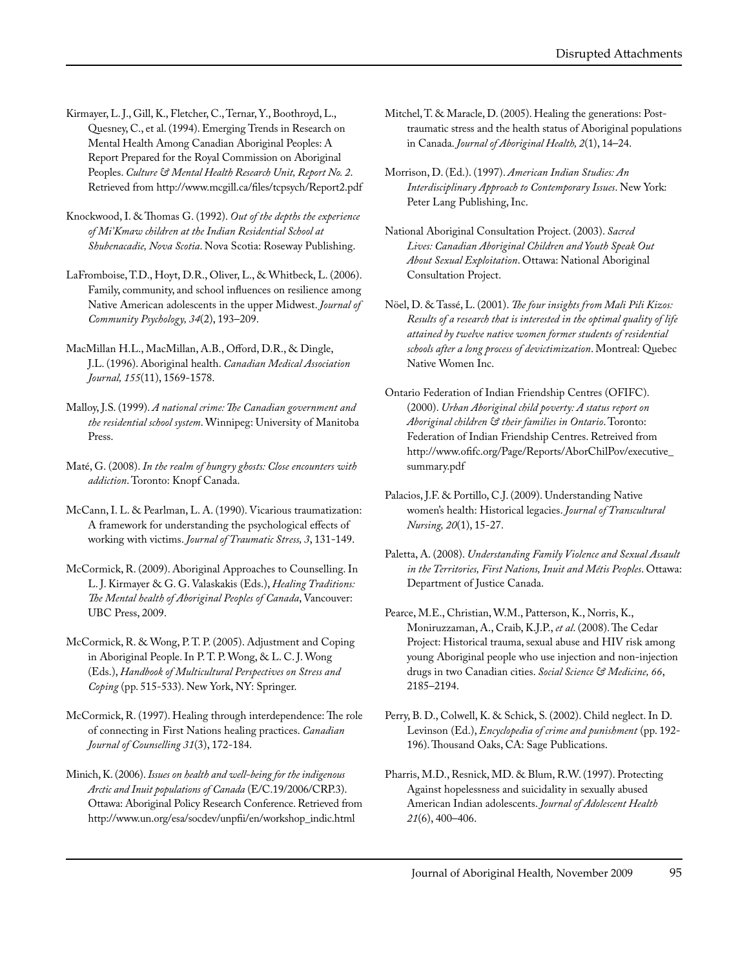- Kirmayer, L. J., Gill, K., Fletcher, C., Ternar, Y., Boothroyd, L., Quesney, C., et al. (1994). Emerging Trends in Research on Mental Health Among Canadian Aboriginal Peoples: A Report Prepared for the Royal Commission on Aboriginal Peoples. *Culture & Mental Health Research Unit, Report No. 2*. Retrieved from http://www.mcgill.ca/files/tcpsych/Report2.pdf
- Knockwood, I. & Thomas G. (1992). *Out of the depths the experience of Mi'Kmaw children at the Indian Residential School at Shubenacadie, Nova Scotia*. Nova Scotia: Roseway Publishing.
- LaFromboise, T.D., Hoyt, D.R., Oliver, L., & Whitbeck, L. (2006). Family, community, and school influences on resilience among Native American adolescents in the upper Midwest. *Journal of Community Psychology, 34*(2), 193–209.
- MacMillan H.L., MacMillan, A.B., Offord, D.R., & Dingle, J.L. (1996). Aboriginal health. *Canadian Medical Association Journal, 155*(11), 1569-1578.
- Malloy, J.S. (1999). *A national crime: The Canadian government and the residential school system*. Winnipeg: University of Manitoba Press.
- Maté, G. (2008). *In the realm of hungry ghosts: Close encounters with addiction*. Toronto: Knopf Canada.
- McCann, I. L. & Pearlman, L. A. (1990). Vicarious traumatization: A framework for understanding the psychological effects of working with victims. *Journal of Traumatic Stress, 3*, 131-149.
- McCormick, R. (2009). Aboriginal Approaches to Counselling. In L. J. Kirmayer & G. G. Valaskakis (Eds.), *Healing Traditions: The Mental health of Aboriginal Peoples of Canada*, Vancouver: UBC Press, 2009.
- McCormick, R. & Wong, P. T. P. (2005). Adjustment and Coping in Aboriginal People. In P. T. P. Wong, & L. C. J. Wong (Eds.), *Handbook of Multicultural Perspectives on Stress and Coping* (pp. 515-533). New York, NY: Springer.
- McCormick, R. (1997). Healing through interdependence: The role of connecting in First Nations healing practices. *Canadian Journal of Counselling 31*(3), 172-184.
- Minich, K. (2006). *Issues on health and well-being for the indigenous Arctic and Inuit populations of Canada* (E/C.19/2006/CRP.3). Ottawa: Aboriginal Policy Research Conference. Retrieved from http://www.un.org/esa/socdev/unpfii/en/workshop\_indic.html
- Mitchel, T. & Maracle, D. (2005). Healing the generations: Posttraumatic stress and the health status of Aboriginal populations in Canada. *Journal of Aboriginal Health, 2*(1), 14–24.
- Morrison, D. (Ed.). (1997). *American Indian Studies: An Interdisciplinary Approach to Contemporary Issues*. New York: Peter Lang Publishing, Inc.
- National Aboriginal Consultation Project. (2003). *Sacred Lives: Canadian Aboriginal Children and Youth Speak Out About Sexual Exploitation*. Ottawa: National Aboriginal Consultation Project.
- Nöel, D. & Tassé, L. (2001). *The four insights from Mali Pili Kizos: Results of a research that is interested in the optimal quality of life attained by twelve native women former students of residential schools after a long process of devictimization*. Montreal: Quebec Native Women Inc.
- Ontario Federation of Indian Friendship Centres (OFIFC). (2000). *Urban Aboriginal child poverty: A status report on Aboriginal children & their families in Ontario*. Toronto: Federation of Indian Friendship Centres. Retreived from http://www.ofifc.org/Page/Reports/AborChilPov/executive\_ summary.pdf
- Palacios, J.F. & Portillo, C.J. (2009). Understanding Native women's health: Historical legacies. *Journal of Transcultural Nursing, 20*(1), 15-27.
- Paletta, A. (2008). *Understanding Family Violence and Sexual Assault in the Territories, First Nations, Inuit and Métis Peoples*. Ottawa: Department of Justice Canada.
- Pearce, M.E., Christian, W.M., Patterson, K., Norris, K., Moniruzzaman, A., Craib, K.J.P., *et al*. (2008). The Cedar Project: Historical trauma, sexual abuse and HIV risk among young Aboriginal people who use injection and non-injection drugs in two Canadian cities. *Social Science & Medicine, 66*, 2185–2194.
- Perry, B. D., Colwell, K. & Schick, S. (2002). Child neglect. In D. Levinson (Ed.), *Encyclopedia of crime and punishment* (pp. 192- 196). Thousand Oaks, CA: Sage Publications.
- Pharris, M.D., Resnick, MD. & Blum, R.W. (1997). Protecting Against hopelessness and suicidality in sexually abused American Indian adolescents. *Journal of Adolescent Health 21*(6), 400–406.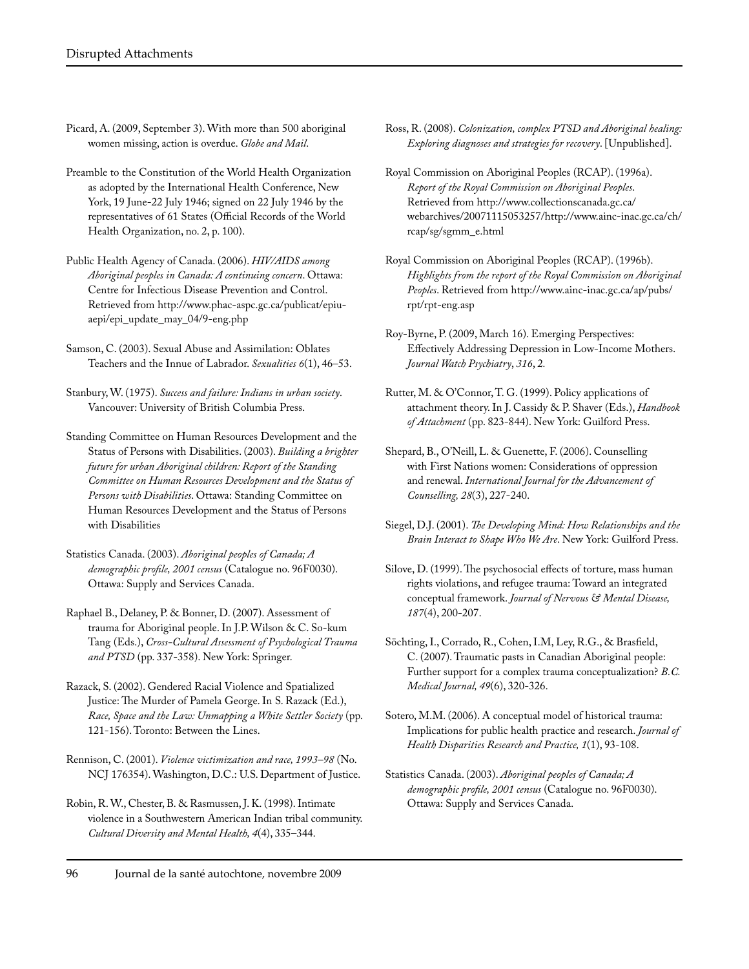- Picard, A. (2009, September 3). With more than 500 aboriginal women missing, action is overdue. *Globe and Mail*.
- Preamble to the Constitution of the World Health Organization as adopted by the International Health Conference, New York, 19 June-22 July 1946; signed on 22 July 1946 by the representatives of 61 States (Official Records of the World Health Organization, no. 2, p. 100).
- Public Health Agency of Canada. (2006). *HIV/AIDS among Aboriginal peoples in Canada: A continuing concern*. Ottawa: Centre for Infectious Disease Prevention and Control. Retrieved from http://www.phac-aspc.gc.ca/publicat/epiuaepi/epi\_update\_may\_04/9-eng.php
- Samson, C. (2003). Sexual Abuse and Assimilation: Oblates Teachers and the Innue of Labrador. *Sexualities 6*(1), 46–53.
- Stanbury, W. (1975). *Success and failure: Indians in urban society*. Vancouver: University of British Columbia Press.
- Standing Committee on Human Resources Development and the Status of Persons with Disabilities. (2003). *Building a brighter future for urban Aboriginal children: Report of the Standing Committee on Human Resources Development and the Status of Persons with Disabilities*. Ottawa: Standing Committee on Human Resources Development and the Status of Persons with Disabilities
- Statistics Canada. (2003). *Aboriginal peoples of Canada; A demographic profile, 2001 census* (Catalogue no. 96F0030). Ottawa: Supply and Services Canada.
- Raphael B., Delaney, P. & Bonner, D. (2007). Assessment of trauma for Aboriginal people. In J.P. Wilson & C. So-kum Tang (Eds.), *Cross-Cultural Assessment of Psychological Trauma and PTSD* (pp. 337-358). New York: Springer.
- Razack, S. (2002). Gendered Racial Violence and Spatialized Justice: The Murder of Pamela George. In S. Razack (Ed.), *Race, Space and the Law: Unmapping a White Settler Society* (pp. 121-156). Toronto: Between the Lines.
- Rennison, C. (2001). *Violence victimization and race, 1993–98* (No. NCJ 176354). Washington, D.C.: U.S. Department of Justice.
- Robin, R. W., Chester, B. & Rasmussen, J. K. (1998). Intimate violence in a Southwestern American Indian tribal community. *Cultural Diversity and Mental Health, 4*(4), 335–344.
- Ross, R. (2008). *Colonization, complex PTSD and Aboriginal healing: Exploring diagnoses and strategies for recovery*. [Unpublished].
- Royal Commission on Aboriginal Peoples (RCAP). (1996a). *Report of the Royal Commission on Aboriginal Peoples*. Retrieved from http://www.collectionscanada.gc.ca/ webarchives/20071115053257/http://www.ainc-inac.gc.ca/ch/ rcap/sg/sgmm\_e.html
- Royal Commission on Aboriginal Peoples (RCAP). (1996b). *Highlights from the report of the Royal Commission on Aboriginal Peoples*. Retrieved from http://www.ainc-inac.gc.ca/ap/pubs/ rpt/rpt-eng.asp
- Roy-Byrne, P. (2009, March 16). Emerging Perspectives: Effectively Addressing Depression in Low-Income Mothers. *Journal Watch Psychiatry*, *316*, 2*.*
- Rutter, M. & O'Connor, T. G. (1999). Policy applications of attachment theory. In J. Cassidy & P. Shaver (Eds.), *Handbook of Attachment* (pp. 823-844). New York: Guilford Press.
- Shepard, B., O'Neill, L. & Guenette, F. (2006). Counselling with First Nations women: Considerations of oppression and renewal. *International Journal for the Advancement of Counselling, 28*(3), 227-240.
- Siegel, D.J. (2001). *The Developing Mind: How Relationships and the Brain Interact to Shape Who We Are*. New York: Guilford Press.
- Silove, D. (1999). The psychosocial effects of torture, mass human rights violations, and refugee trauma: Toward an integrated conceptual framework. *Journal of Nervous & Mental Disease, 187*(4), 200-207.
- Söchting, I., Corrado, R., Cohen, I.M, Ley, R.G., & Brasfield, C. (2007). Traumatic pasts in Canadian Aboriginal people: Further support for a complex trauma conceptualization? *B.C. Medical Journal, 49*(6), 320-326.
- Sotero, M.M. (2006). A conceptual model of historical trauma: Implications for public health practice and research. *Journal of Health Disparities Research and Practice, 1*(1), 93-108.
- Statistics Canada. (2003). *Aboriginal peoples of Canada; A demographic profile, 2001 census* (Catalogue no. 96F0030). Ottawa: Supply and Services Canada.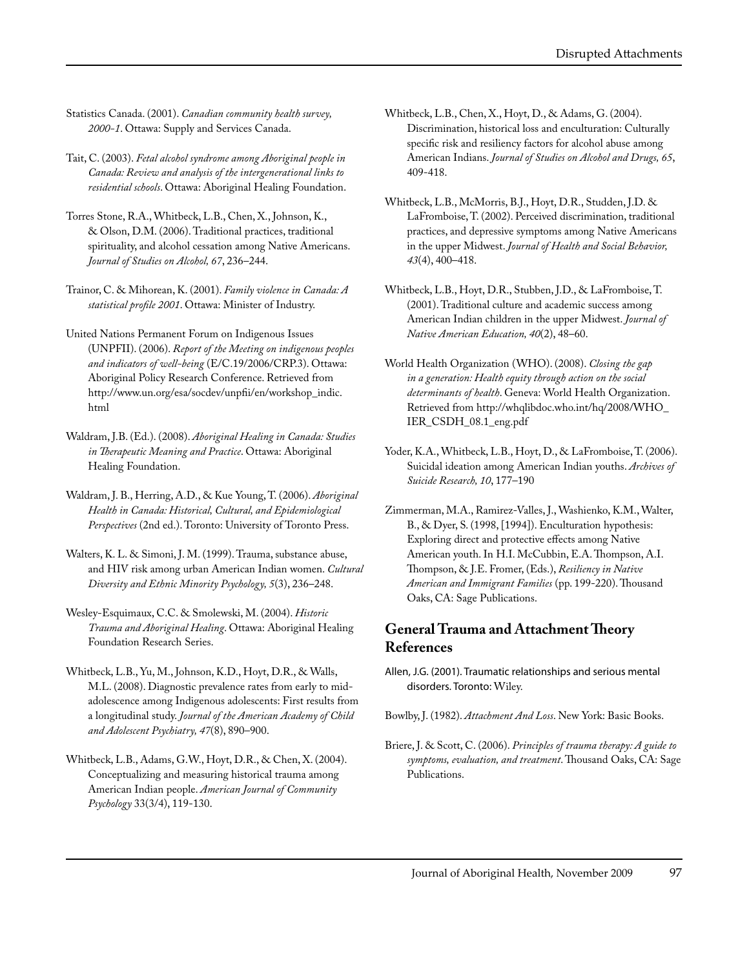- Statistics Canada. (2001). *Canadian community health survey, 2000-1*. Ottawa: Supply and Services Canada.
- Tait, C. (2003). *Fetal alcohol syndrome among Aboriginal people in Canada: Review and analysis of the intergenerational links to residential schools*. Ottawa: Aboriginal Healing Foundation.
- Torres Stone, R.A., Whitbeck, L.B., Chen, X., Johnson, K., & Olson, D.M. (2006). Traditional practices, traditional spirituality, and alcohol cessation among Native Americans. *Journal of Studies on Alcohol, 67*, 236–244.
- Trainor, C. & Mihorean, K. (2001). *Family violence in Canada: A statistical profile 2001*. Ottawa: Minister of Industry.
- United Nations Permanent Forum on Indigenous Issues (UNPFII). (2006). *Report of the Meeting on indigenous peoples and indicators of well-being* (E/C.19/2006/CRP.3). Ottawa: Aboriginal Policy Research Conference. Retrieved from http://www.un.org/esa/socdev/unpfii/en/workshop\_indic. html
- Waldram, J.B. (Ed.). (2008). *Aboriginal Healing in Canada: Studies in Therapeutic Meaning and Practice*. Ottawa: Aboriginal Healing Foundation.
- Waldram, J. B., Herring, A.D., & Kue Young, T. (2006). *Aboriginal Health in Canada: Historical, Cultural, and Epidemiological Perspectives* (2nd ed.). Toronto: University of Toronto Press.
- Walters, K. L. & Simoni, J. M. (1999). Trauma, substance abuse, and HIV risk among urban American Indian women. *Cultural Diversity and Ethnic Minority Psychology, 5*(3), 236–248.
- Wesley-Esquimaux, C.C. & Smolewski, M. (2004). *Historic Trauma and Aboriginal Healing*. Ottawa: Aboriginal Healing Foundation Research Series.
- Whitbeck, L.B., Yu, M., Johnson, K.D., Hoyt, D.R., & Walls, M.L. (2008). Diagnostic prevalence rates from early to midadolescence among Indigenous adolescents: First results from a longitudinal study. *Journal of the American Academy of Child and Adolescent Psychiatry, 47*(8), 890–900.
- Whitbeck, L.B., Adams, G.W., Hoyt, D.R., & Chen, X. (2004). Conceptualizing and measuring historical trauma among American Indian people. *American Journal of Community Psychology* 33(3/4), 119-130.
- Whitbeck, L.B., Chen, X., Hoyt, D., & Adams, G. (2004). Discrimination, historical loss and enculturation: Culturally specific risk and resiliency factors for alcohol abuse among American Indians. *Journal of Studies on Alcohol and Drugs, 65*, 409-418.
- Whitbeck, L.B., McMorris, B.J., Hoyt, D.R., Studden, J.D. & LaFromboise, T. (2002). Perceived discrimination, traditional practices, and depressive symptoms among Native Americans in the upper Midwest. *Journal of Health and Social Behavior, 43*(4), 400–418.
- Whitbeck, L.B., Hoyt, D.R., Stubben, J.D., & LaFromboise, T. (2001). Traditional culture and academic success among American Indian children in the upper Midwest. *Journal of Native American Education, 40*(2), 48–60.
- World Health Organization (WHO). (2008). *Closing the gap in a generation: Health equity through action on the social determinants of health*. Geneva: World Health Organization. Retrieved from http://whqlibdoc.who.int/hq/2008/WHO\_ IER\_CSDH\_08.1\_eng.pdf
- Yoder, K.A., Whitbeck, L.B., Hoyt, D., & LaFromboise, T. (2006). Suicidal ideation among American Indian youths. *Archives of Suicide Research, 10*, 177–190
- Zimmerman, M.A., Ramirez-Valles, J., Washienko, K.M., Walter, B., & Dyer, S. (1998, [1994]). Enculturation hypothesis: Exploring direct and protective effects among Native American youth. In H.I. McCubbin, E.A. Thompson, A.I. Thompson, & J.E. Fromer, (Eds.), *Resiliency in Native American and Immigrant Families* (pp. 199-220). Thousand Oaks, CA: Sage Publications.

#### **General Trauma and Attachment Theory References**

- Allen, J.G. (2001). Traumatic relationships and serious mental disorders. Toronto: Wiley.
- Bowlby, J. (1982). *Attachment And Loss*. New York: Basic Books.
- Briere, J. & Scott, C. (2006). *Principles of trauma therapy: A guide to symptoms, evaluation, and treatment*. Thousand Oaks, CA: Sage Publications.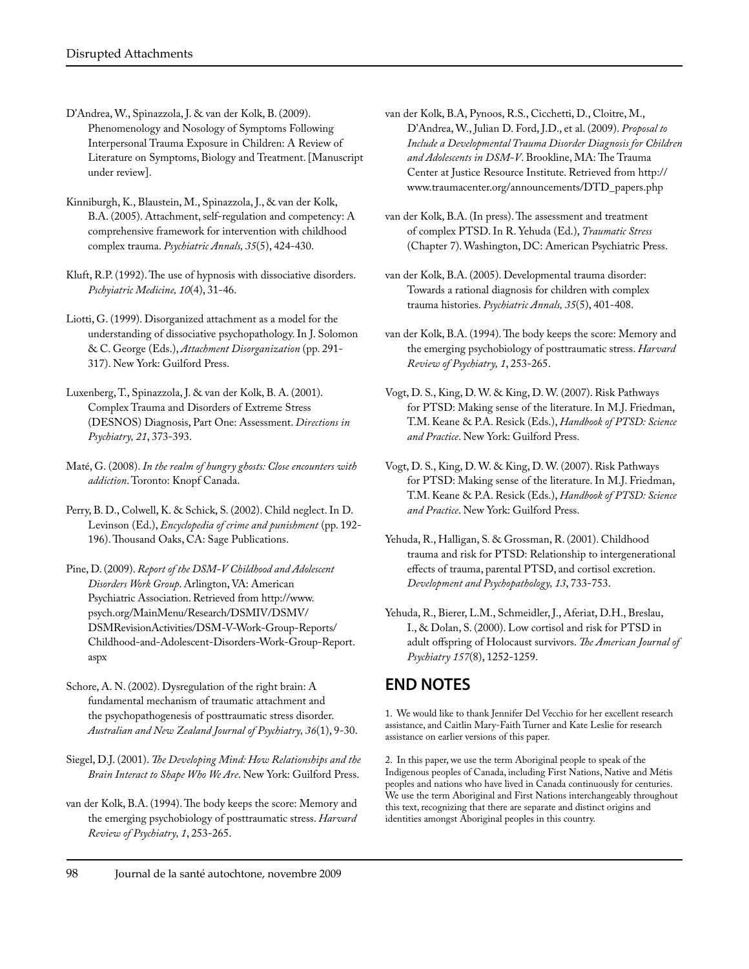- D'Andrea, W., Spinazzola, J. & van der Kolk, B. (2009). Phenomenology and Nosology of Symptoms Following Interpersonal Trauma Exposure in Children: A Review of Literature on Symptoms, Biology and Treatment. [Manuscript under review].
- Kinniburgh, K., Blaustein, M., Spinazzola, J., & van der Kolk, B.A. (2005). Attachment, self-regulation and competency: A comprehensive framework for intervention with childhood complex trauma. *Psychiatric Annals, 35*(5), 424-430.
- Kluft, R.P. (1992). The use of hypnosis with dissociative disorders. *Pschyiatric Medicine, 10*(4), 31-46.
- Liotti, G. (1999). Disorganized attachment as a model for the understanding of dissociative psychopathology. In J. Solomon & C. George (Eds.), *Attachment Disorganization* (pp. 291- 317). New York: Guilford Press.
- Luxenberg, T., Spinazzola, J. & van der Kolk, B. A. (2001). Complex Trauma and Disorders of Extreme Stress (DESNOS) Diagnosis, Part One: Assessment. *Directions in Psychiatry, 21*, 373-393.
- Maté, G. (2008). *In the realm of hungry ghosts: Close encounters with addiction*. Toronto: Knopf Canada.
- Perry, B. D., Colwell, K. & Schick, S. (2002). Child neglect. In D. Levinson (Ed.), *Encyclopedia of crime and punishment* (pp. 192- 196). Thousand Oaks, CA: Sage Publications.
- Pine, D. (2009). *Report of the DSM-V Childhood and Adolescent Disorders Work Group*. Arlington, VA: American Psychiatric Association. Retrieved from http://www. psych.org/MainMenu/Research/DSMIV/DSMV/ DSMRevisionActivities/DSM-V-Work-Group-Reports/ Childhood-and-Adolescent-Disorders-Work-Group-Report. aspx
- Schore, A. N. (2002). Dysregulation of the right brain: A fundamental mechanism of traumatic attachment and the psychopathogenesis of posttraumatic stress disorder. *Australian and New Zealand Journal of Psychiatry, 36*(1), 9-30.
- Siegel, D.J. (2001). *The Developing Mind: How Relationships and the Brain Interact to Shape Who We Are*. New York: Guilford Press.
- van der Kolk, B.A. (1994). The body keeps the score: Memory and the emerging psychobiology of posttraumatic stress. *Harvard Review of Psychiatry, 1*, 253-265.
- van der Kolk, B.A, Pynoos, R.S., Cicchetti, D., Cloitre, M., D'Andrea, W., Julian D. Ford, J.D., et al. (2009). *Proposal to Include a Developmental Trauma Disorder Diagnosis for Children and Adolescents in DSM-V*. Brookline, MA: The Trauma Center at Justice Resource Institute. Retrieved from http:// www.traumacenter.org/announcements/DTD\_papers.php
- van der Kolk, B.A. (In press). The assessment and treatment of complex PTSD. In R. Yehuda (Ed.), *Traumatic Stress* (Chapter 7). Washington, DC: American Psychiatric Press.
- van der Kolk, B.A. (2005). Developmental trauma disorder: Towards a rational diagnosis for children with complex trauma histories. *Psychiatric Annals, 35*(5), 401-408.
- van der Kolk, B.A. (1994). The body keeps the score: Memory and the emerging psychobiology of posttraumatic stress. *Harvard Review of Psychiatry, 1*, 253-265.
- Vogt, D. S., King, D. W. & King, D. W. (2007). Risk Pathways for PTSD: Making sense of the literature. In M.J. Friedman, T.M. Keane & P.A. Resick (Eds.), *Handbook of PTSD: Science and Practice*. New York: Guilford Press.
- Vogt, D. S., King, D. W. & King, D. W. (2007). Risk Pathways for PTSD: Making sense of the literature. In M.J. Friedman, T.M. Keane & P.A. Resick (Eds.), *Handbook of PTSD: Science and Practice*. New York: Guilford Press.
- Yehuda, R., Halligan, S. & Grossman, R. (2001). Childhood trauma and risk for PTSD: Relationship to intergenerational effects of trauma, parental PTSD, and cortisol excretion. *Development and Psychopathology, 13*, 733-753.
- Yehuda, R., Bierer, L.M., Schmeidler, J., Aferiat, D.H., Breslau, I., & Dolan, S. (2000). Low cortisol and risk for PTSD in adult offspring of Holocaust survivors. *The American Journal of Psychiatry 157*(8), 1252-1259.

# **END NOTES**

1. We would like to thank Jennifer Del Vecchio for her excellent research assistance, and Caitlin Mary-Faith Turner and Kate Leslie for research assistance on earlier versions of this paper.

2. In this paper, we use the term Aboriginal people to speak of the Indigenous peoples of Canada, including First Nations, Native and Métis peoples and nations who have lived in Canada continuously for centuries. We use the term Aboriginal and First Nations interchangeably throughout this text, recognizing that there are separate and distinct origins and identities amongst Aboriginal peoples in this country.